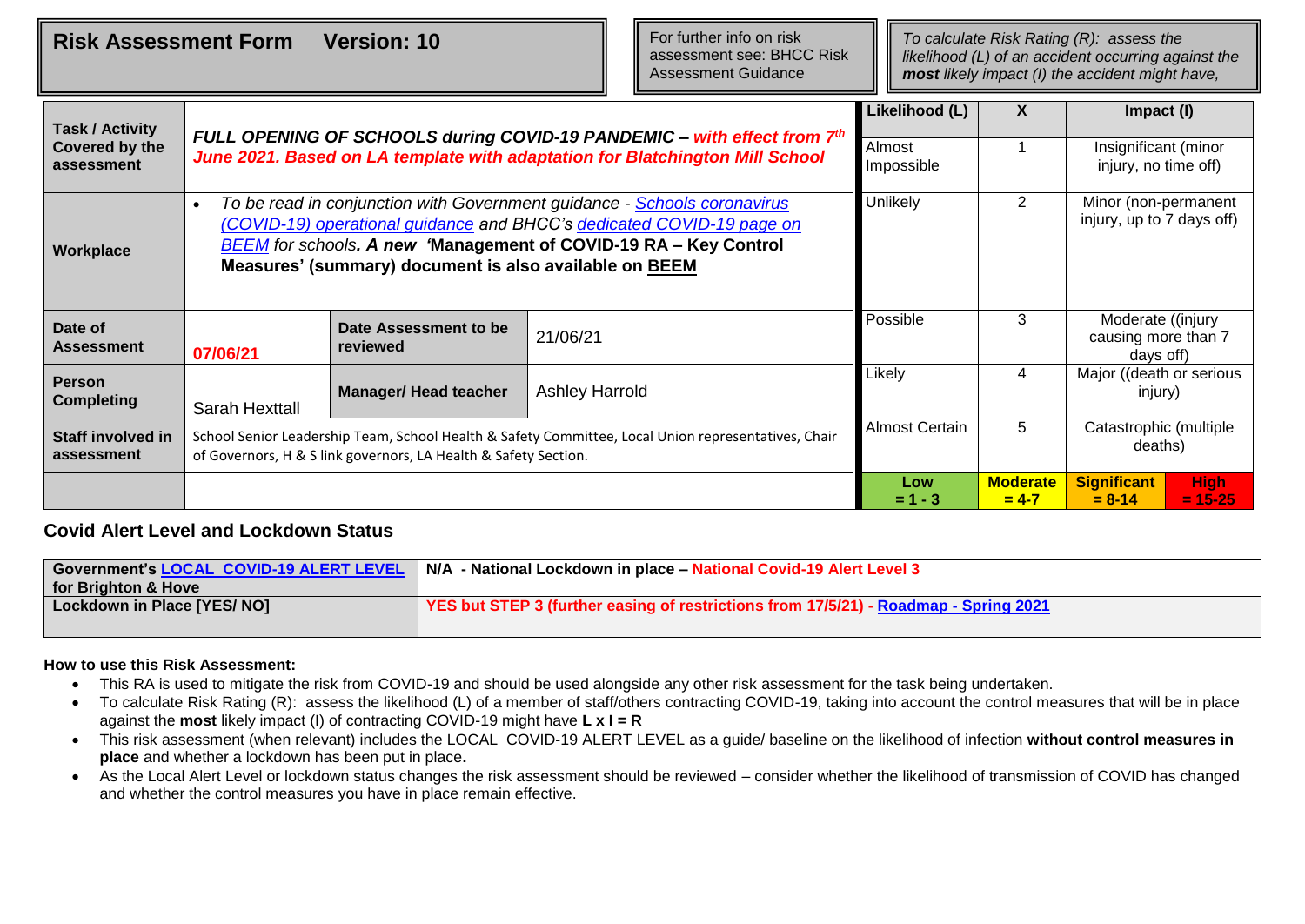**Risk Assessment Form Version: 10 The State of the Constant Parameter Property Reserves The State Risk Rating (R): assess the** 

For further info on risk assessment see: BHCC Risk Assessment Guidance

*likelihood (L) of an accident occurring against the most likely impact (I) the accident might have,* 

| <b>Task / Activity</b><br>Covered by the<br>assessment |                |                                                                 | FULL OPENING OF SCHOOLS during COVID-19 PANDEMIC - with effect from 7th<br>June 2021. Based on LA template with adaptation for Blatchington Mill School                                                                      | Likelihood (L)<br>Almost<br>Impossible | X                            | Impact (I)<br>Insignificant (minor<br>injury, no time off)     |
|--------------------------------------------------------|----------------|-----------------------------------------------------------------|------------------------------------------------------------------------------------------------------------------------------------------------------------------------------------------------------------------------------|----------------------------------------|------------------------------|----------------------------------------------------------------|
| Workplace                                              | $\bullet$      | Measures' (summary) document is also available on BEEM          | To be read in conjunction with Government guidance - Schools coronavirus<br>(COVID-19) operational guidance and BHCC's dedicated COVID-19 page on<br><b>BEEM</b> for schools. A new 'Management of COVID-19 RA - Key Control | Unlikely                               | 2                            | Minor (non-permanent<br>injury, up to 7 days off)              |
| Date of<br><b>Assessment</b>                           | 07/06/21       | Date Assessment to be<br>reviewed                               | 21/06/21                                                                                                                                                                                                                     | Possible                               | 3                            | Moderate ((injury<br>causing more than 7<br>days off)          |
| <b>Person</b><br><b>Completing</b>                     | Sarah Hexttall | <b>Manager/ Head teacher</b>                                    | <b>Ashley Harrold</b>                                                                                                                                                                                                        | Likely                                 | 4                            | Major ((death or serious<br>injury)                            |
| <b>Staff involved in</b><br>assessment                 |                | of Governors, H & S link governors, LA Health & Safety Section. | School Senior Leadership Team, School Health & Safety Committee, Local Union representatives, Chair                                                                                                                          | <b>Almost Certain</b>                  | 5                            | Catastrophic (multiple<br>deaths)                              |
|                                                        |                |                                                                 |                                                                                                                                                                                                                              | Low<br>$= 1 - 3$                       | <b>Moderate</b><br>$= 4 - 7$ | <b>Significant</b><br><b>High</b><br>$= 8 - 14$<br>$= 15 - 25$ |

## **Covid Alert Level and Lockdown Status**

|                             | Government's LOCAL COVID-19 ALERT LEVEL   N/A - National Lockdown in place - National Covid-19 Alert Level 3 |
|-----------------------------|--------------------------------------------------------------------------------------------------------------|
| for Brighton & Hove         |                                                                                                              |
| Lockdown in Place [YES/ NO] | YES but STEP 3 (further easing of restrictions from 17/5/21) - Roadmap - Spring 2021                         |
|                             |                                                                                                              |

## **How to use this Risk Assessment:**

- This RA is used to mitigate the risk from COVID-19 and should be used alongside any other risk assessment for the task being undertaken.
- To calculate Risk Rating (R): assess the likelihood (L) of a member of staff/others contracting COVID-19, taking into account the control measures that will be in place against the **most** likely impact (I) of contracting COVID-19 might have **L x I = R**
- This risk assessment (when relevant) includes the [LOCAL COVID-19 ALERT LEVEL](https://www.gov.uk/coronavirus) as a guide/ baseline on the likelihood of infection **without control measures in place** and whether a lockdown has been put in place**.**
- As the Local Alert Level or lockdown status changes the risk assessment should be reviewed consider whether the likelihood of transmission of COVID has changed and whether the control measures you have in place remain effective.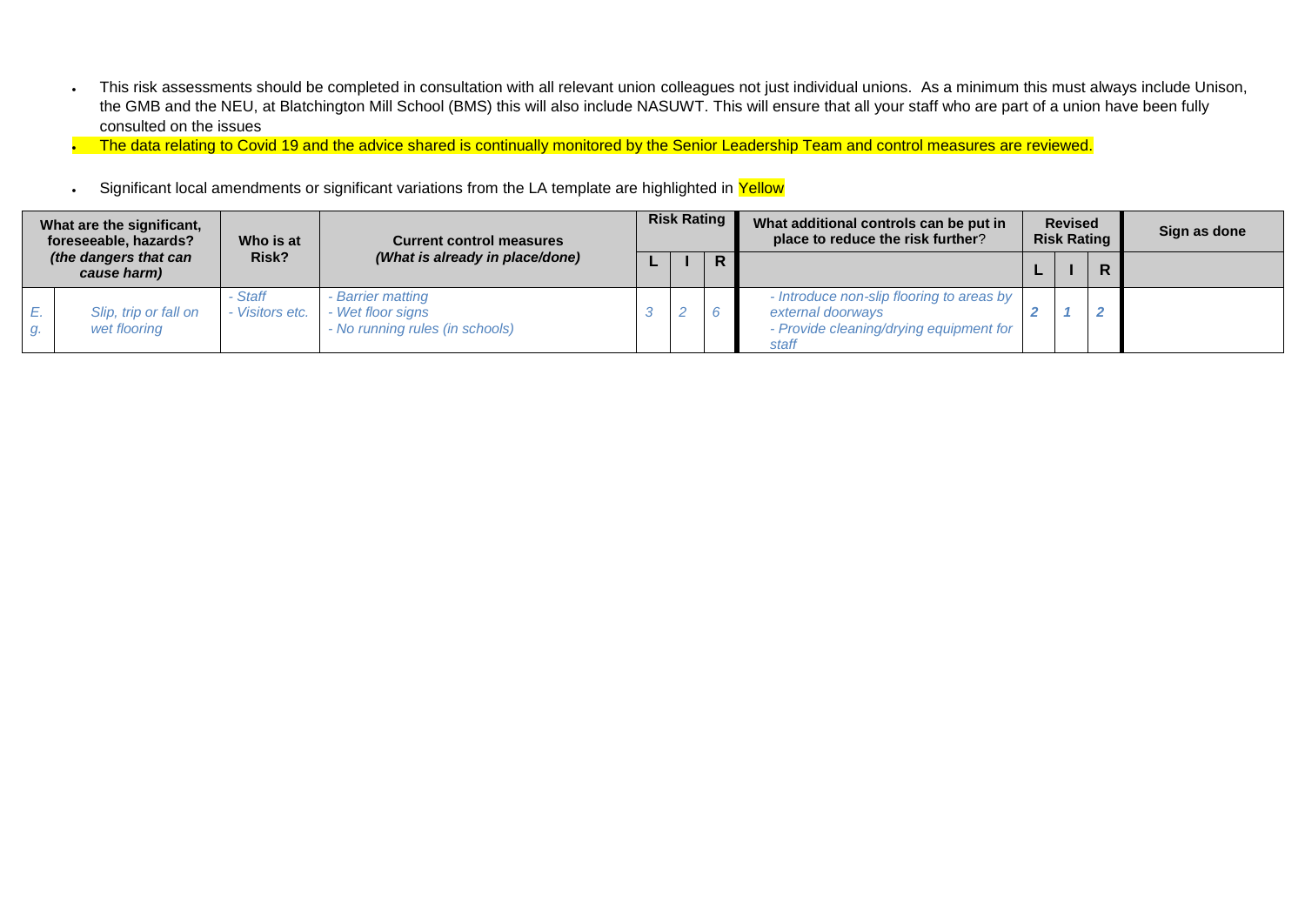- This risk assessments should be completed in consultation with all relevant union colleagues not just individual unions. As a minimum this must always include Unison, the GMB and the NEU, at Blatchington Mill School (BMS) this will also include NASUWT. This will ensure that all your staff who are part of a union have been fully consulted on the issues
- The data relating to Covid 19 and the advice shared is continually monitored by the Senior Leadership Team and control measures are reviewed.
- Significant local amendments or significant variations from the LA template are highlighted in Yellow

|          | What are the significant,<br>foreseeable, hazards?<br>(the dangers that can<br>cause harm)<br>Slip, trip or fall on<br>wet flooring | Who is at<br><b>Current control measures</b> |                                                                           | <b>Risk Rating</b> |  |   | What additional controls can be put in<br>place to reduce the risk further?                                        |  | <b>Revised</b><br><b>Risk Rating</b> |  | Sign as done |
|----------|-------------------------------------------------------------------------------------------------------------------------------------|----------------------------------------------|---------------------------------------------------------------------------|--------------------|--|---|--------------------------------------------------------------------------------------------------------------------|--|--------------------------------------|--|--------------|
|          |                                                                                                                                     | Risk?                                        | (What is already in place/done)                                           |                    |  | R |                                                                                                                    |  |                                      |  |              |
| Е.<br>g. |                                                                                                                                     | Staff<br>- Visitors etc.                     | - Barrier matting<br>- Wet floor signs<br>- No running rules (in schools) |                    |  |   | - Introduce non-slip flooring to areas by<br>external doorways<br>- Provide cleaning/drying equipment for<br>staff |  |                                      |  |              |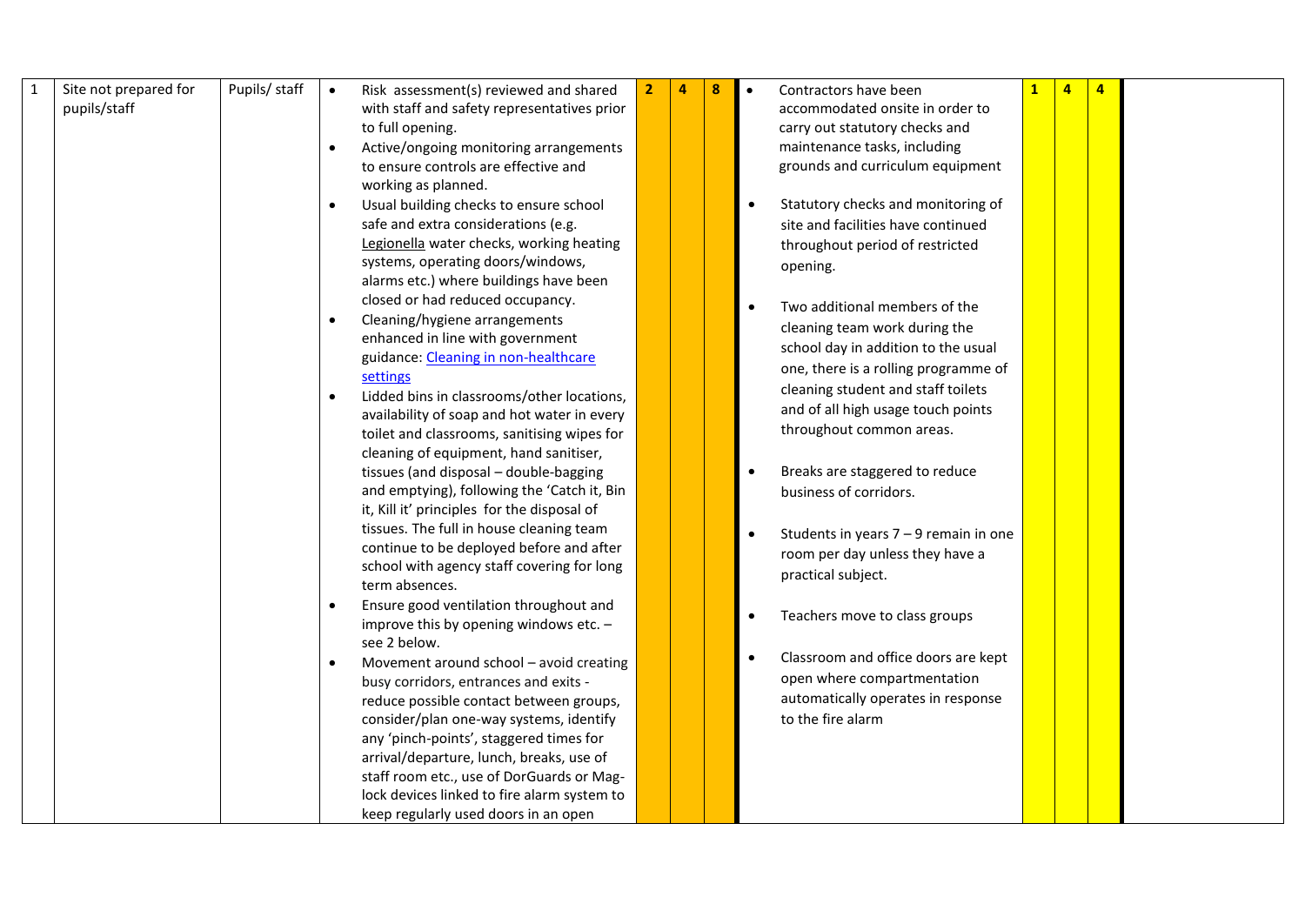| $\mathbf{1}$ | Site not prepared for | Pupils/ staff | $\bullet$ | Risk assessment(s) reviewed and shared      | 4 | 8 | Contractors have been                   | $\overline{a}$ |  |
|--------------|-----------------------|---------------|-----------|---------------------------------------------|---|---|-----------------------------------------|----------------|--|
|              | pupils/staff          |               |           | with staff and safety representatives prior |   |   | accommodated onsite in order to         |                |  |
|              |                       |               |           | to full opening.                            |   |   | carry out statutory checks and          |                |  |
|              |                       |               |           | Active/ongoing monitoring arrangements      |   |   | maintenance tasks, including            |                |  |
|              |                       |               |           | to ensure controls are effective and        |   |   | grounds and curriculum equipment        |                |  |
|              |                       |               |           | working as planned.                         |   |   |                                         |                |  |
|              |                       |               |           | Usual building checks to ensure school      |   |   | Statutory checks and monitoring of      |                |  |
|              |                       |               |           | safe and extra considerations (e.g.         |   |   | site and facilities have continued      |                |  |
|              |                       |               |           | Legionella water checks, working heating    |   |   | throughout period of restricted         |                |  |
|              |                       |               |           | systems, operating doors/windows,           |   |   | opening.                                |                |  |
|              |                       |               |           | alarms etc.) where buildings have been      |   |   |                                         |                |  |
|              |                       |               |           | closed or had reduced occupancy.            |   |   |                                         |                |  |
|              |                       |               |           | Cleaning/hygiene arrangements               |   |   | Two additional members of the           |                |  |
|              |                       |               |           | enhanced in line with government            |   |   | cleaning team work during the           |                |  |
|              |                       |               |           | guidance: Cleaning in non-healthcare        |   |   | school day in addition to the usual     |                |  |
|              |                       |               |           | settings                                    |   |   | one, there is a rolling programme of    |                |  |
|              |                       |               |           | Lidded bins in classrooms/other locations,  |   |   | cleaning student and staff toilets      |                |  |
|              |                       |               |           | availability of soap and hot water in every |   |   | and of all high usage touch points      |                |  |
|              |                       |               |           | toilet and classrooms, sanitising wipes for |   |   | throughout common areas.                |                |  |
|              |                       |               |           | cleaning of equipment, hand sanitiser,      |   |   |                                         |                |  |
|              |                       |               |           | tissues (and disposal - double-bagging      |   |   | Breaks are staggered to reduce          |                |  |
|              |                       |               |           | and emptying), following the 'Catch it, Bin |   |   | business of corridors.                  |                |  |
|              |                       |               |           | it, Kill it' principles for the disposal of |   |   |                                         |                |  |
|              |                       |               |           | tissues. The full in house cleaning team    |   |   |                                         |                |  |
|              |                       |               |           | continue to be deployed before and after    |   |   | Students in years $7 - 9$ remain in one |                |  |
|              |                       |               |           | school with agency staff covering for long  |   |   | room per day unless they have a         |                |  |
|              |                       |               |           | term absences.                              |   |   | practical subject.                      |                |  |
|              |                       |               |           | Ensure good ventilation throughout and      |   |   |                                         |                |  |
|              |                       |               |           | improve this by opening windows etc. -      |   |   | Teachers move to class groups           |                |  |
|              |                       |               |           | see 2 below.                                |   |   |                                         |                |  |
|              |                       |               |           | Movement around school - avoid creating     |   |   | Classroom and office doors are kept     |                |  |
|              |                       |               |           | busy corridors, entrances and exits -       |   |   | open where compartmentation             |                |  |
|              |                       |               |           | reduce possible contact between groups,     |   |   | automatically operates in response      |                |  |
|              |                       |               |           | consider/plan one-way systems, identify     |   |   | to the fire alarm                       |                |  |
|              |                       |               |           | any 'pinch-points', staggered times for     |   |   |                                         |                |  |
|              |                       |               |           | arrival/departure, lunch, breaks, use of    |   |   |                                         |                |  |
|              |                       |               |           | staff room etc., use of DorGuards or Mag-   |   |   |                                         |                |  |
|              |                       |               |           | lock devices linked to fire alarm system to |   |   |                                         |                |  |
|              |                       |               |           | keep regularly used doors in an open        |   |   |                                         |                |  |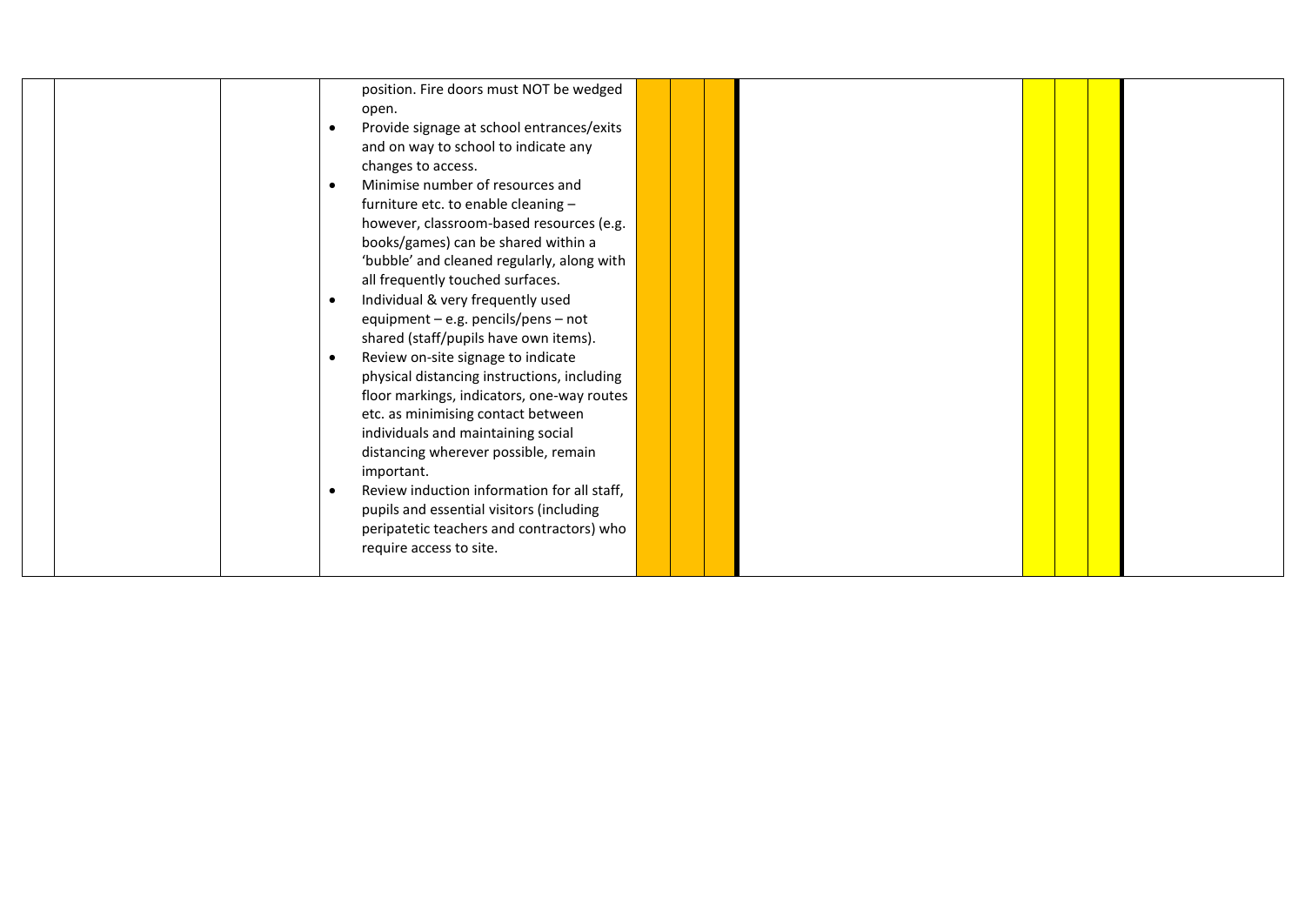|  |           | position. Fire doors must NOT be wedged     |  |  |  |  |
|--|-----------|---------------------------------------------|--|--|--|--|
|  |           |                                             |  |  |  |  |
|  |           | open.                                       |  |  |  |  |
|  |           | Provide signage at school entrances/exits   |  |  |  |  |
|  |           | and on way to school to indicate any        |  |  |  |  |
|  |           | changes to access.                          |  |  |  |  |
|  | $\bullet$ | Minimise number of resources and            |  |  |  |  |
|  |           | furniture etc. to enable cleaning -         |  |  |  |  |
|  |           | however, classroom-based resources (e.g.    |  |  |  |  |
|  |           | books/games) can be shared within a         |  |  |  |  |
|  |           | 'bubble' and cleaned regularly, along with  |  |  |  |  |
|  |           | all frequently touched surfaces.            |  |  |  |  |
|  | $\bullet$ | Individual & very frequently used           |  |  |  |  |
|  |           | equipment - e.g. pencils/pens - not         |  |  |  |  |
|  |           | shared (staff/pupils have own items).       |  |  |  |  |
|  | $\bullet$ | Review on-site signage to indicate          |  |  |  |  |
|  |           | physical distancing instructions, including |  |  |  |  |
|  |           | floor markings, indicators, one-way routes  |  |  |  |  |
|  |           | etc. as minimising contact between          |  |  |  |  |
|  |           |                                             |  |  |  |  |
|  |           | individuals and maintaining social          |  |  |  |  |
|  |           | distancing wherever possible, remain        |  |  |  |  |
|  |           | important.                                  |  |  |  |  |
|  | $\bullet$ | Review induction information for all staff, |  |  |  |  |
|  |           | pupils and essential visitors (including    |  |  |  |  |
|  |           | peripatetic teachers and contractors) who   |  |  |  |  |
|  |           | require access to site.                     |  |  |  |  |
|  |           |                                             |  |  |  |  |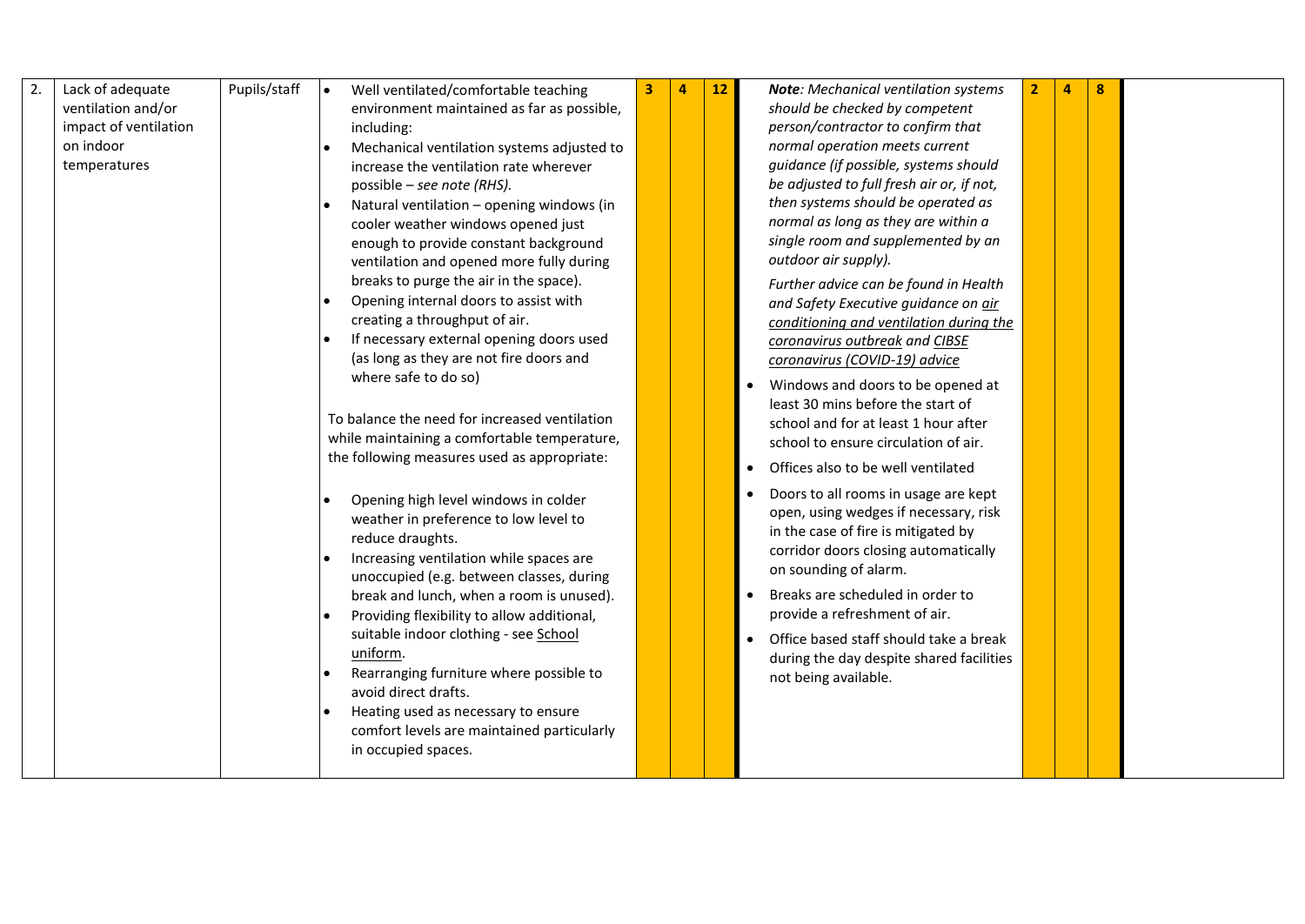| 2. | Lack of adequate<br>ventilation and/or<br>impact of ventilation<br>on indoor<br>temperatures | Pupils/staff | Well ventilated/comfortable teaching<br>environment maintained as far as possible,<br>including:<br>Mechanical ventilation systems adjusted to<br>increase the ventilation rate wherever<br>possible – see note (RHS).<br>Natural ventilation - opening windows (in<br>cooler weather windows opened just<br>enough to provide constant background<br>ventilation and opened more fully during<br>breaks to purge the air in the space).<br>Opening internal doors to assist with<br>creating a throughput of air.<br>If necessary external opening doors used<br>(as long as they are not fire doors and<br>where safe to do so)<br>To balance the need for increased ventilation<br>while maintaining a comfortable temperature, |  | 12 | <b>Note:</b> Mechanical ventilation systems<br>should be checked by competent<br>person/contractor to confirm that<br>normal operation meets current<br>guidance (if possible, systems should<br>be adjusted to full fresh air or, if not,<br>then systems should be operated as<br>normal as long as they are within a<br>single room and supplemented by an<br>outdoor air supply).<br>Further advice can be found in Health<br>and Safety Executive guidance on air<br>conditioning and ventilation during the<br>coronavirus outbreak and CIBSE<br>coronavirus (COVID-19) advice<br>Windows and doors to be opened at<br>least 30 mins before the start of<br>school and for at least 1 hour after<br>school to ensure circulation of air. | $\overline{2}$ | 4 | 8 |  |
|----|----------------------------------------------------------------------------------------------|--------------|------------------------------------------------------------------------------------------------------------------------------------------------------------------------------------------------------------------------------------------------------------------------------------------------------------------------------------------------------------------------------------------------------------------------------------------------------------------------------------------------------------------------------------------------------------------------------------------------------------------------------------------------------------------------------------------------------------------------------------|--|----|------------------------------------------------------------------------------------------------------------------------------------------------------------------------------------------------------------------------------------------------------------------------------------------------------------------------------------------------------------------------------------------------------------------------------------------------------------------------------------------------------------------------------------------------------------------------------------------------------------------------------------------------------------------------------------------------------------------------------------------------|----------------|---|---|--|
|    |                                                                                              |              | the following measures used as appropriate:<br>Opening high level windows in colder<br>weather in preference to low level to<br>reduce draughts.<br>Increasing ventilation while spaces are<br>unoccupied (e.g. between classes, during<br>break and lunch, when a room is unused).<br>Providing flexibility to allow additional,<br>suitable indoor clothing - see School<br>uniform.<br>Rearranging furniture where possible to<br>avoid direct drafts.<br>Heating used as necessary to ensure<br>comfort levels are maintained particularly<br>in occupied spaces.                                                                                                                                                              |  |    | Offices also to be well ventilated<br>Doors to all rooms in usage are kept<br>open, using wedges if necessary, risk<br>in the case of fire is mitigated by<br>corridor doors closing automatically<br>on sounding of alarm.<br>Breaks are scheduled in order to<br>provide a refreshment of air.<br>Office based staff should take a break<br>during the day despite shared facilities<br>not being available.                                                                                                                                                                                                                                                                                                                                 |                |   |   |  |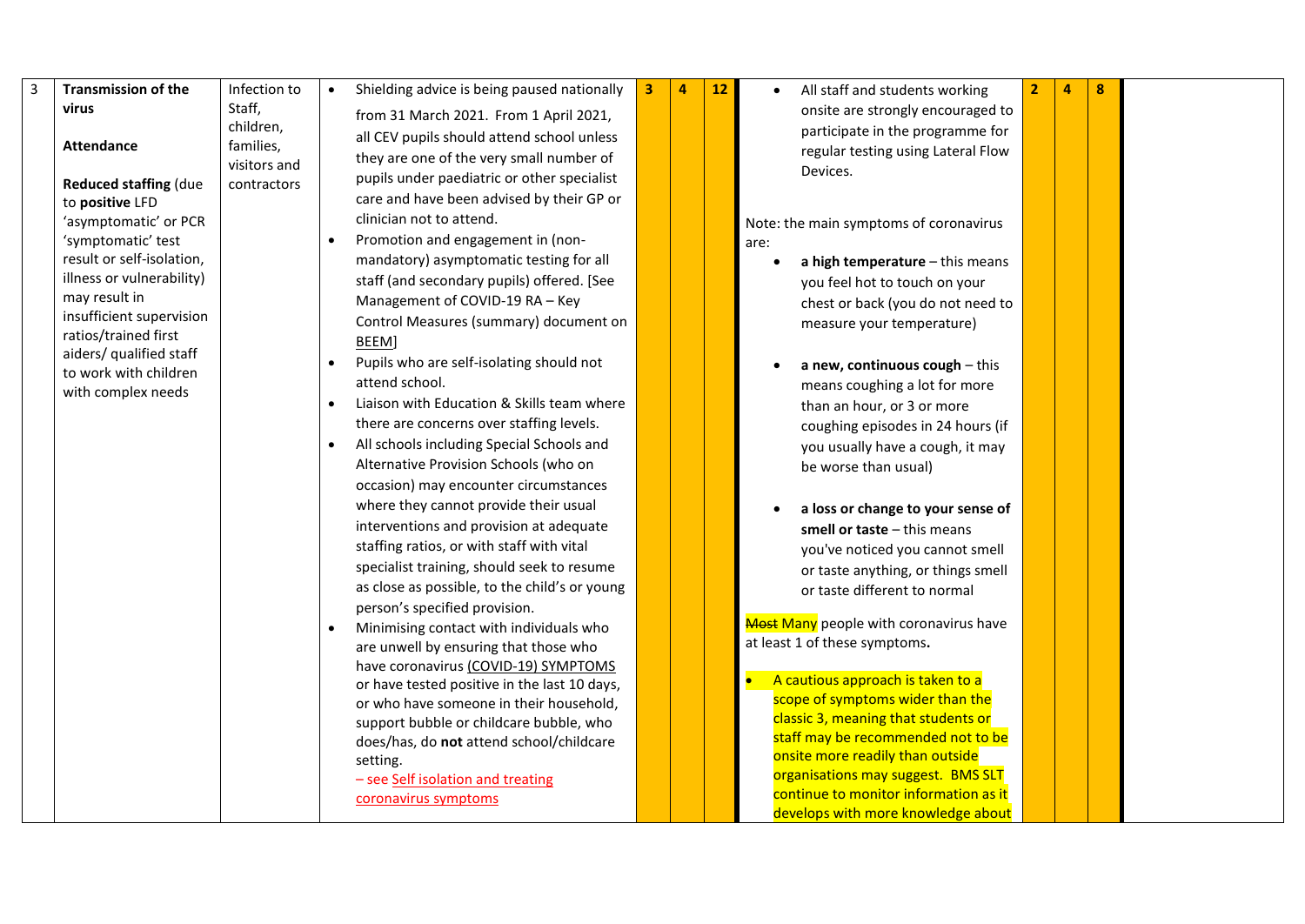| 3 | <b>Transmission of the</b>                      | Infection to | Shielding advice is being paused nationally   | 3 | 4 | 12 | All staff and students working                                              | 4 | 8 |  |
|---|-------------------------------------------------|--------------|-----------------------------------------------|---|---|----|-----------------------------------------------------------------------------|---|---|--|
|   | virus                                           | Staff,       | from 31 March 2021. From 1 April 2021,        |   |   |    | onsite are strongly encouraged to                                           |   |   |  |
|   |                                                 | children,    | all CEV pupils should attend school unless    |   |   |    | participate in the programme for                                            |   |   |  |
|   | <b>Attendance</b>                               | families,    | they are one of the very small number of      |   |   |    | regular testing using Lateral Flow                                          |   |   |  |
|   |                                                 | visitors and | pupils under paediatric or other specialist   |   |   |    | Devices.                                                                    |   |   |  |
|   | <b>Reduced staffing (due</b><br>to positive LFD | contractors  | care and have been advised by their GP or     |   |   |    |                                                                             |   |   |  |
|   | 'asymptomatic' or PCR                           |              | clinician not to attend.                      |   |   |    |                                                                             |   |   |  |
|   | 'symptomatic' test                              |              | Promotion and engagement in (non-             |   |   |    | Note: the main symptoms of coronavirus<br>are:                              |   |   |  |
|   | result or self-isolation,                       |              | mandatory) asymptomatic testing for all       |   |   |    | a high temperature - this means                                             |   |   |  |
|   | illness or vulnerability)                       |              | staff (and secondary pupils) offered. [See    |   |   |    | you feel hot to touch on your                                               |   |   |  |
|   | may result in                                   |              | Management of COVID-19 RA - Key               |   |   |    | chest or back (you do not need to                                           |   |   |  |
|   | insufficient supervision                        |              | Control Measures (summary) document on        |   |   |    | measure your temperature)                                                   |   |   |  |
|   | ratios/trained first                            |              | BEEM]                                         |   |   |    |                                                                             |   |   |  |
|   | aiders/ qualified staff                         |              | Pupils who are self-isolating should not      |   |   |    | a new, continuous cough $-$ this                                            |   |   |  |
|   | to work with children                           |              | attend school.                                |   |   |    | means coughing a lot for more                                               |   |   |  |
|   | with complex needs                              |              | Liaison with Education & Skills team where    |   |   |    | than an hour, or 3 or more                                                  |   |   |  |
|   |                                                 |              | there are concerns over staffing levels.      |   |   |    | coughing episodes in 24 hours (if                                           |   |   |  |
|   |                                                 |              | All schools including Special Schools and     |   |   |    | you usually have a cough, it may                                            |   |   |  |
|   |                                                 |              | Alternative Provision Schools (who on         |   |   |    | be worse than usual)                                                        |   |   |  |
|   |                                                 |              | occasion) may encounter circumstances         |   |   |    |                                                                             |   |   |  |
|   |                                                 |              | where they cannot provide their usual         |   |   |    |                                                                             |   |   |  |
|   |                                                 |              | interventions and provision at adequate       |   |   |    | a loss or change to your sense of<br>smell or taste $-$ this means          |   |   |  |
|   |                                                 |              | staffing ratios, or with staff with vital     |   |   |    |                                                                             |   |   |  |
|   |                                                 |              | specialist training, should seek to resume    |   |   |    | you've noticed you cannot smell<br>or taste anything, or things smell       |   |   |  |
|   |                                                 |              | as close as possible, to the child's or young |   |   |    | or taste different to normal                                                |   |   |  |
|   |                                                 |              | person's specified provision.                 |   |   |    |                                                                             |   |   |  |
|   |                                                 |              | Minimising contact with individuals who       |   |   |    | <b>Most Many</b> people with coronavirus have                               |   |   |  |
|   |                                                 |              | are unwell by ensuring that those who         |   |   |    | at least 1 of these symptoms.                                               |   |   |  |
|   |                                                 |              | have coronavirus (COVID-19) SYMPTOMS          |   |   |    |                                                                             |   |   |  |
|   |                                                 |              | or have tested positive in the last 10 days,  |   |   |    | A cautious approach is taken to a                                           |   |   |  |
|   |                                                 |              | or who have someone in their household,       |   |   |    | scope of symptoms wider than the                                            |   |   |  |
|   |                                                 |              | support bubble or childcare bubble, who       |   |   |    | classic 3, meaning that students or                                         |   |   |  |
|   |                                                 |              | does/has, do not attend school/childcare      |   |   |    | staff may be recommended not to be                                          |   |   |  |
|   |                                                 |              | setting.                                      |   |   |    | onsite more readily than outside                                            |   |   |  |
|   |                                                 |              | - see Self isolation and treating             |   |   |    | organisations may suggest. BMS SLT<br>continue to monitor information as it |   |   |  |
|   |                                                 |              | coronavirus symptoms                          |   |   |    | develops with more knowledge about                                          |   |   |  |
|   |                                                 |              |                                               |   |   |    |                                                                             |   |   |  |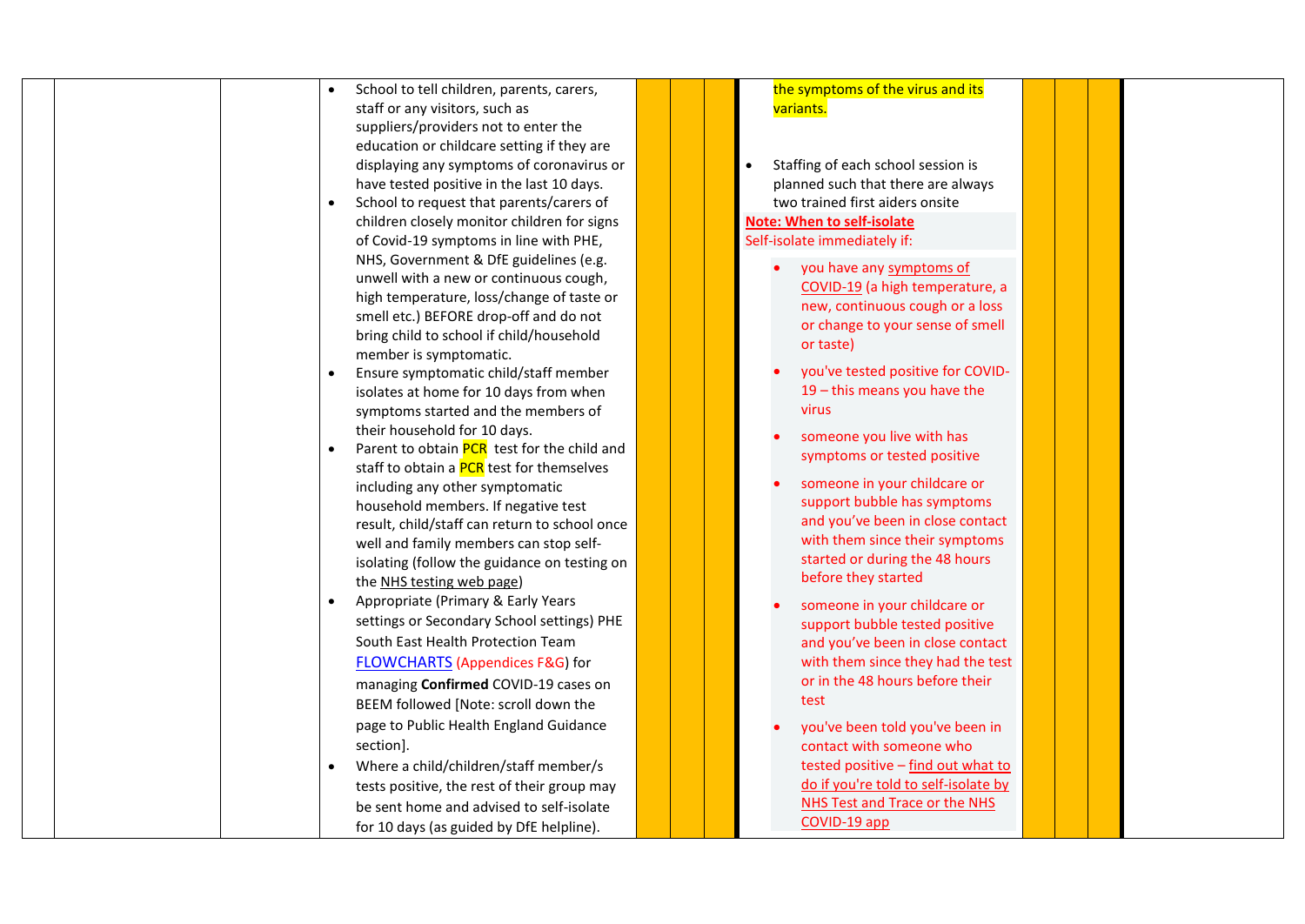|  |  | School to tell children, parents, carers,     |  | the symptoms of the virus and its    |  |  |
|--|--|-----------------------------------------------|--|--------------------------------------|--|--|
|  |  | staff or any visitors, such as                |  | variants.                            |  |  |
|  |  | suppliers/providers not to enter the          |  |                                      |  |  |
|  |  | education or childcare setting if they are    |  |                                      |  |  |
|  |  | displaying any symptoms of coronavirus or     |  | Staffing of each school session is   |  |  |
|  |  | have tested positive in the last 10 days.     |  | planned such that there are always   |  |  |
|  |  | School to request that parents/carers of      |  | two trained first aiders onsite      |  |  |
|  |  | children closely monitor children for signs   |  | <b>Note: When to self-isolate</b>    |  |  |
|  |  | of Covid-19 symptoms in line with PHE,        |  | Self-isolate immediately if:         |  |  |
|  |  | NHS, Government & DfE guidelines (e.g.        |  | you have any symptoms of             |  |  |
|  |  | unwell with a new or continuous cough,        |  | COVID-19 (a high temperature, a      |  |  |
|  |  | high temperature, loss/change of taste or     |  | new, continuous cough or a loss      |  |  |
|  |  | smell etc.) BEFORE drop-off and do not        |  | or change to your sense of smell     |  |  |
|  |  | bring child to school if child/household      |  | or taste)                            |  |  |
|  |  | member is symptomatic.                        |  |                                      |  |  |
|  |  | Ensure symptomatic child/staff member         |  | you've tested positive for COVID-    |  |  |
|  |  | isolates at home for 10 days from when        |  | $19$ – this means you have the       |  |  |
|  |  | symptoms started and the members of           |  | <b>virus</b>                         |  |  |
|  |  | their household for 10 days.                  |  | someone you live with has            |  |  |
|  |  | Parent to obtain PCR test for the child and   |  | symptoms or tested positive          |  |  |
|  |  | staff to obtain a PCR test for themselves     |  |                                      |  |  |
|  |  | including any other symptomatic               |  | someone in your childcare or         |  |  |
|  |  | household members. If negative test           |  | support bubble has symptoms          |  |  |
|  |  | result, child/staff can return to school once |  | and you've been in close contact     |  |  |
|  |  | well and family members can stop self-        |  | with them since their symptoms       |  |  |
|  |  | isolating (follow the guidance on testing on  |  | started or during the 48 hours       |  |  |
|  |  | the NHS testing web page)                     |  | before they started                  |  |  |
|  |  | Appropriate (Primary & Early Years            |  | someone in your childcare or         |  |  |
|  |  | settings or Secondary School settings) PHE    |  | support bubble tested positive       |  |  |
|  |  | South East Health Protection Team             |  | and you've been in close contact     |  |  |
|  |  | <b>FLOWCHARTS (Appendices F&amp;G) for</b>    |  | with them since they had the test    |  |  |
|  |  | managing Confirmed COVID-19 cases on          |  | or in the 48 hours before their      |  |  |
|  |  | BEEM followed [Note: scroll down the          |  | test                                 |  |  |
|  |  | page to Public Health England Guidance        |  | you've been told you've been in      |  |  |
|  |  | section].                                     |  | contact with someone who             |  |  |
|  |  | Where a child/children/staff member/s         |  | tested positive - find out what to   |  |  |
|  |  | tests positive, the rest of their group may   |  | do if you're told to self-isolate by |  |  |
|  |  | be sent home and advised to self-isolate      |  | <b>NHS Test and Trace or the NHS</b> |  |  |
|  |  |                                               |  | COVID-19 app                         |  |  |
|  |  | for 10 days (as guided by DfE helpline).      |  |                                      |  |  |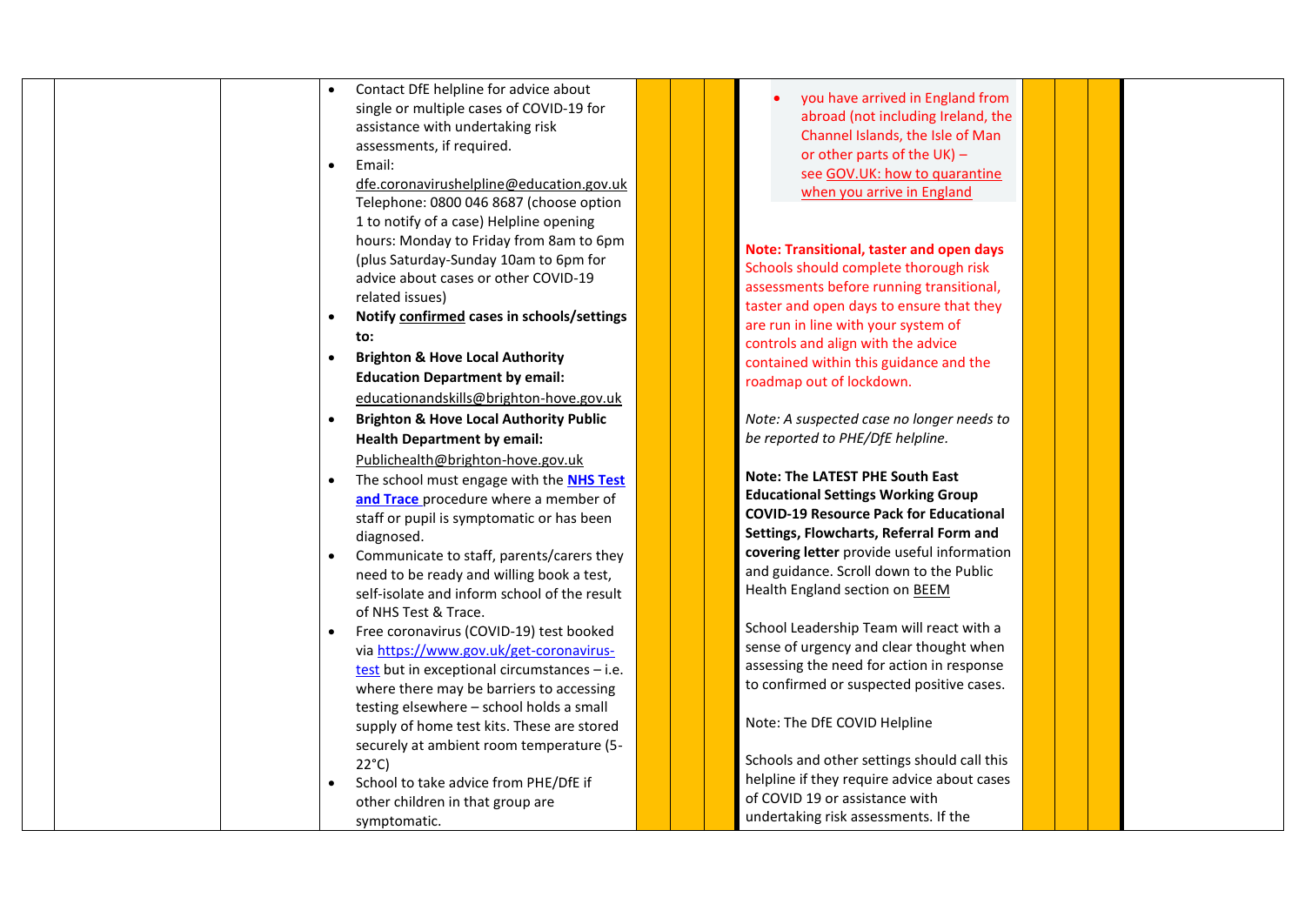| Contact DfE helpline for advice about<br>you have arrived in England from                                   |  |
|-------------------------------------------------------------------------------------------------------------|--|
| single or multiple cases of COVID-19 for<br>abroad (not including Ireland, the                              |  |
| assistance with undertaking risk<br>Channel Islands, the Isle of Man                                        |  |
| assessments, if required.<br>or other parts of the UK) -                                                    |  |
| Email:<br>$\bullet$<br>see GOV.UK: how to quarantine                                                        |  |
| dfe.coronavirushelpline@education.gov.uk                                                                    |  |
| when you arrive in England<br>Telephone: 0800 046 8687 (choose option                                       |  |
| 1 to notify of a case) Helpline opening                                                                     |  |
| hours: Monday to Friday from 8am to 6pm                                                                     |  |
| Note: Transitional, taster and open days<br>(plus Saturday-Sunday 10am to 6pm for                           |  |
| Schools should complete thorough risk<br>advice about cases or other COVID-19                               |  |
| assessments before running transitional,<br>related issues)                                                 |  |
| taster and open days to ensure that they<br>Notify confirmed cases in schools/settings<br>$\bullet$         |  |
| are run in line with your system of<br>to:                                                                  |  |
| controls and align with the advice<br><b>Brighton &amp; Hove Local Authority</b><br>$\bullet$               |  |
| contained within this guidance and the<br><b>Education Department by email:</b>                             |  |
| roadmap out of lockdown.                                                                                    |  |
| educationandskills@brighton-hove.gov.uk                                                                     |  |
| <b>Brighton &amp; Hove Local Authority Public</b><br>Note: A suspected case no longer needs to<br>$\bullet$ |  |
| be reported to PHE/DfE helpline.<br><b>Health Department by email:</b>                                      |  |
| Publichealth@brighton-hove.gov.uk                                                                           |  |
| <b>Note: The LATEST PHE South East</b><br>The school must engage with the <b>NHS Test</b>                   |  |
| <b>Educational Settings Working Group</b><br>and Trace procedure where a member of                          |  |
| <b>COVID-19 Resource Pack for Educational</b><br>staff or pupil is symptomatic or has been                  |  |
| Settings, Flowcharts, Referral Form and<br>diagnosed.                                                       |  |
| covering letter provide useful information<br>Communicate to staff, parents/carers they<br>$\bullet$        |  |
| and guidance. Scroll down to the Public<br>need to be ready and willing book a test,                        |  |
| Health England section on BEEM<br>self-isolate and inform school of the result                              |  |
| of NHS Test & Trace.                                                                                        |  |
| School Leadership Team will react with a<br>Free coronavirus (COVID-19) test booked                         |  |
| sense of urgency and clear thought when<br>via https://www.gov.uk/get-coronavirus-                          |  |
| assessing the need for action in response<br>test but in exceptional circumstances $-$ i.e.                 |  |
| to confirmed or suspected positive cases.<br>where there may be barriers to accessing                       |  |
| testing elsewhere - school holds a small                                                                    |  |
| Note: The DfE COVID Helpline<br>supply of home test kits. These are stored                                  |  |
| securely at ambient room temperature (5-                                                                    |  |
| Schools and other settings should call this<br>$22^{\circ}$ C)                                              |  |
| helpline if they require advice about cases<br>School to take advice from PHE/DfE if                        |  |
| of COVID 19 or assistance with<br>other children in that group are                                          |  |
| undertaking risk assessments. If the<br>symptomatic.                                                        |  |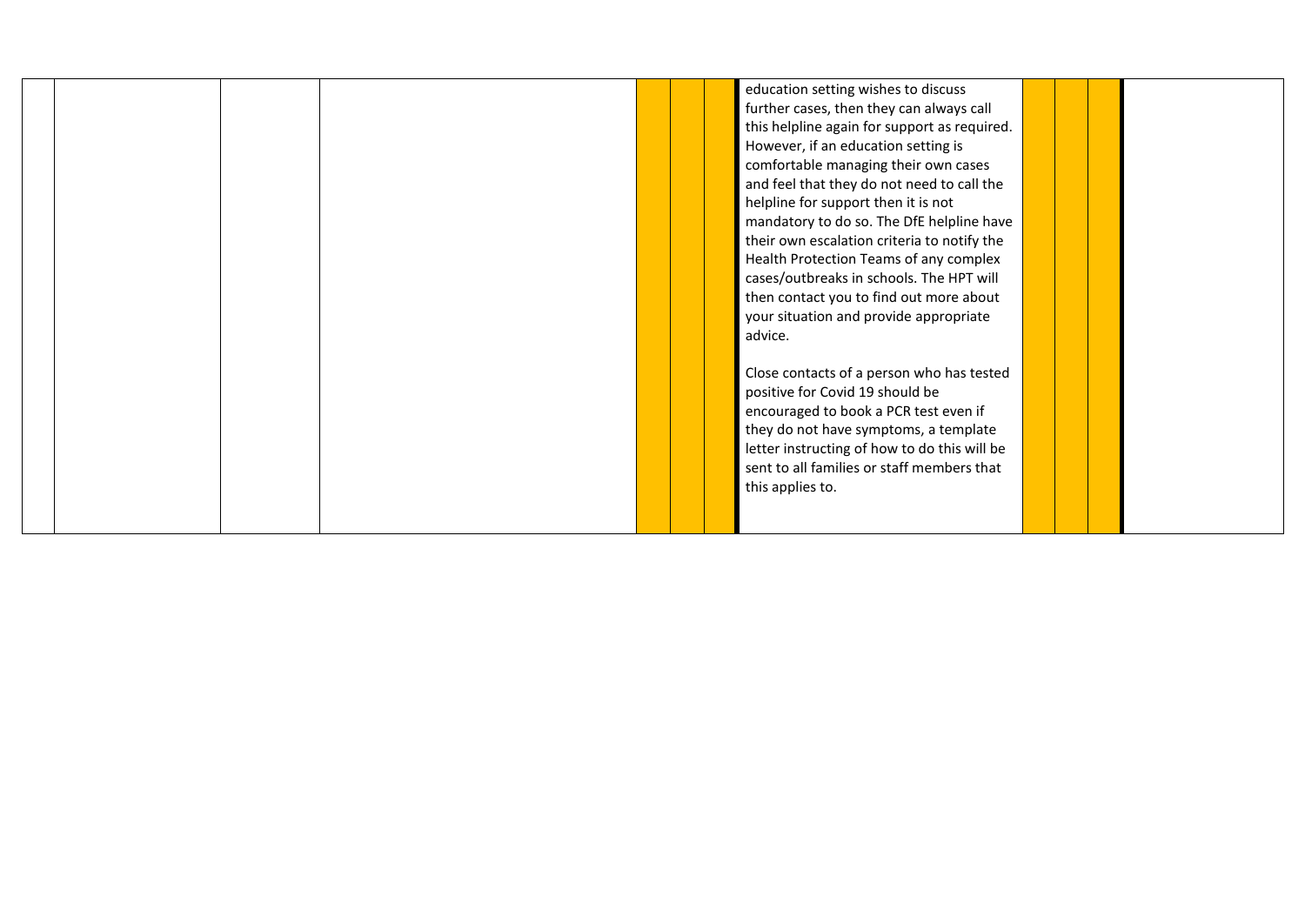|  |  |  | education setting wishes to discuss          |  |  |
|--|--|--|----------------------------------------------|--|--|
|  |  |  | further cases, then they can always call     |  |  |
|  |  |  | this helpline again for support as required. |  |  |
|  |  |  | However, if an education setting is          |  |  |
|  |  |  | comfortable managing their own cases         |  |  |
|  |  |  | and feel that they do not need to call the   |  |  |
|  |  |  | helpline for support then it is not          |  |  |
|  |  |  | mandatory to do so. The DfE helpline have    |  |  |
|  |  |  | their own escalation criteria to notify the  |  |  |
|  |  |  | Health Protection Teams of any complex       |  |  |
|  |  |  | cases/outbreaks in schools. The HPT will     |  |  |
|  |  |  | then contact you to find out more about      |  |  |
|  |  |  | your situation and provide appropriate       |  |  |
|  |  |  | advice.                                      |  |  |
|  |  |  |                                              |  |  |
|  |  |  | Close contacts of a person who has tested    |  |  |
|  |  |  | positive for Covid 19 should be              |  |  |
|  |  |  | encouraged to book a PCR test even if        |  |  |
|  |  |  | they do not have symptoms, a template        |  |  |
|  |  |  | letter instructing of how to do this will be |  |  |
|  |  |  | sent to all families or staff members that   |  |  |
|  |  |  | this applies to.                             |  |  |
|  |  |  |                                              |  |  |
|  |  |  |                                              |  |  |
|  |  |  |                                              |  |  |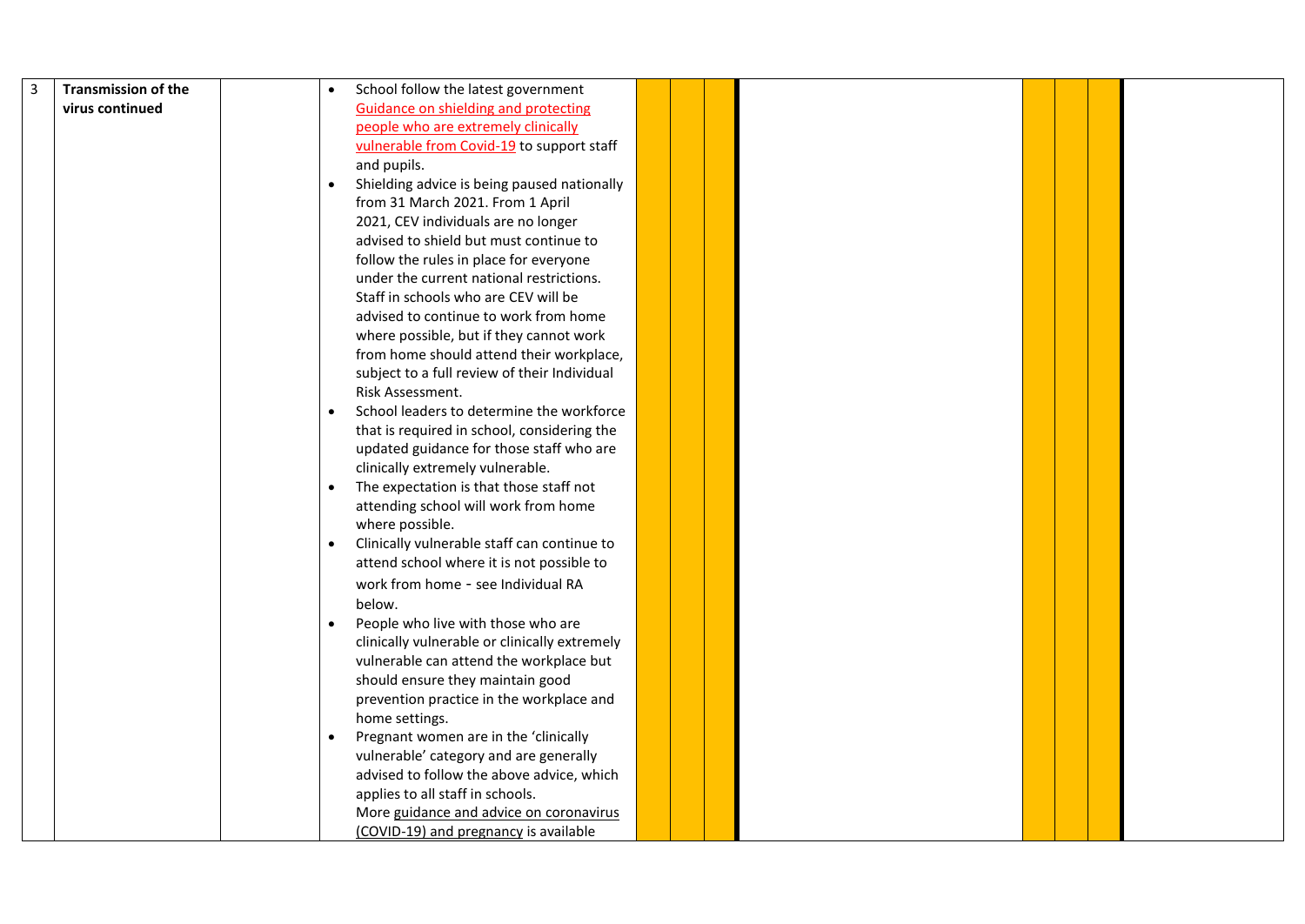| 3 | <b>Transmission of the</b> | School follow the latest government                      |  |  |  |  |
|---|----------------------------|----------------------------------------------------------|--|--|--|--|
|   | virus continued            | <b>Guidance on shielding and protecting</b>              |  |  |  |  |
|   |                            | people who are extremely clinically                      |  |  |  |  |
|   |                            | vulnerable from Covid-19 to support staff                |  |  |  |  |
|   |                            | and pupils.                                              |  |  |  |  |
|   |                            | Shielding advice is being paused nationally<br>$\bullet$ |  |  |  |  |
|   |                            | from 31 March 2021. From 1 April                         |  |  |  |  |
|   |                            | 2021, CEV individuals are no longer                      |  |  |  |  |
|   |                            | advised to shield but must continue to                   |  |  |  |  |
|   |                            | follow the rules in place for everyone                   |  |  |  |  |
|   |                            | under the current national restrictions.                 |  |  |  |  |
|   |                            | Staff in schools who are CEV will be                     |  |  |  |  |
|   |                            | advised to continue to work from home                    |  |  |  |  |
|   |                            | where possible, but if they cannot work                  |  |  |  |  |
|   |                            | from home should attend their workplace,                 |  |  |  |  |
|   |                            | subject to a full review of their Individual             |  |  |  |  |
|   |                            | Risk Assessment.                                         |  |  |  |  |
|   |                            | School leaders to determine the workforce                |  |  |  |  |
|   |                            | that is required in school, considering the              |  |  |  |  |
|   |                            | updated guidance for those staff who are                 |  |  |  |  |
|   |                            | clinically extremely vulnerable.                         |  |  |  |  |
|   |                            | The expectation is that those staff not                  |  |  |  |  |
|   |                            | attending school will work from home                     |  |  |  |  |
|   |                            | where possible.                                          |  |  |  |  |
|   |                            | Clinically vulnerable staff can continue to              |  |  |  |  |
|   |                            | attend school where it is not possible to                |  |  |  |  |
|   |                            | work from home - see Individual RA                       |  |  |  |  |
|   |                            | below.                                                   |  |  |  |  |
|   |                            | People who live with those who are<br>$\bullet$          |  |  |  |  |
|   |                            | clinically vulnerable or clinically extremely            |  |  |  |  |
|   |                            | vulnerable can attend the workplace but                  |  |  |  |  |
|   |                            | should ensure they maintain good                         |  |  |  |  |
|   |                            | prevention practice in the workplace and                 |  |  |  |  |
|   |                            | home settings.                                           |  |  |  |  |
|   |                            | Pregnant women are in the 'clinically<br>$\bullet$       |  |  |  |  |
|   |                            | vulnerable' category and are generally                   |  |  |  |  |
|   |                            | advised to follow the above advice, which                |  |  |  |  |
|   |                            | applies to all staff in schools.                         |  |  |  |  |
|   |                            | More guidance and advice on coronavirus                  |  |  |  |  |
|   |                            | (COVID-19) and pregnancy is available                    |  |  |  |  |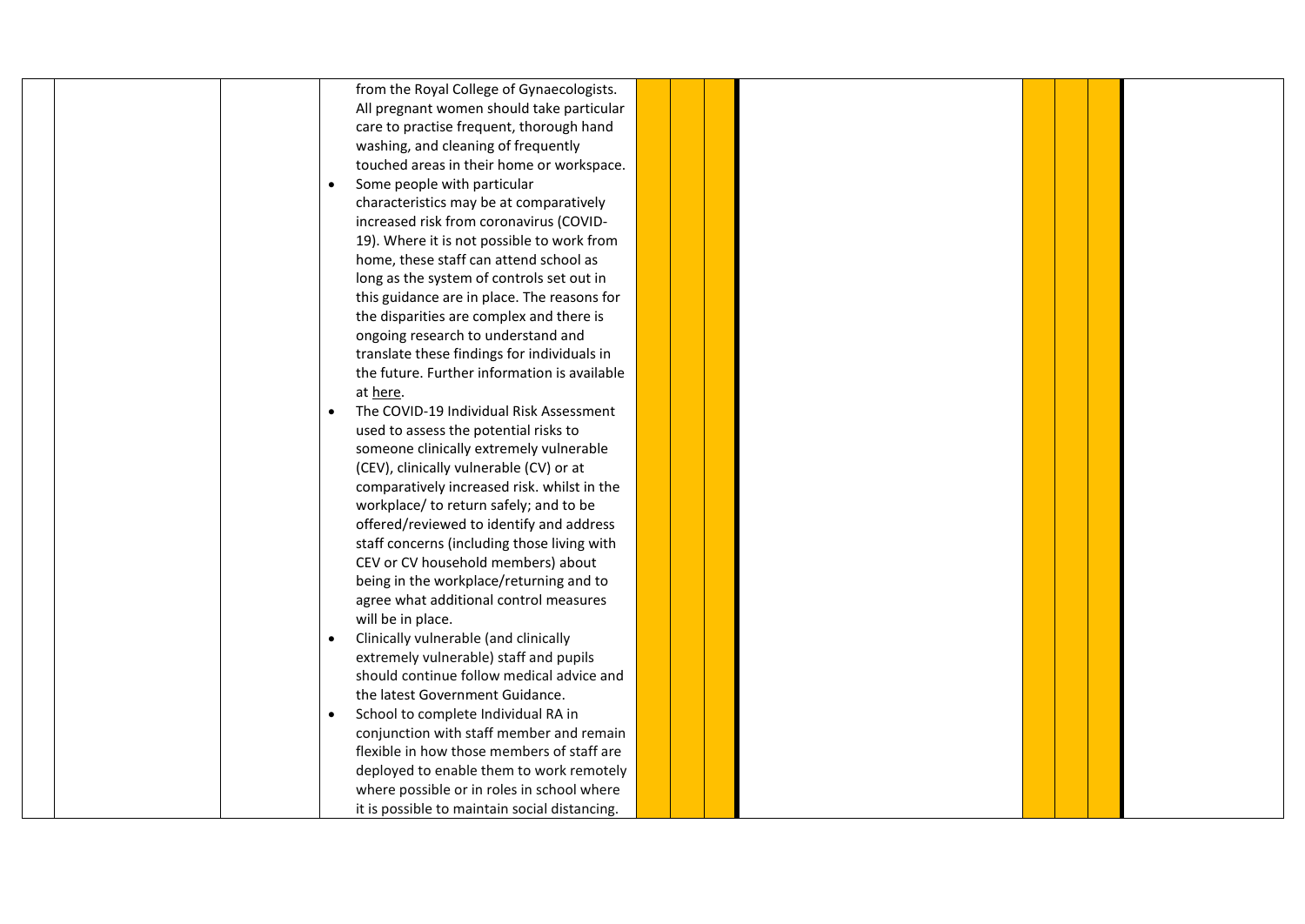|  | from the Royal College of Gynaecologists.            |  |  |  |  |
|--|------------------------------------------------------|--|--|--|--|
|  | All pregnant women should take particular            |  |  |  |  |
|  | care to practise frequent, thorough hand             |  |  |  |  |
|  | washing, and cleaning of frequently                  |  |  |  |  |
|  | touched areas in their home or workspace.            |  |  |  |  |
|  | Some people with particular<br>$\bullet$             |  |  |  |  |
|  | characteristics may be at comparatively              |  |  |  |  |
|  | increased risk from coronavirus (COVID-              |  |  |  |  |
|  | 19). Where it is not possible to work from           |  |  |  |  |
|  | home, these staff can attend school as               |  |  |  |  |
|  | long as the system of controls set out in            |  |  |  |  |
|  | this guidance are in place. The reasons for          |  |  |  |  |
|  | the disparities are complex and there is             |  |  |  |  |
|  | ongoing research to understand and                   |  |  |  |  |
|  | translate these findings for individuals in          |  |  |  |  |
|  | the future. Further information is available         |  |  |  |  |
|  | at here.                                             |  |  |  |  |
|  | The COVID-19 Individual Risk Assessment<br>$\bullet$ |  |  |  |  |
|  | used to assess the potential risks to                |  |  |  |  |
|  | someone clinically extremely vulnerable              |  |  |  |  |
|  | (CEV), clinically vulnerable (CV) or at              |  |  |  |  |
|  | comparatively increased risk. whilst in the          |  |  |  |  |
|  | workplace/ to return safely; and to be               |  |  |  |  |
|  | offered/reviewed to identify and address             |  |  |  |  |
|  | staff concerns (including those living with          |  |  |  |  |
|  | CEV or CV household members) about                   |  |  |  |  |
|  | being in the workplace/returning and to              |  |  |  |  |
|  | agree what additional control measures               |  |  |  |  |
|  | will be in place.                                    |  |  |  |  |
|  | Clinically vulnerable (and clinically<br>$\bullet$   |  |  |  |  |
|  | extremely vulnerable) staff and pupils               |  |  |  |  |
|  | should continue follow medical advice and            |  |  |  |  |
|  | the latest Government Guidance.                      |  |  |  |  |
|  | School to complete Individual RA in<br>$\bullet$     |  |  |  |  |
|  | conjunction with staff member and remain             |  |  |  |  |
|  | flexible in how those members of staff are           |  |  |  |  |
|  | deployed to enable them to work remotely             |  |  |  |  |
|  | where possible or in roles in school where           |  |  |  |  |
|  | it is possible to maintain social distancing.        |  |  |  |  |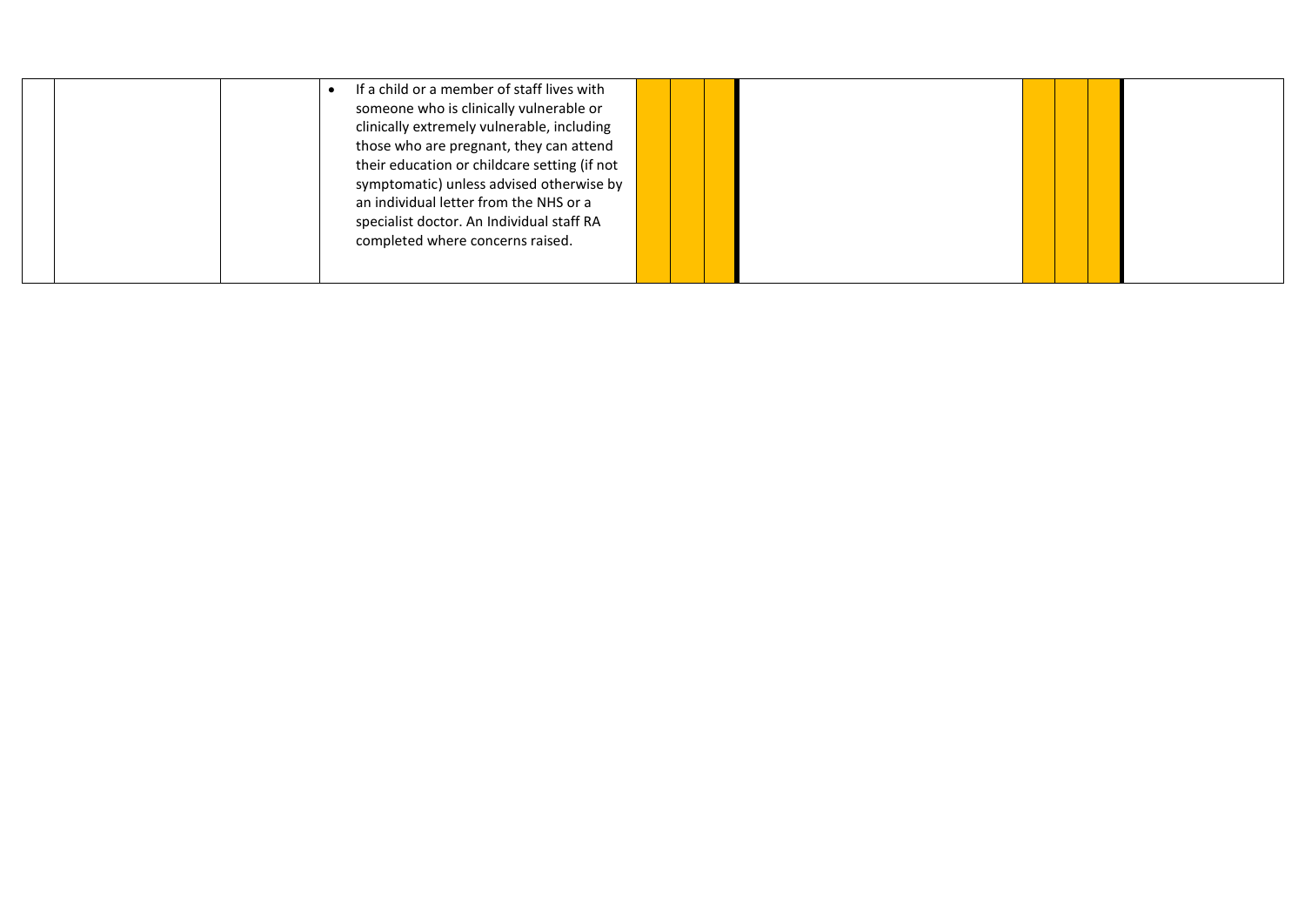|  | If a child or a member of staff lives with   |  |  |  |
|--|----------------------------------------------|--|--|--|
|  | someone who is clinically vulnerable or      |  |  |  |
|  | clinically extremely vulnerable, including   |  |  |  |
|  | those who are pregnant, they can attend      |  |  |  |
|  | their education or childcare setting (if not |  |  |  |
|  | symptomatic) unless advised otherwise by     |  |  |  |
|  | an individual letter from the NHS or a       |  |  |  |
|  | specialist doctor. An Individual staff RA    |  |  |  |
|  | completed where concerns raised.             |  |  |  |
|  |                                              |  |  |  |
|  |                                              |  |  |  |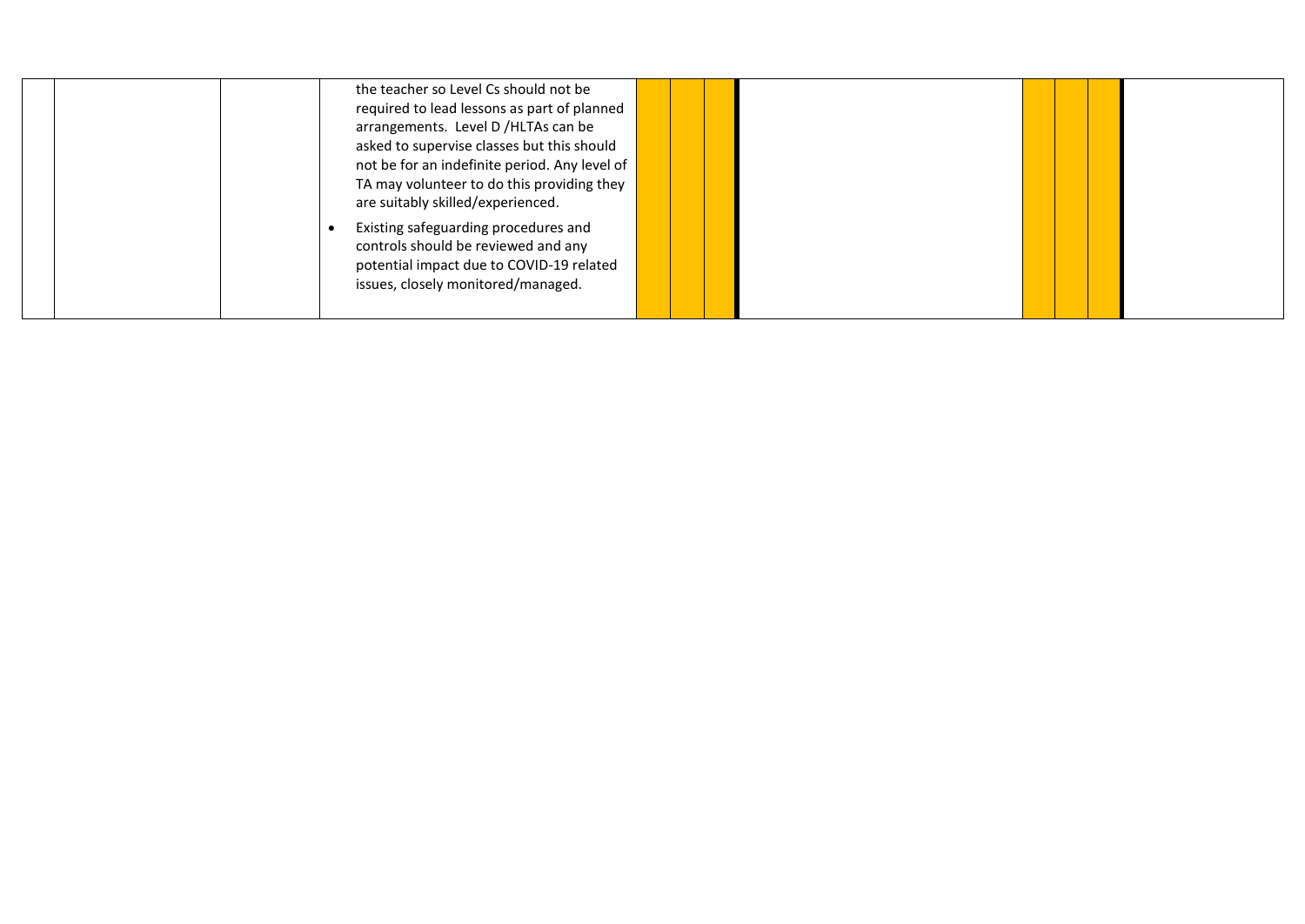| the teacher so Level Cs should not be<br>required to lead lessons as part of planned<br>arrangements. Level D /HLTAs can be<br>asked to supervise classes but this should<br>not be for an indefinite period. Any level of |  |  |  |  |
|----------------------------------------------------------------------------------------------------------------------------------------------------------------------------------------------------------------------------|--|--|--|--|
| TA may volunteer to do this providing they<br>are suitably skilled/experienced.                                                                                                                                            |  |  |  |  |
| Existing safeguarding procedures and<br>controls should be reviewed and any<br>potential impact due to COVID-19 related<br>issues, closely monitored/managed.                                                              |  |  |  |  |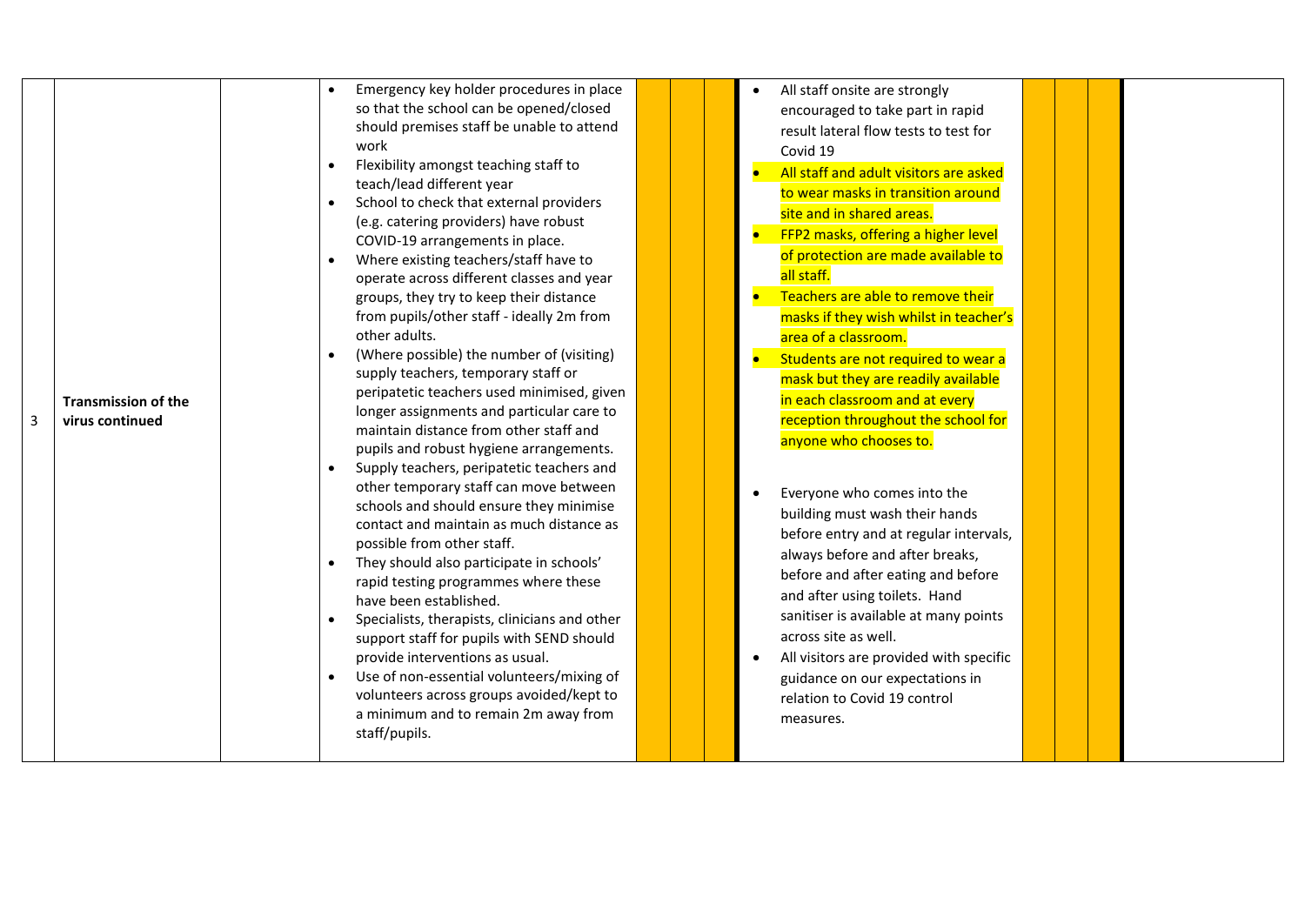| 3 | <b>Transmission of the</b><br>virus continued |  | so that the school can be opened/closed<br>should premises staff be unable to attend<br>work<br>Flexibility amongst teaching staff to<br>teach/lead different year<br>School to check that external providers<br>(e.g. catering providers) have robust<br>COVID-19 arrangements in place.<br>Where existing teachers/staff have to<br>operate across different classes and year<br>groups, they try to keep their distance<br>from pupils/other staff - ideally 2m from<br>other adults.<br>(Where possible) the number of (visiting)<br>supply teachers, temporary staff or<br>peripatetic teachers used minimised, given<br>longer assignments and particular care to<br>maintain distance from other staff and<br>pupils and robust hygiene arrangements.<br>Supply teachers, peripatetic teachers and<br>other temporary staff can move between<br>schools and should ensure they minimise<br>contact and maintain as much distance as<br>possible from other staff.<br>They should also participate in schools'<br>rapid testing programmes where these<br>have been established.<br>Specialists, therapists, clinicians and other<br>support staff for pupils with SEND should<br>provide interventions as usual.<br>Use of non-essential volunteers/mixing of<br>volunteers across groups avoided/kept to<br>a minimum and to remain 2m away from<br>staff/pupils. |  |  | encouraged to take part in rapid<br>result lateral flow tests to test for<br>Covid 19<br>All staff and adult visitors are asked<br>$\bullet$<br>to wear masks in transition around<br>site and in shared areas.<br>FFP2 masks, offering a higher level<br>of protection are made available to<br>all staff.<br>Teachers are able to remove their<br>masks if they wish whilst in teacher's<br>area of a classroom.<br>Students are not required to wear a<br>mask but they are readily available<br>in each classroom and at every<br>reception throughout the school for<br>anyone who chooses to.<br>Everyone who comes into the<br>building must wash their hands<br>before entry and at regular intervals,<br>always before and after breaks,<br>before and after eating and before<br>and after using toilets. Hand<br>sanitiser is available at many points<br>across site as well.<br>All visitors are provided with specific<br>guidance on our expectations in<br>relation to Covid 19 control<br>measures. |  |  |  |
|---|-----------------------------------------------|--|---------------------------------------------------------------------------------------------------------------------------------------------------------------------------------------------------------------------------------------------------------------------------------------------------------------------------------------------------------------------------------------------------------------------------------------------------------------------------------------------------------------------------------------------------------------------------------------------------------------------------------------------------------------------------------------------------------------------------------------------------------------------------------------------------------------------------------------------------------------------------------------------------------------------------------------------------------------------------------------------------------------------------------------------------------------------------------------------------------------------------------------------------------------------------------------------------------------------------------------------------------------------------------------------------------------------------------------------------------------------------|--|--|----------------------------------------------------------------------------------------------------------------------------------------------------------------------------------------------------------------------------------------------------------------------------------------------------------------------------------------------------------------------------------------------------------------------------------------------------------------------------------------------------------------------------------------------------------------------------------------------------------------------------------------------------------------------------------------------------------------------------------------------------------------------------------------------------------------------------------------------------------------------------------------------------------------------------------------------------------------------------------------------------------------------|--|--|--|
|---|-----------------------------------------------|--|---------------------------------------------------------------------------------------------------------------------------------------------------------------------------------------------------------------------------------------------------------------------------------------------------------------------------------------------------------------------------------------------------------------------------------------------------------------------------------------------------------------------------------------------------------------------------------------------------------------------------------------------------------------------------------------------------------------------------------------------------------------------------------------------------------------------------------------------------------------------------------------------------------------------------------------------------------------------------------------------------------------------------------------------------------------------------------------------------------------------------------------------------------------------------------------------------------------------------------------------------------------------------------------------------------------------------------------------------------------------------|--|--|----------------------------------------------------------------------------------------------------------------------------------------------------------------------------------------------------------------------------------------------------------------------------------------------------------------------------------------------------------------------------------------------------------------------------------------------------------------------------------------------------------------------------------------------------------------------------------------------------------------------------------------------------------------------------------------------------------------------------------------------------------------------------------------------------------------------------------------------------------------------------------------------------------------------------------------------------------------------------------------------------------------------|--|--|--|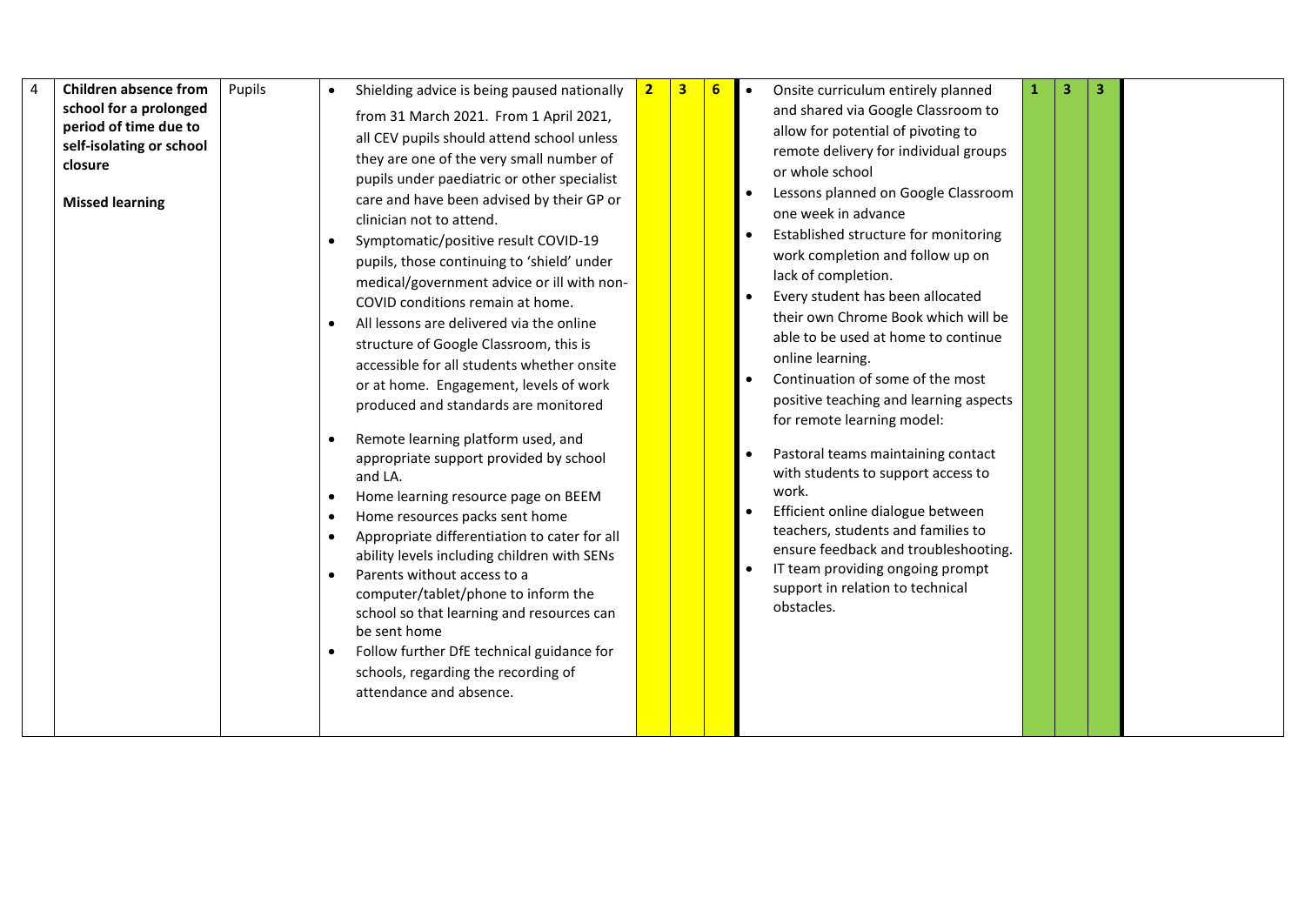| <b>Children absence from</b><br>4<br>Pupils<br>school for a prolonged<br>period of time due to | Shielding advice is being paused nationally<br>from 31 March 2021. From 1 April 2021,                                                                                                                                                                                                                                                                                                                                                                                                                                                                                                                                                                                                                                                                                                                                                                                                                                                                                                    | 2 <sub>1</sub> | $\mathbf{3}$ | $6 \overline{6}$ | 3<br>Onsite curriculum entirely planned<br>з<br>and shared via Google Classroom to                                                                                                                                                                                                                                                                                                                                                                                                                                                                                                                                                                                     |  |
|------------------------------------------------------------------------------------------------|------------------------------------------------------------------------------------------------------------------------------------------------------------------------------------------------------------------------------------------------------------------------------------------------------------------------------------------------------------------------------------------------------------------------------------------------------------------------------------------------------------------------------------------------------------------------------------------------------------------------------------------------------------------------------------------------------------------------------------------------------------------------------------------------------------------------------------------------------------------------------------------------------------------------------------------------------------------------------------------|----------------|--------------|------------------|------------------------------------------------------------------------------------------------------------------------------------------------------------------------------------------------------------------------------------------------------------------------------------------------------------------------------------------------------------------------------------------------------------------------------------------------------------------------------------------------------------------------------------------------------------------------------------------------------------------------------------------------------------------------|--|
| self-isolating or school<br>closure                                                            | all CEV pupils should attend school unless<br>they are one of the very small number of<br>pupils under paediatric or other specialist                                                                                                                                                                                                                                                                                                                                                                                                                                                                                                                                                                                                                                                                                                                                                                                                                                                    |                |              |                  | allow for potential of pivoting to<br>remote delivery for individual groups<br>or whole school<br>Lessons planned on Google Classroom                                                                                                                                                                                                                                                                                                                                                                                                                                                                                                                                  |  |
| <b>Missed learning</b>                                                                         | care and have been advised by their GP or<br>clinician not to attend.<br>Symptomatic/positive result COVID-19<br>pupils, those continuing to 'shield' under<br>medical/government advice or ill with non-<br>COVID conditions remain at home.<br>All lessons are delivered via the online<br>structure of Google Classroom, this is<br>accessible for all students whether onsite<br>or at home. Engagement, levels of work<br>produced and standards are monitored<br>Remote learning platform used, and<br>appropriate support provided by school<br>and LA.<br>Home learning resource page on BEEM<br>Home resources packs sent home<br>Appropriate differentiation to cater for all<br>ability levels including children with SENs<br>Parents without access to a<br>computer/tablet/phone to inform the<br>school so that learning and resources can<br>be sent home<br>Follow further DfE technical guidance for<br>schools, regarding the recording of<br>attendance and absence. |                |              |                  | one week in advance<br>Established structure for monitoring<br>work completion and follow up on<br>lack of completion.<br>Every student has been allocated<br>their own Chrome Book which will be<br>able to be used at home to continue<br>online learning.<br>Continuation of some of the most<br>positive teaching and learning aspects<br>for remote learning model:<br>Pastoral teams maintaining contact<br>with students to support access to<br>work.<br>Efficient online dialogue between<br>teachers, students and families to<br>ensure feedback and troubleshooting.<br>IT team providing ongoing prompt<br>support in relation to technical<br>obstacles. |  |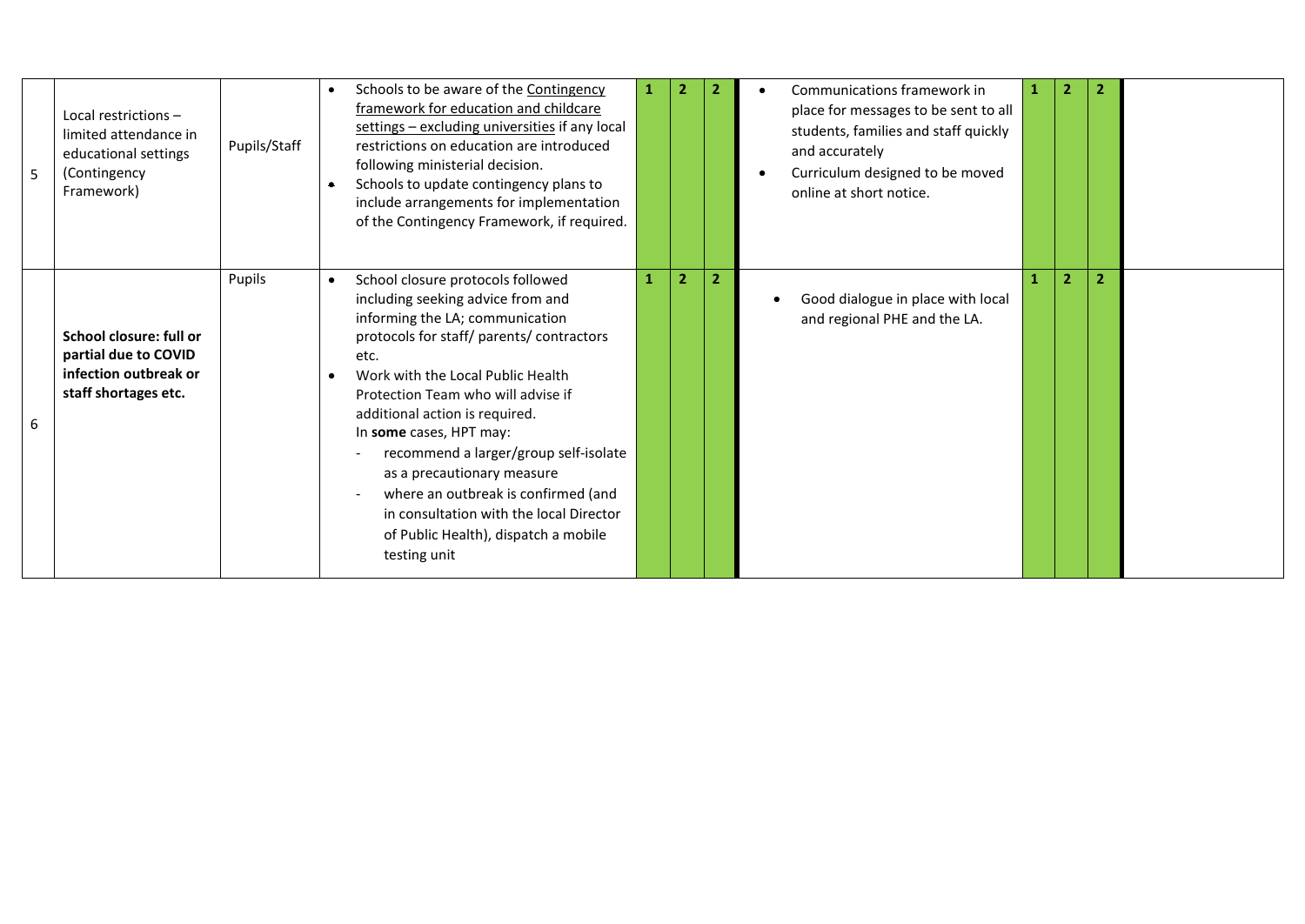| 5 | Local restrictions -<br>limited attendance in<br>educational settings<br>(Contingency<br>Framework) | Pupils/Staff | Schools to be aware of the Contingency<br>$\bullet$<br>framework for education and childcare<br>settings - excluding universities if any local<br>restrictions on education are introduced<br>following ministerial decision.<br>Schools to update contingency plans to<br>$\bullet$<br>include arrangements for implementation<br>of the Contingency Framework, if required.                                                                                                                                                                     |                |                | Communications framework in<br>place for messages to be sent to all<br>students, families and staff quickly<br>and accurately<br>Curriculum designed to be moved<br>online at short notice. |                | $\overline{2}$ |  |
|---|-----------------------------------------------------------------------------------------------------|--------------|---------------------------------------------------------------------------------------------------------------------------------------------------------------------------------------------------------------------------------------------------------------------------------------------------------------------------------------------------------------------------------------------------------------------------------------------------------------------------------------------------------------------------------------------------|----------------|----------------|---------------------------------------------------------------------------------------------------------------------------------------------------------------------------------------------|----------------|----------------|--|
| 6 | School closure: full or<br>partial due to COVID<br>infection outbreak or<br>staff shortages etc.    | Pupils       | School closure protocols followed<br>$\bullet$<br>including seeking advice from and<br>informing the LA; communication<br>protocols for staff/ parents/ contractors<br>etc.<br>Work with the Local Public Health<br>$\bullet$<br>Protection Team who will advise if<br>additional action is required.<br>In some cases, HPT may:<br>recommend a larger/group self-isolate<br>as a precautionary measure<br>where an outbreak is confirmed (and<br>in consultation with the local Director<br>of Public Health), dispatch a mobile<br>testing unit | $\overline{2}$ | $\overline{2}$ | Good dialogue in place with local<br>and regional PHE and the LA.                                                                                                                           | $\overline{2}$ | $\overline{2}$ |  |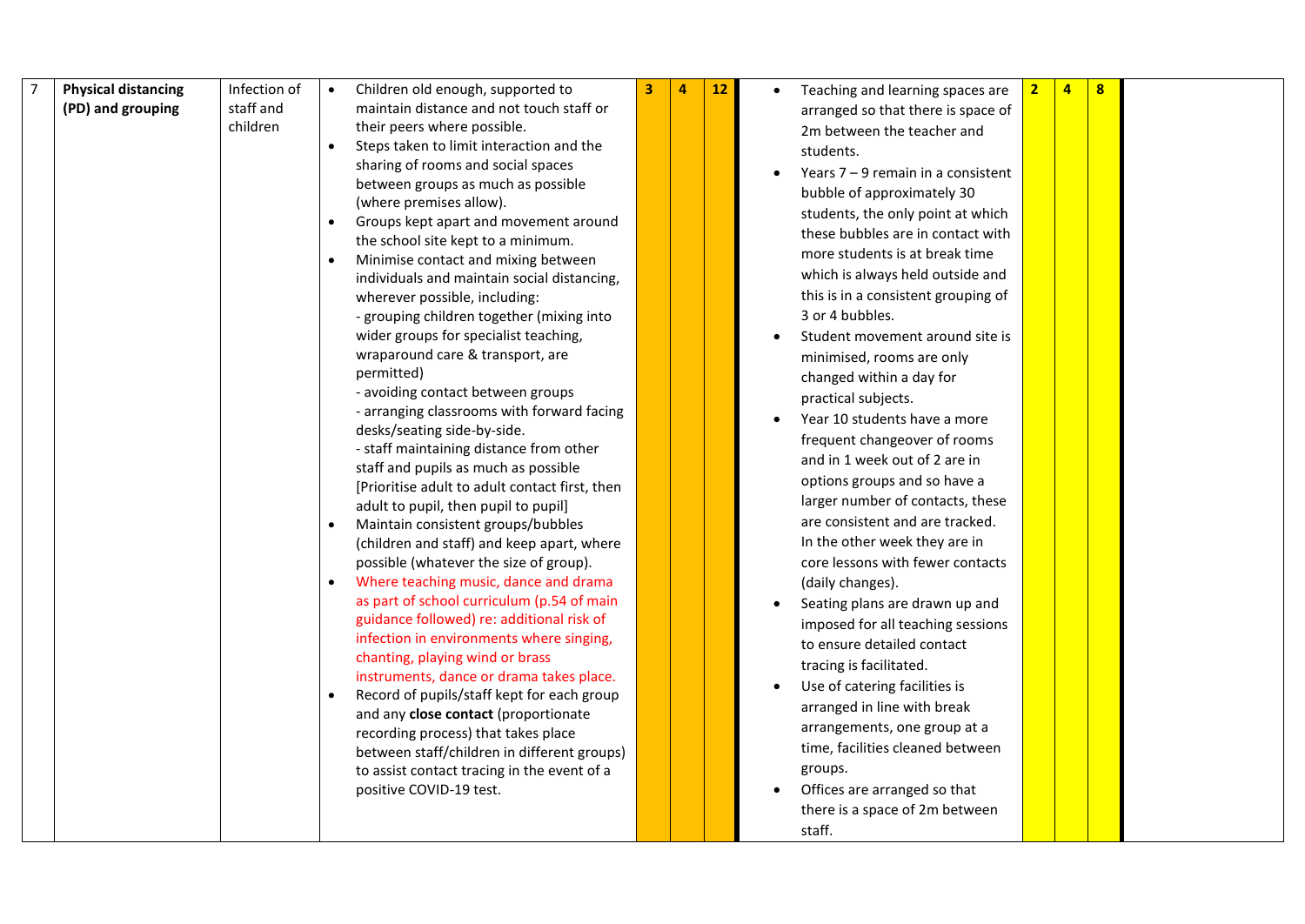| $\overline{7}$ | <b>Physical distancing</b> | Infection of | Children old enough, supported to                                                  | 3 | 12 | Teaching and learning spaces are     | $\overline{2}$ | $\overline{a}$ | $\overline{\mathbf{8}}$ |  |
|----------------|----------------------------|--------------|------------------------------------------------------------------------------------|---|----|--------------------------------------|----------------|----------------|-------------------------|--|
|                | (PD) and grouping          | staff and    | maintain distance and not touch staff or                                           |   |    | arranged so that there is space of   |                |                |                         |  |
|                |                            | children     | their peers where possible.                                                        |   |    | 2m between the teacher and           |                |                |                         |  |
|                |                            |              | Steps taken to limit interaction and the                                           |   |    | students.                            |                |                |                         |  |
|                |                            |              | sharing of rooms and social spaces                                                 |   |    | Years $7 - 9$ remain in a consistent |                |                |                         |  |
|                |                            |              | between groups as much as possible                                                 |   |    | bubble of approximately 30           |                |                |                         |  |
|                |                            |              | (where premises allow).                                                            |   |    | students, the only point at which    |                |                |                         |  |
|                |                            |              | Groups kept apart and movement around                                              |   |    | these bubbles are in contact with    |                |                |                         |  |
|                |                            |              | the school site kept to a minimum.                                                 |   |    | more students is at break time       |                |                |                         |  |
|                |                            |              | Minimise contact and mixing between                                                |   |    | which is always held outside and     |                |                |                         |  |
|                |                            |              | individuals and maintain social distancing,                                        |   |    |                                      |                |                |                         |  |
|                |                            |              | wherever possible, including:                                                      |   |    | this is in a consistent grouping of  |                |                |                         |  |
|                |                            |              | - grouping children together (mixing into                                          |   |    | 3 or 4 bubbles.                      |                |                |                         |  |
|                |                            |              | wider groups for specialist teaching,<br>wraparound care & transport, are          |   |    | Student movement around site is      |                |                |                         |  |
|                |                            |              | permitted)                                                                         |   |    | minimised, rooms are only            |                |                |                         |  |
|                |                            |              | - avoiding contact between groups                                                  |   |    | changed within a day for             |                |                |                         |  |
|                |                            |              | - arranging classrooms with forward facing                                         |   |    | practical subjects.                  |                |                |                         |  |
|                |                            |              | desks/seating side-by-side.                                                        |   |    | Year 10 students have a more         |                |                |                         |  |
|                |                            |              | - staff maintaining distance from other                                            |   |    | frequent changeover of rooms         |                |                |                         |  |
|                |                            |              | staff and pupils as much as possible                                               |   |    | and in 1 week out of 2 are in        |                |                |                         |  |
|                |                            |              | [Prioritise adult to adult contact first, then                                     |   |    | options groups and so have a         |                |                |                         |  |
|                |                            |              | adult to pupil, then pupil to pupil]                                               |   |    | larger number of contacts, these     |                |                |                         |  |
|                |                            |              | Maintain consistent groups/bubbles                                                 |   |    | are consistent and are tracked.      |                |                |                         |  |
|                |                            |              | (children and staff) and keep apart, where                                         |   |    | In the other week they are in        |                |                |                         |  |
|                |                            |              | possible (whatever the size of group).                                             |   |    | core lessons with fewer contacts     |                |                |                         |  |
|                |                            |              | Where teaching music, dance and drama                                              |   |    | (daily changes).                     |                |                |                         |  |
|                |                            |              | as part of school curriculum (p.54 of main                                         |   |    | Seating plans are drawn up and       |                |                |                         |  |
|                |                            |              | guidance followed) re: additional risk of                                          |   |    | imposed for all teaching sessions    |                |                |                         |  |
|                |                            |              | infection in environments where singing,                                           |   |    | to ensure detailed contact           |                |                |                         |  |
|                |                            |              | chanting, playing wind or brass                                                    |   |    | tracing is facilitated.              |                |                |                         |  |
|                |                            |              | instruments, dance or drama takes place.                                           |   |    | Use of catering facilities is        |                |                |                         |  |
|                |                            |              | Record of pupils/staff kept for each group<br>and any close contact (proportionate |   |    | arranged in line with break          |                |                |                         |  |
|                |                            |              | recording process) that takes place                                                |   |    | arrangements, one group at a         |                |                |                         |  |
|                |                            |              | between staff/children in different groups)                                        |   |    | time, facilities cleaned between     |                |                |                         |  |
|                |                            |              | to assist contact tracing in the event of a                                        |   |    | groups.                              |                |                |                         |  |
|                |                            |              | positive COVID-19 test.                                                            |   |    | Offices are arranged so that         |                |                |                         |  |
|                |                            |              |                                                                                    |   |    | there is a space of 2m between       |                |                |                         |  |
|                |                            |              |                                                                                    |   |    | staff.                               |                |                |                         |  |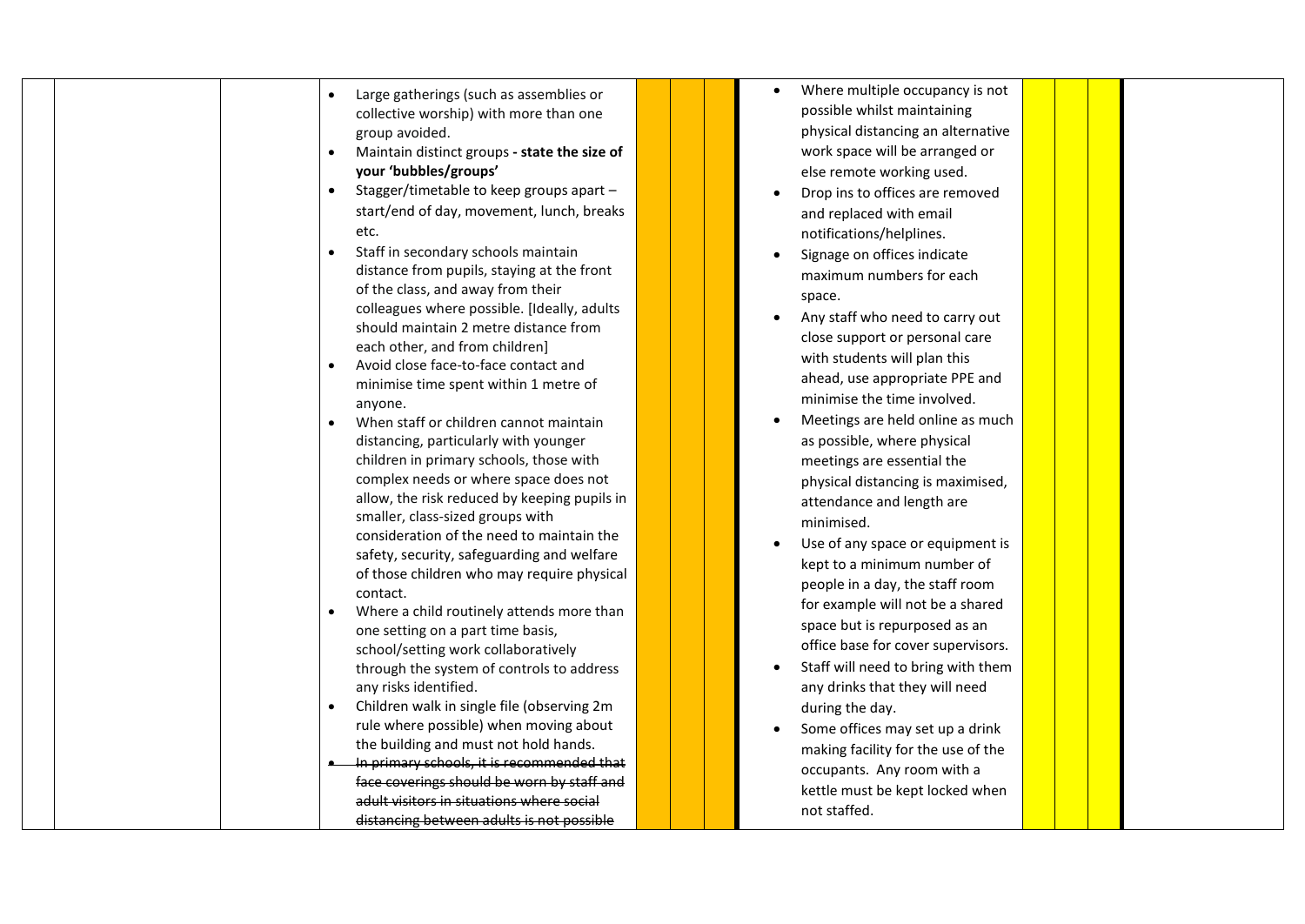| Large gatherings (such as assemblies or                                 |  | Where multiple occupancy is not    |  |
|-------------------------------------------------------------------------|--|------------------------------------|--|
| collective worship) with more than one                                  |  | possible whilst maintaining        |  |
| group avoided.                                                          |  | physical distancing an alternative |  |
| Maintain distinct groups - state the size of<br>$\bullet$               |  | work space will be arranged or     |  |
| your 'bubbles/groups'                                                   |  | else remote working used.          |  |
| Stagger/timetable to keep groups apart -<br>$\bullet$                   |  | Drop ins to offices are removed    |  |
| start/end of day, movement, lunch, breaks                               |  | and replaced with email            |  |
| etc.                                                                    |  | notifications/helplines.           |  |
| Staff in secondary schools maintain                                     |  | Signage on offices indicate        |  |
| distance from pupils, staying at the front                              |  | maximum numbers for each           |  |
| of the class, and away from their                                       |  | space.                             |  |
| colleagues where possible. [Ideally, adults                             |  | Any staff who need to carry out    |  |
| should maintain 2 metre distance from<br>each other, and from children] |  | close support or personal care     |  |
| Avoid close face-to-face contact and                                    |  | with students will plan this       |  |
| minimise time spent within 1 metre of                                   |  | ahead, use appropriate PPE and     |  |
| anyone.                                                                 |  | minimise the time involved.        |  |
| When staff or children cannot maintain                                  |  | Meetings are held online as much   |  |
| distancing, particularly with younger                                   |  | as possible, where physical        |  |
| children in primary schools, those with                                 |  | meetings are essential the         |  |
| complex needs or where space does not                                   |  | physical distancing is maximised,  |  |
| allow, the risk reduced by keeping pupils in                            |  | attendance and length are          |  |
| smaller, class-sized groups with                                        |  | minimised.                         |  |
| consideration of the need to maintain the                               |  | Use of any space or equipment is   |  |
| safety, security, safeguarding and welfare                              |  | kept to a minimum number of        |  |
| of those children who may require physical                              |  | people in a day, the staff room    |  |
| contact.                                                                |  | for example will not be a shared   |  |
| Where a child routinely attends more than                               |  | space but is repurposed as an      |  |
| one setting on a part time basis,                                       |  | office base for cover supervisors. |  |
| school/setting work collaboratively                                     |  | Staff will need to bring with them |  |
| through the system of controls to address                               |  |                                    |  |
| any risks identified.<br>Children walk in single file (observing 2m     |  | any drinks that they will need     |  |
| rule where possible) when moving about                                  |  | during the day.                    |  |
| the building and must not hold hands.                                   |  | Some offices may set up a drink    |  |
| In primary schools, it is recommended that                              |  | making facility for the use of the |  |
| face coverings should be worn by staff and                              |  | occupants. Any room with a         |  |
| adult visitors in situations where social                               |  | kettle must be kept locked when    |  |
| distancing between adults is not possible                               |  | not staffed.                       |  |
|                                                                         |  |                                    |  |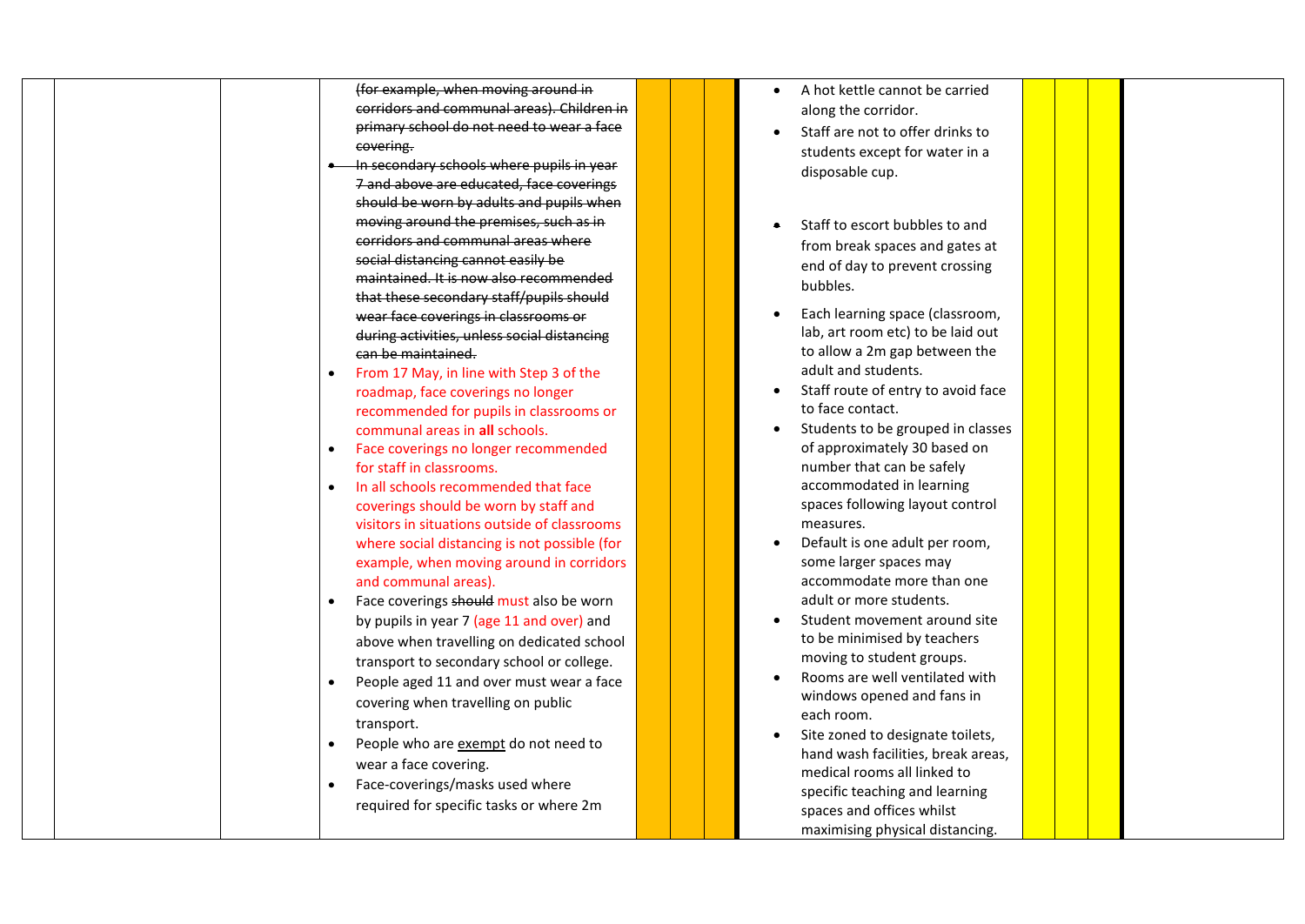|  |           | (for example, when moving around in          |  |
|--|-----------|----------------------------------------------|--|
|  |           | corridors and communal areas). Children in   |  |
|  |           | primary school do not need to wear a face    |  |
|  |           | covering.                                    |  |
|  |           | In secondary schools where pupils in year    |  |
|  |           | 7 and above are educated, face coverings     |  |
|  |           | should be worn by adults and pupils when     |  |
|  |           | moving around the premises, such as in       |  |
|  |           | corridors and communal areas where           |  |
|  |           | social distancing cannot easily be           |  |
|  |           | maintained. It is now also recommended       |  |
|  |           | that these secondary staff/pupils should     |  |
|  |           | wear face coverings in classrooms or         |  |
|  |           | during activities, unless social distancing  |  |
|  |           | can be maintained.                           |  |
|  |           | From 17 May, in line with Step 3 of the      |  |
|  |           | roadmap, face coverings no longer            |  |
|  |           | recommended for pupils in classrooms or      |  |
|  |           | communal areas in all schools.               |  |
|  | $\bullet$ | Face coverings no longer recommended         |  |
|  |           | for staff in classrooms.                     |  |
|  | $\bullet$ | In all schools recommended that face         |  |
|  |           | coverings should be worn by staff and        |  |
|  |           | visitors in situations outside of classrooms |  |
|  |           | where social distancing is not possible (for |  |
|  |           | example, when moving around in corridors     |  |
|  |           | and communal areas).                         |  |
|  |           | Face coverings should must also be worn      |  |
|  |           | by pupils in year 7 (age 11 and over) and    |  |
|  |           | above when travelling on dedicated school    |  |
|  |           | transport to secondary school or college.    |  |
|  |           | People aged 11 and over must wear a face     |  |
|  |           | covering when travelling on public           |  |
|  |           | transport.                                   |  |
|  |           | People who are exempt do not need to         |  |
|  |           | wear a face covering.                        |  |
|  |           | Face-coverings/masks used where              |  |
|  |           | required for specific tasks or where 2m      |  |
|  |           |                                              |  |
|  |           |                                              |  |

- A hot kettle cannot be carried along the corridor.
- Staff are not to offer drinks to students except for water in a disposable cup.
- Staff to escort bubbles to and from break spaces and gates at end of day to prevent crossing bubbles.
- Each learning space (classroom, lab, art room etc) to be laid out to allow a 2m gap between the adult and students.
- Staff route of entry to avoid face to face contact.
- Students to be grouped in classes of approximately 30 based on number that can be safely accommodated in learning spaces following layout control measures.
- Default is one adult per room, some larger spaces may accommodate more than one adult or more students.
- Student movement around site to be minimised by teachers moving to student groups.
- Rooms are well ventilated with windows opened and fans in each room.
- Site zoned to designate toilets, hand wash facilities, break areas, medical rooms all linked to specific teaching and learning spaces and offices whilst maximising physical distancing.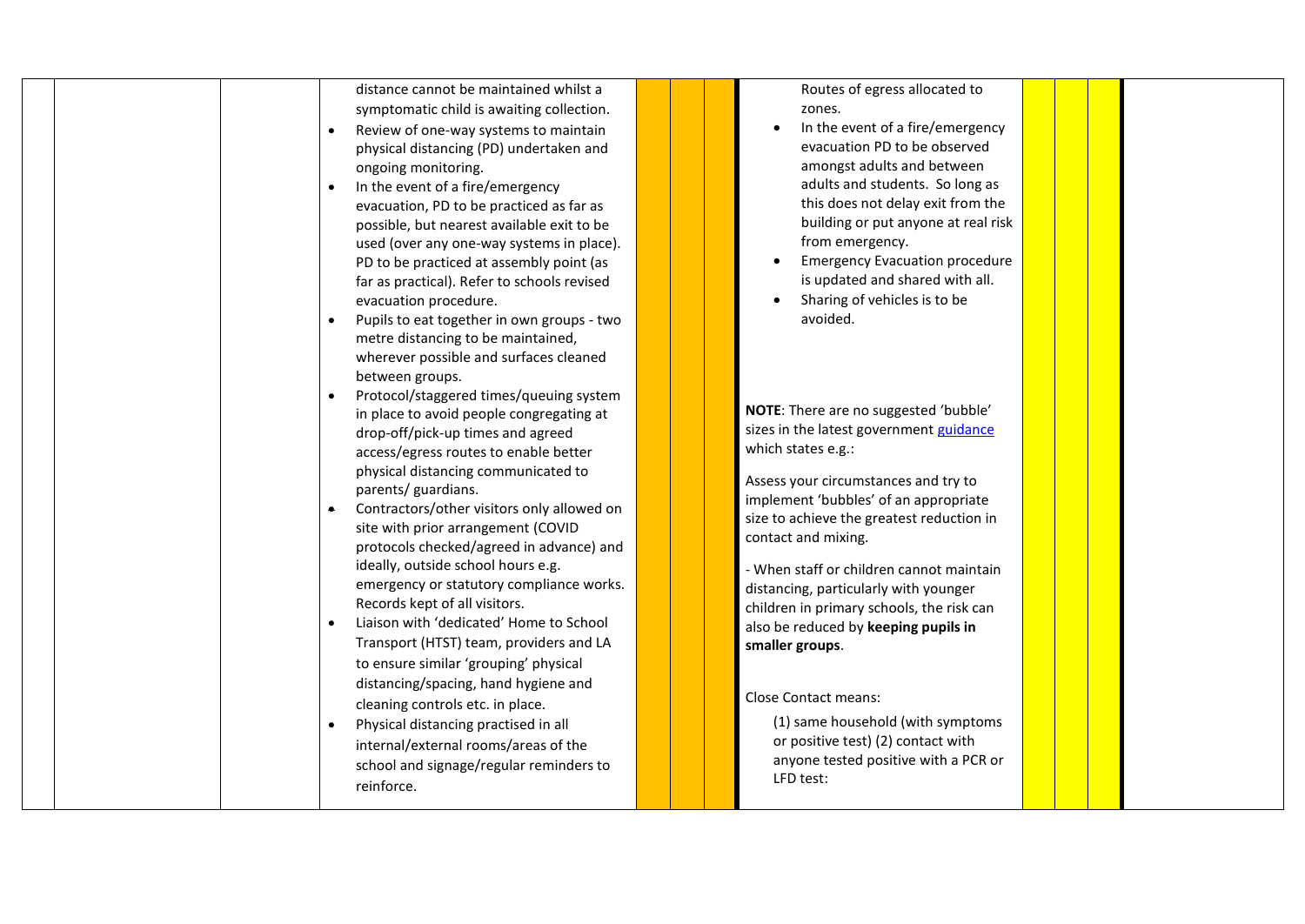|           | distance cannot be maintained whilst a      | Routes of egress allocated to             |  |
|-----------|---------------------------------------------|-------------------------------------------|--|
|           | symptomatic child is awaiting collection.   | zones.                                    |  |
|           | Review of one-way systems to maintain       | In the event of a fire/emergency          |  |
|           | physical distancing (PD) undertaken and     | evacuation PD to be observed              |  |
|           | ongoing monitoring.                         | amongst adults and between                |  |
| $\bullet$ | In the event of a fire/emergency            | adults and students. So long as           |  |
|           | evacuation, PD to be practiced as far as    | this does not delay exit from the         |  |
|           | possible, but nearest available exit to be  | building or put anyone at real risk       |  |
|           | used (over any one-way systems in place).   | from emergency.                           |  |
|           | PD to be practiced at assembly point (as    | <b>Emergency Evacuation procedure</b>     |  |
|           | far as practical). Refer to schools revised | is updated and shared with all.           |  |
|           | evacuation procedure.                       | Sharing of vehicles is to be              |  |
|           | Pupils to eat together in own groups - two  | avoided.                                  |  |
|           | metre distancing to be maintained,          |                                           |  |
|           | wherever possible and surfaces cleaned      |                                           |  |
|           | between groups.                             |                                           |  |
|           | Protocol/staggered times/queuing system     |                                           |  |
|           |                                             | NOTE: There are no suggested 'bubble'     |  |
|           | in place to avoid people congregating at    | sizes in the latest government guidance   |  |
|           | drop-off/pick-up times and agreed           | which states e.g.:                        |  |
|           | access/egress routes to enable better       |                                           |  |
|           | physical distancing communicated to         | Assess your circumstances and try to      |  |
|           | parents/ guardians.                         | implement 'bubbles' of an appropriate     |  |
| $\bullet$ | Contractors/other visitors only allowed on  | size to achieve the greatest reduction in |  |
|           | site with prior arrangement (COVID          | contact and mixing.                       |  |
|           | protocols checked/agreed in advance) and    |                                           |  |
|           | ideally, outside school hours e.g.          | - When staff or children cannot maintain  |  |
|           | emergency or statutory compliance works.    | distancing, particularly with younger     |  |
|           | Records kept of all visitors.               | children in primary schools, the risk can |  |
|           | Liaison with 'dedicated' Home to School     | also be reduced by keeping pupils in      |  |
|           | Transport (HTST) team, providers and LA     | smaller groups.                           |  |
|           | to ensure similar 'grouping' physical       |                                           |  |
|           | distancing/spacing, hand hygiene and        |                                           |  |
|           | cleaning controls etc. in place.            | <b>Close Contact means:</b>               |  |
|           | Physical distancing practised in all        | (1) same household (with symptoms         |  |
|           | internal/external rooms/areas of the        | or positive test) (2) contact with        |  |
|           | school and signage/regular reminders to     | anyone tested positive with a PCR or      |  |
|           | reinforce.                                  | LFD test:                                 |  |
|           |                                             |                                           |  |
|           |                                             |                                           |  |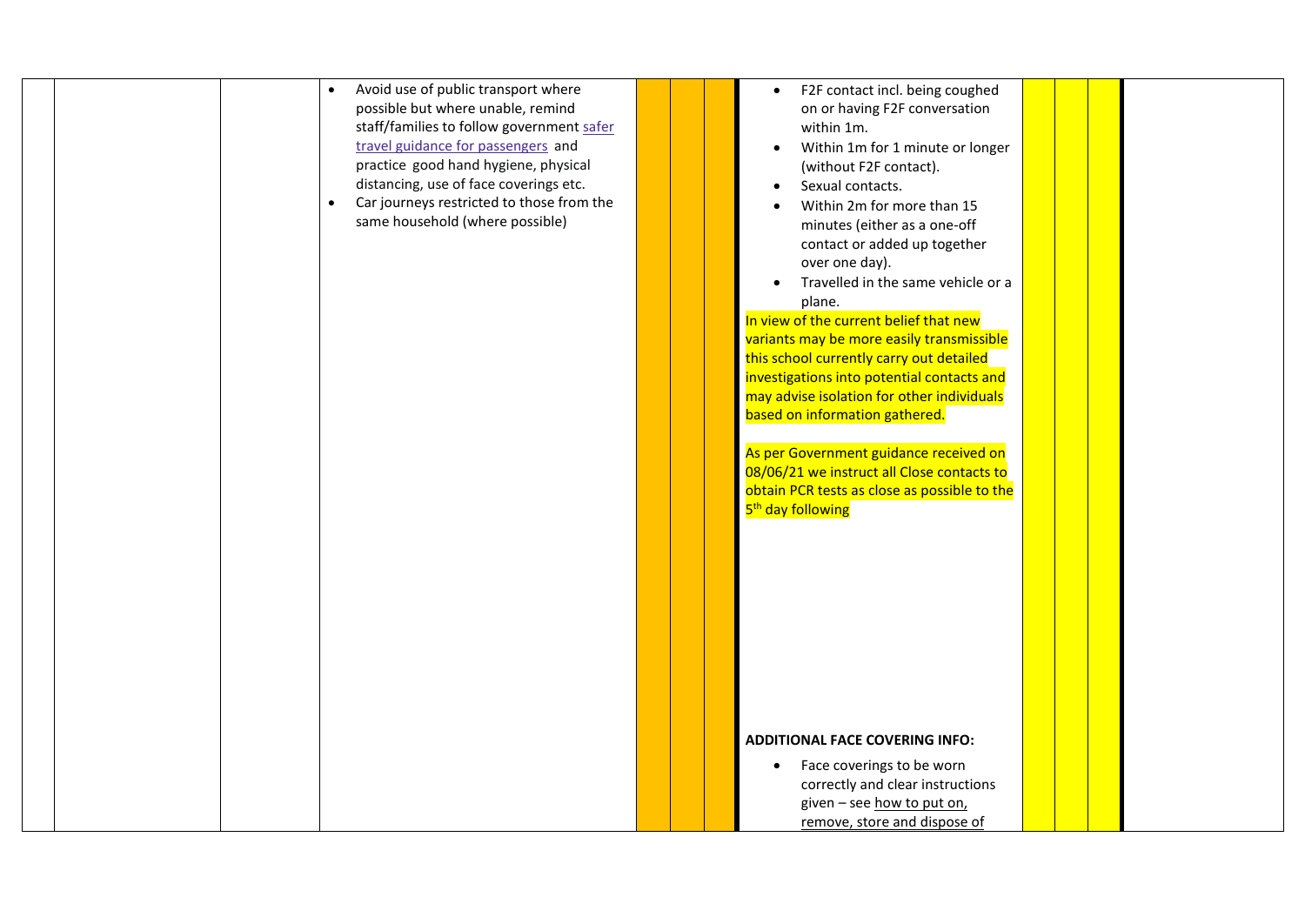| Face coverings to be worn<br>$\bullet$<br>correctly and clear instructions |  |  | F2F contact incl. being coughed<br>$\bullet$<br>on or having F2F conversation<br>within 1m.<br>Within 1m for 1 minute or longer<br>(without F2F contact).<br>Sexual contacts.<br>Within 2m for more than 15<br>minutes (either as a one-off<br>contact or added up together<br>over one day).<br>Travelled in the same vehicle or a<br>plane.<br>In view of the current belief that new<br>variants may be more easily transmissible<br>this school currently carry out detailed<br>investigations into potential contacts and<br>may advise isolation for other individuals<br>based on information gathered.<br>As per Government guidance received on<br>08/06/21 we instruct all Close contacts to<br>obtain PCR tests as close as possible to the<br>5 <sup>th</sup> day following<br><b>ADDITIONAL FACE COVERING INFO:</b> | Avoid use of public transport where<br>$\bullet$<br>possible but where unable, remind<br>staff/families to follow government safer<br>travel guidance for passengers and<br>practice good hand hygiene, physical<br>distancing, use of face coverings etc.<br>Car journeys restricted to those from the<br>same household (where possible) |  |
|----------------------------------------------------------------------------|--|--|----------------------------------------------------------------------------------------------------------------------------------------------------------------------------------------------------------------------------------------------------------------------------------------------------------------------------------------------------------------------------------------------------------------------------------------------------------------------------------------------------------------------------------------------------------------------------------------------------------------------------------------------------------------------------------------------------------------------------------------------------------------------------------------------------------------------------------|--------------------------------------------------------------------------------------------------------------------------------------------------------------------------------------------------------------------------------------------------------------------------------------------------------------------------------------------|--|
|                                                                            |  |  |                                                                                                                                                                                                                                                                                                                                                                                                                                                                                                                                                                                                                                                                                                                                                                                                                                  |                                                                                                                                                                                                                                                                                                                                            |  |
|                                                                            |  |  |                                                                                                                                                                                                                                                                                                                                                                                                                                                                                                                                                                                                                                                                                                                                                                                                                                  |                                                                                                                                                                                                                                                                                                                                            |  |
|                                                                            |  |  | given - see how to put on,                                                                                                                                                                                                                                                                                                                                                                                                                                                                                                                                                                                                                                                                                                                                                                                                       |                                                                                                                                                                                                                                                                                                                                            |  |
| remove, store and dispose of                                               |  |  |                                                                                                                                                                                                                                                                                                                                                                                                                                                                                                                                                                                                                                                                                                                                                                                                                                  |                                                                                                                                                                                                                                                                                                                                            |  |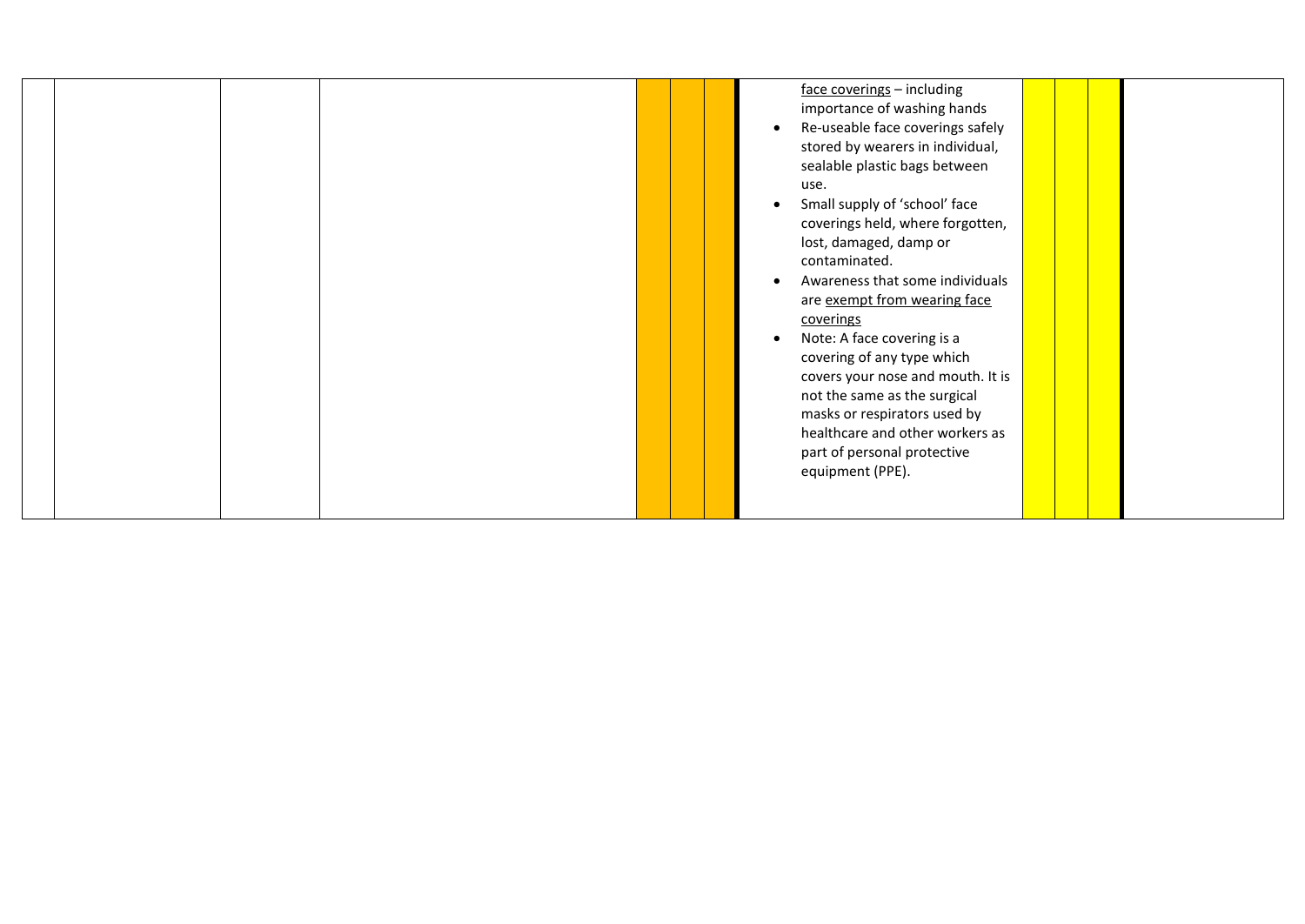|  |  | face coverings - including<br>importance of washing hands<br>Re-useable face coverings safely<br>$\bullet$<br>stored by wearers in individual,<br>sealable plastic bags between<br>use.<br>Small supply of 'school' face<br>coverings held, where forgotten,<br>lost, damaged, damp or<br>contaminated.<br>Awareness that some individuals<br>$\bullet$<br>are exempt from wearing face<br>coverings<br>Note: A face covering is a<br>covering of any type which |  |
|--|--|------------------------------------------------------------------------------------------------------------------------------------------------------------------------------------------------------------------------------------------------------------------------------------------------------------------------------------------------------------------------------------------------------------------------------------------------------------------|--|
|  |  |                                                                                                                                                                                                                                                                                                                                                                                                                                                                  |  |
|  |  | covers your nose and mouth. It is                                                                                                                                                                                                                                                                                                                                                                                                                                |  |
|  |  | not the same as the surgical<br>masks or respirators used by                                                                                                                                                                                                                                                                                                                                                                                                     |  |
|  |  | healthcare and other workers as<br>part of personal protective                                                                                                                                                                                                                                                                                                                                                                                                   |  |
|  |  | equipment (PPE).                                                                                                                                                                                                                                                                                                                                                                                                                                                 |  |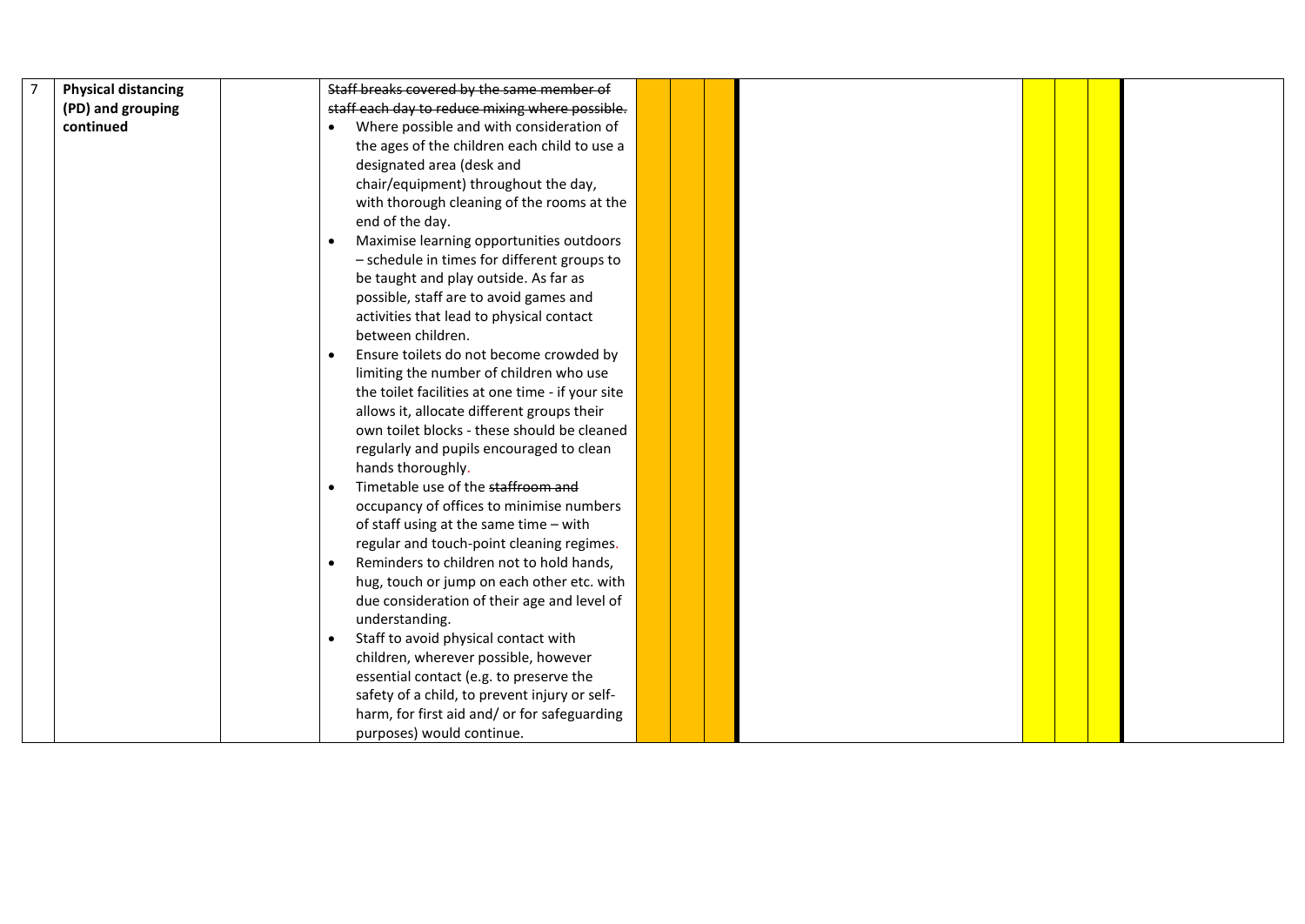| <b>Physical distancing</b> | Staff breaks covered by the same member of            |  |  |  |  |
|----------------------------|-------------------------------------------------------|--|--|--|--|
| (PD) and grouping          | staff each day to reduce mixing where possible.       |  |  |  |  |
| continued                  | Where possible and with consideration of              |  |  |  |  |
|                            | the ages of the children each child to use a          |  |  |  |  |
|                            | designated area (desk and                             |  |  |  |  |
|                            | chair/equipment) throughout the day,                  |  |  |  |  |
|                            | with thorough cleaning of the rooms at the            |  |  |  |  |
|                            | end of the day.                                       |  |  |  |  |
|                            | Maximise learning opportunities outdoors              |  |  |  |  |
|                            | - schedule in times for different groups to           |  |  |  |  |
|                            | be taught and play outside. As far as                 |  |  |  |  |
|                            | possible, staff are to avoid games and                |  |  |  |  |
|                            | activities that lead to physical contact              |  |  |  |  |
|                            | between children.                                     |  |  |  |  |
|                            | Ensure toilets do not become crowded by               |  |  |  |  |
|                            | limiting the number of children who use               |  |  |  |  |
|                            | the toilet facilities at one time - if your site      |  |  |  |  |
|                            | allows it, allocate different groups their            |  |  |  |  |
|                            | own toilet blocks - these should be cleaned           |  |  |  |  |
|                            | regularly and pupils encouraged to clean              |  |  |  |  |
|                            | hands thoroughly.                                     |  |  |  |  |
|                            | Timetable use of the staffroom and                    |  |  |  |  |
|                            | occupancy of offices to minimise numbers              |  |  |  |  |
|                            | of staff using at the same time - with                |  |  |  |  |
|                            | regular and touch-point cleaning regimes.             |  |  |  |  |
|                            | Reminders to children not to hold hands,<br>$\bullet$ |  |  |  |  |
|                            | hug, touch or jump on each other etc. with            |  |  |  |  |
|                            | due consideration of their age and level of           |  |  |  |  |
|                            | understanding.                                        |  |  |  |  |
|                            | Staff to avoid physical contact with                  |  |  |  |  |
|                            | children, wherever possible, however                  |  |  |  |  |
|                            | essential contact (e.g. to preserve the               |  |  |  |  |
|                            | safety of a child, to prevent injury or self-         |  |  |  |  |
|                            | harm, for first aid and/ or for safeguarding          |  |  |  |  |
|                            | purposes) would continue.                             |  |  |  |  |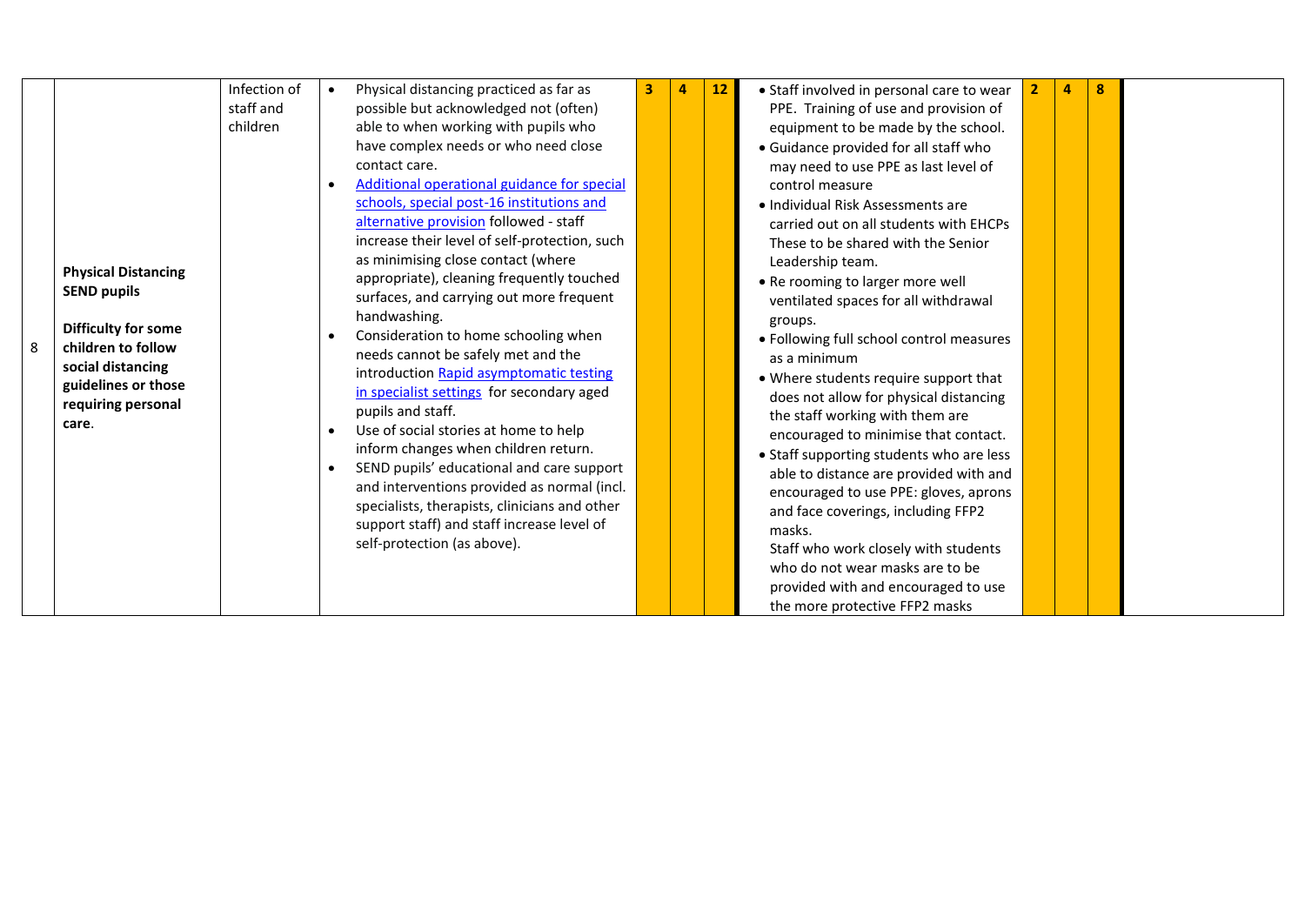|                            | Infection of | Physical distancing practiced as far as       | 3 | $\overline{4}$ | 12 | • Staff involved in personal care to wear                                       | 4 | 8 |  |
|----------------------------|--------------|-----------------------------------------------|---|----------------|----|---------------------------------------------------------------------------------|---|---|--|
|                            | staff and    | possible but acknowledged not (often)         |   |                |    | PPE. Training of use and provision of                                           |   |   |  |
|                            | children     | able to when working with pupils who          |   |                |    | equipment to be made by the school.                                             |   |   |  |
|                            |              | have complex needs or who need close          |   |                |    | • Guidance provided for all staff who                                           |   |   |  |
|                            |              | contact care.                                 |   |                |    | may need to use PPE as last level of                                            |   |   |  |
|                            |              | Additional operational guidance for special   |   |                |    | control measure                                                                 |   |   |  |
|                            |              | schools, special post-16 institutions and     |   |                |    | • Individual Risk Assessments are                                               |   |   |  |
|                            |              | alternative provision followed - staff        |   |                |    | carried out on all students with EHCPs                                          |   |   |  |
|                            |              | increase their level of self-protection, such |   |                |    | These to be shared with the Senior                                              |   |   |  |
|                            |              | as minimising close contact (where            |   |                |    | Leadership team.                                                                |   |   |  |
| <b>Physical Distancing</b> |              | appropriate), cleaning frequently touched     |   |                |    | . Re rooming to larger more well                                                |   |   |  |
| <b>SEND pupils</b>         |              | surfaces, and carrying out more frequent      |   |                |    | ventilated spaces for all withdrawal                                            |   |   |  |
|                            |              | handwashing.                                  |   |                |    |                                                                                 |   |   |  |
| Difficulty for some        |              | Consideration to home schooling when          |   |                |    | groups.<br>· Following full school control measures                             |   |   |  |
| children to follow         |              | needs cannot be safely met and the            |   |                |    | as a minimum                                                                    |   |   |  |
| social distancing          |              | introduction Rapid asymptomatic testing       |   |                |    |                                                                                 |   |   |  |
| guidelines or those        |              | in specialist settings for secondary aged     |   |                |    | • Where students require support that<br>does not allow for physical distancing |   |   |  |
| requiring personal         |              | pupils and staff.                             |   |                |    |                                                                                 |   |   |  |
| care.                      |              | Use of social stories at home to help         |   |                |    | the staff working with them are                                                 |   |   |  |
|                            |              | inform changes when children return.          |   |                |    | encouraged to minimise that contact.                                            |   |   |  |
|                            |              | SEND pupils' educational and care support     |   |                |    | • Staff supporting students who are less                                        |   |   |  |
|                            |              | and interventions provided as normal (incl.   |   |                |    | able to distance are provided with and                                          |   |   |  |
|                            |              | specialists, therapists, clinicians and other |   |                |    | encouraged to use PPE: gloves, aprons                                           |   |   |  |
|                            |              | support staff) and staff increase level of    |   |                |    | and face coverings, including FFP2                                              |   |   |  |
|                            |              | self-protection (as above).                   |   |                |    | masks.                                                                          |   |   |  |
|                            |              |                                               |   |                |    | Staff who work closely with students                                            |   |   |  |
|                            |              |                                               |   |                |    | who do not wear masks are to be                                                 |   |   |  |
|                            |              |                                               |   |                |    | provided with and encouraged to use                                             |   |   |  |
|                            |              |                                               |   |                |    | the more protective FFP2 masks                                                  |   |   |  |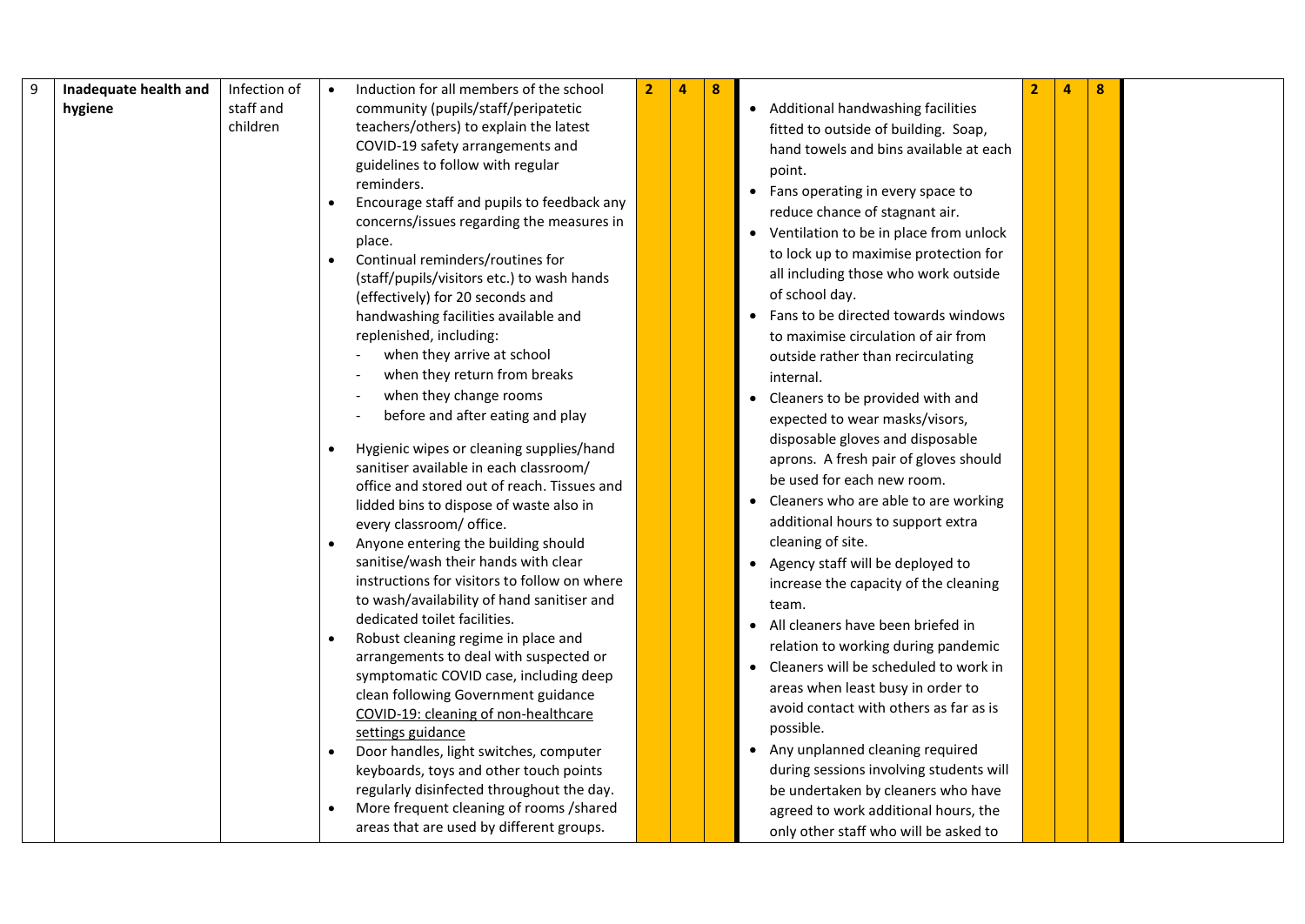| 9 | Inadequate health and | Infection of | Induction for all members of the school                                        | $\overline{2}$ | $\overline{4}$ | 8 |                                          | $\overline{2}$ | 4 | 8 |  |
|---|-----------------------|--------------|--------------------------------------------------------------------------------|----------------|----------------|---|------------------------------------------|----------------|---|---|--|
|   | hygiene               | staff and    | community (pupils/staff/peripatetic                                            |                |                |   | • Additional handwashing facilities      |                |   |   |  |
|   |                       | children     | teachers/others) to explain the latest                                         |                |                |   | fitted to outside of building. Soap,     |                |   |   |  |
|   |                       |              | COVID-19 safety arrangements and                                               |                |                |   | hand towels and bins available at each   |                |   |   |  |
|   |                       |              | guidelines to follow with regular                                              |                |                |   | point.                                   |                |   |   |  |
|   |                       |              | reminders.                                                                     |                |                |   | • Fans operating in every space to       |                |   |   |  |
|   |                       |              | Encourage staff and pupils to feedback any                                     |                |                |   | reduce chance of stagnant air.           |                |   |   |  |
|   |                       |              | concerns/issues regarding the measures in                                      |                |                |   | • Ventilation to be in place from unlock |                |   |   |  |
|   |                       |              | place.                                                                         |                |                |   | to lock up to maximise protection for    |                |   |   |  |
|   |                       |              | Continual reminders/routines for                                               |                |                |   | all including those who work outside     |                |   |   |  |
|   |                       |              | (staff/pupils/visitors etc.) to wash hands<br>(effectively) for 20 seconds and |                |                |   | of school day.                           |                |   |   |  |
|   |                       |              | handwashing facilities available and                                           |                |                |   | • Fans to be directed towards windows    |                |   |   |  |
|   |                       |              | replenished, including:                                                        |                |                |   | to maximise circulation of air from      |                |   |   |  |
|   |                       |              | when they arrive at school                                                     |                |                |   | outside rather than recirculating        |                |   |   |  |
|   |                       |              | when they return from breaks                                                   |                |                |   | internal.                                |                |   |   |  |
|   |                       |              | when they change rooms                                                         |                |                |   | Cleaners to be provided with and         |                |   |   |  |
|   |                       |              | before and after eating and play                                               |                |                |   | expected to wear masks/visors,           |                |   |   |  |
|   |                       |              |                                                                                |                |                |   | disposable gloves and disposable         |                |   |   |  |
|   |                       |              | Hygienic wipes or cleaning supplies/hand                                       |                |                |   | aprons. A fresh pair of gloves should    |                |   |   |  |
|   |                       |              | sanitiser available in each classroom/                                         |                |                |   | be used for each new room.               |                |   |   |  |
|   |                       |              | office and stored out of reach. Tissues and                                    |                |                |   | Cleaners who are able to are working     |                |   |   |  |
|   |                       |              | lidded bins to dispose of waste also in                                        |                |                |   |                                          |                |   |   |  |
|   |                       |              | every classroom/ office.                                                       |                |                |   | additional hours to support extra        |                |   |   |  |
|   |                       |              | Anyone entering the building should<br>sanitise/wash their hands with clear    |                |                |   | cleaning of site.                        |                |   |   |  |
|   |                       |              | instructions for visitors to follow on where                                   |                |                |   | Agency staff will be deployed to         |                |   |   |  |
|   |                       |              | to wash/availability of hand sanitiser and                                     |                |                |   | increase the capacity of the cleaning    |                |   |   |  |
|   |                       |              | dedicated toilet facilities.                                                   |                |                |   | team.                                    |                |   |   |  |
|   |                       |              | Robust cleaning regime in place and                                            |                |                |   | All cleaners have been briefed in        |                |   |   |  |
|   |                       |              | arrangements to deal with suspected or                                         |                |                |   | relation to working during pandemic      |                |   |   |  |
|   |                       |              | symptomatic COVID case, including deep                                         |                |                |   | Cleaners will be scheduled to work in    |                |   |   |  |
|   |                       |              | clean following Government guidance                                            |                |                |   | areas when least busy in order to        |                |   |   |  |
|   |                       |              | COVID-19: cleaning of non-healthcare                                           |                |                |   | avoid contact with others as far as is   |                |   |   |  |
|   |                       |              | settings guidance                                                              |                |                |   | possible.                                |                |   |   |  |
|   |                       |              | Door handles, light switches, computer                                         |                |                |   | Any unplanned cleaning required          |                |   |   |  |
|   |                       |              | keyboards, toys and other touch points                                         |                |                |   | during sessions involving students will  |                |   |   |  |
|   |                       |              | regularly disinfected throughout the day.                                      |                |                |   | be undertaken by cleaners who have       |                |   |   |  |
|   |                       |              | More frequent cleaning of rooms /shared                                        |                |                |   | agreed to work additional hours, the     |                |   |   |  |
|   |                       |              | areas that are used by different groups.                                       |                |                |   | only other staff who will be asked to    |                |   |   |  |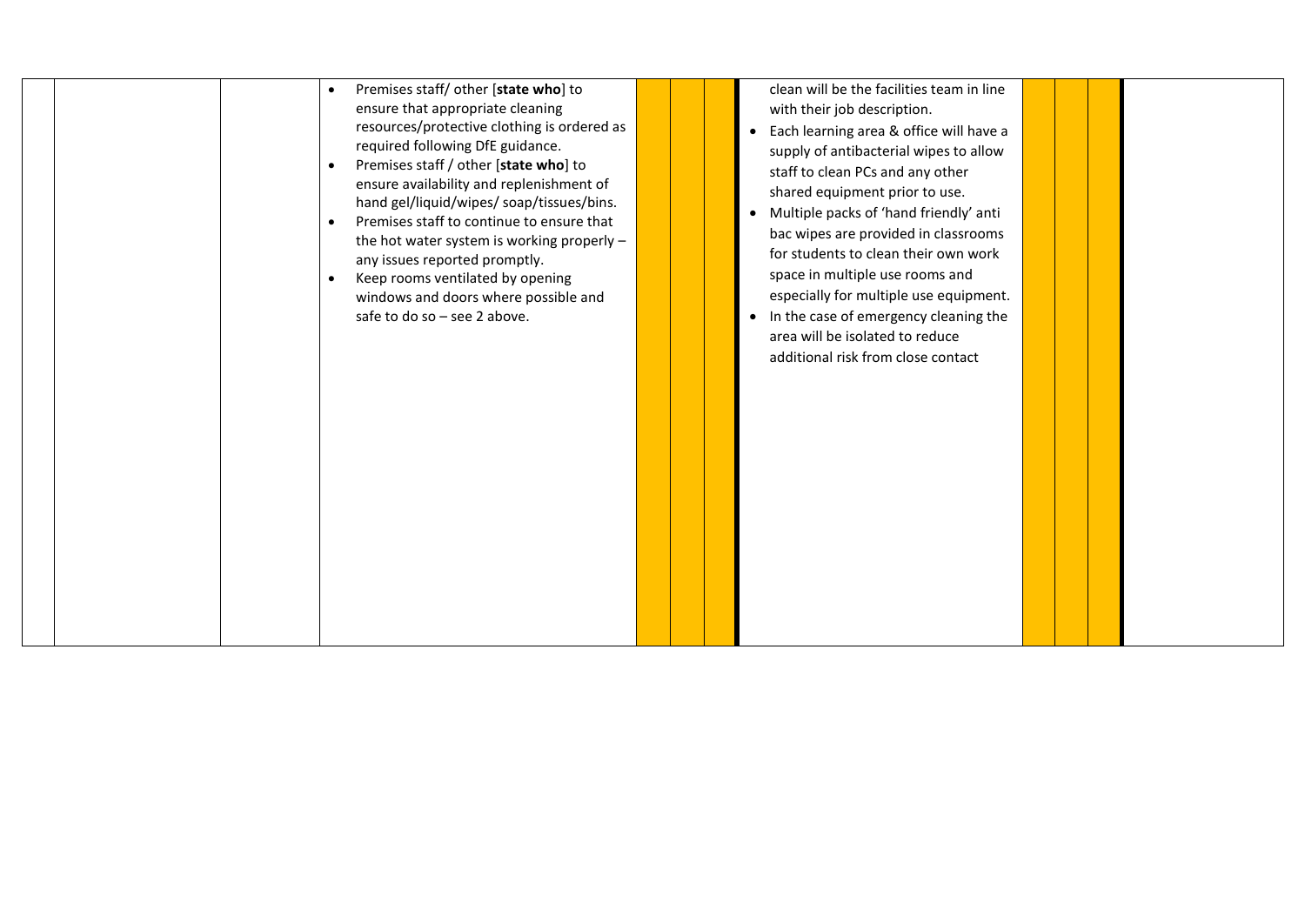|  | Premises staff/ other [state who] to<br>$\bullet$<br>ensure that appropriate cleaning<br>resources/protective clothing is ordered as<br>required following DfE guidance.<br>Premises staff / other [state who] to<br>$\bullet$<br>ensure availability and replenishment of<br>hand gel/liquid/wipes/ soap/tissues/bins.<br>Premises staff to continue to ensure that<br>the hot water system is working properly -<br>any issues reported promptly.<br>Keep rooms ventilated by opening<br>$\bullet$<br>windows and doors where possible and<br>safe to do so - see 2 above. |  | clean will be the facilities team in line<br>with their job description.<br>• Each learning area & office will have a<br>supply of antibacterial wipes to allow<br>staff to clean PCs and any other<br>shared equipment prior to use.<br>• Multiple packs of 'hand friendly' anti<br>bac wipes are provided in classrooms<br>for students to clean their own work<br>space in multiple use rooms and<br>especially for multiple use equipment.<br>• In the case of emergency cleaning the<br>area will be isolated to reduce<br>additional risk from close contact |  |  |
|--|------------------------------------------------------------------------------------------------------------------------------------------------------------------------------------------------------------------------------------------------------------------------------------------------------------------------------------------------------------------------------------------------------------------------------------------------------------------------------------------------------------------------------------------------------------------------------|--|--------------------------------------------------------------------------------------------------------------------------------------------------------------------------------------------------------------------------------------------------------------------------------------------------------------------------------------------------------------------------------------------------------------------------------------------------------------------------------------------------------------------------------------------------------------------|--|--|
|--|------------------------------------------------------------------------------------------------------------------------------------------------------------------------------------------------------------------------------------------------------------------------------------------------------------------------------------------------------------------------------------------------------------------------------------------------------------------------------------------------------------------------------------------------------------------------------|--|--------------------------------------------------------------------------------------------------------------------------------------------------------------------------------------------------------------------------------------------------------------------------------------------------------------------------------------------------------------------------------------------------------------------------------------------------------------------------------------------------------------------------------------------------------------------|--|--|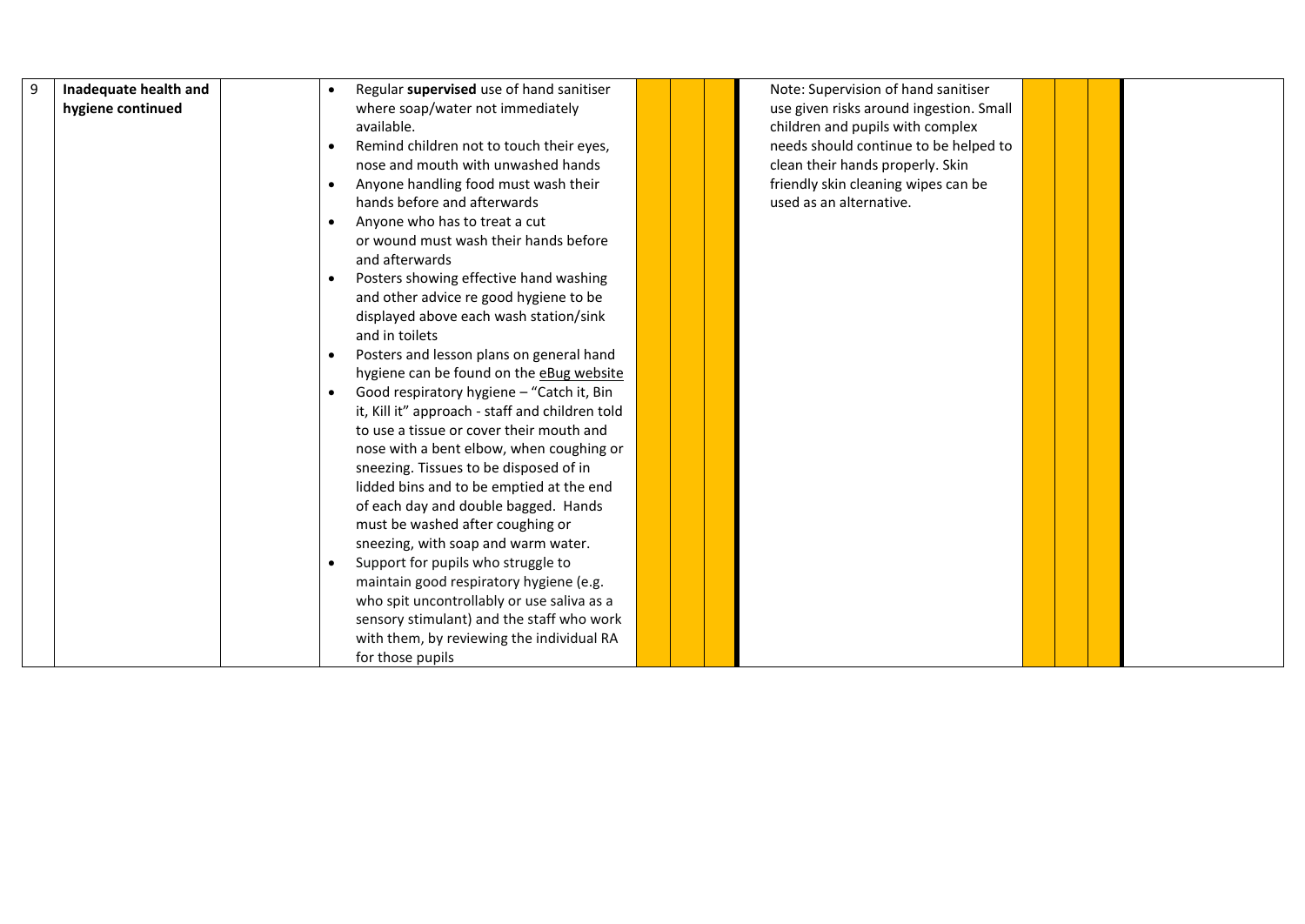| 9 | Inadequate health and | Regular supervised use of hand sanitiser<br>$\bullet$                                   |  | Note: Supervision of hand sanitiser     |  |  |
|---|-----------------------|-----------------------------------------------------------------------------------------|--|-----------------------------------------|--|--|
|   | hygiene continued     | where soap/water not immediately                                                        |  | use given risks around ingestion. Small |  |  |
|   |                       | available.                                                                              |  | children and pupils with complex        |  |  |
|   |                       | Remind children not to touch their eyes,<br>$\bullet$                                   |  | needs should continue to be helped to   |  |  |
|   |                       | nose and mouth with unwashed hands                                                      |  | clean their hands properly. Skin        |  |  |
|   |                       | Anyone handling food must wash their<br>$\bullet$                                       |  | friendly skin cleaning wipes can be     |  |  |
|   |                       | hands before and afterwards                                                             |  | used as an alternative.                 |  |  |
|   |                       | Anyone who has to treat a cut<br>$\bullet$                                              |  |                                         |  |  |
|   |                       | or wound must wash their hands before                                                   |  |                                         |  |  |
|   |                       | and afterwards                                                                          |  |                                         |  |  |
|   |                       | Posters showing effective hand washing<br>$\bullet$                                     |  |                                         |  |  |
|   |                       | and other advice re good hygiene to be                                                  |  |                                         |  |  |
|   |                       | displayed above each wash station/sink                                                  |  |                                         |  |  |
|   |                       | and in toilets                                                                          |  |                                         |  |  |
|   |                       | Posters and lesson plans on general hand<br>$\bullet$                                   |  |                                         |  |  |
|   |                       | hygiene can be found on the eBug website                                                |  |                                         |  |  |
|   |                       | Good respiratory hygiene - "Catch it, Bin<br>$\bullet$                                  |  |                                         |  |  |
|   |                       | it, Kill it" approach - staff and children told                                         |  |                                         |  |  |
|   |                       | to use a tissue or cover their mouth and                                                |  |                                         |  |  |
|   |                       | nose with a bent elbow, when coughing or                                                |  |                                         |  |  |
|   |                       | sneezing. Tissues to be disposed of in                                                  |  |                                         |  |  |
|   |                       | lidded bins and to be emptied at the end                                                |  |                                         |  |  |
|   |                       | of each day and double bagged. Hands                                                    |  |                                         |  |  |
|   |                       | must be washed after coughing or                                                        |  |                                         |  |  |
|   |                       | sneezing, with soap and warm water.                                                     |  |                                         |  |  |
|   |                       | Support for pupils who struggle to<br>$\bullet$                                         |  |                                         |  |  |
|   |                       | maintain good respiratory hygiene (e.g.                                                 |  |                                         |  |  |
|   |                       | who spit uncontrollably or use saliva as a<br>sensory stimulant) and the staff who work |  |                                         |  |  |
|   |                       | with them, by reviewing the individual RA                                               |  |                                         |  |  |
|   |                       | for those pupils                                                                        |  |                                         |  |  |
|   |                       |                                                                                         |  |                                         |  |  |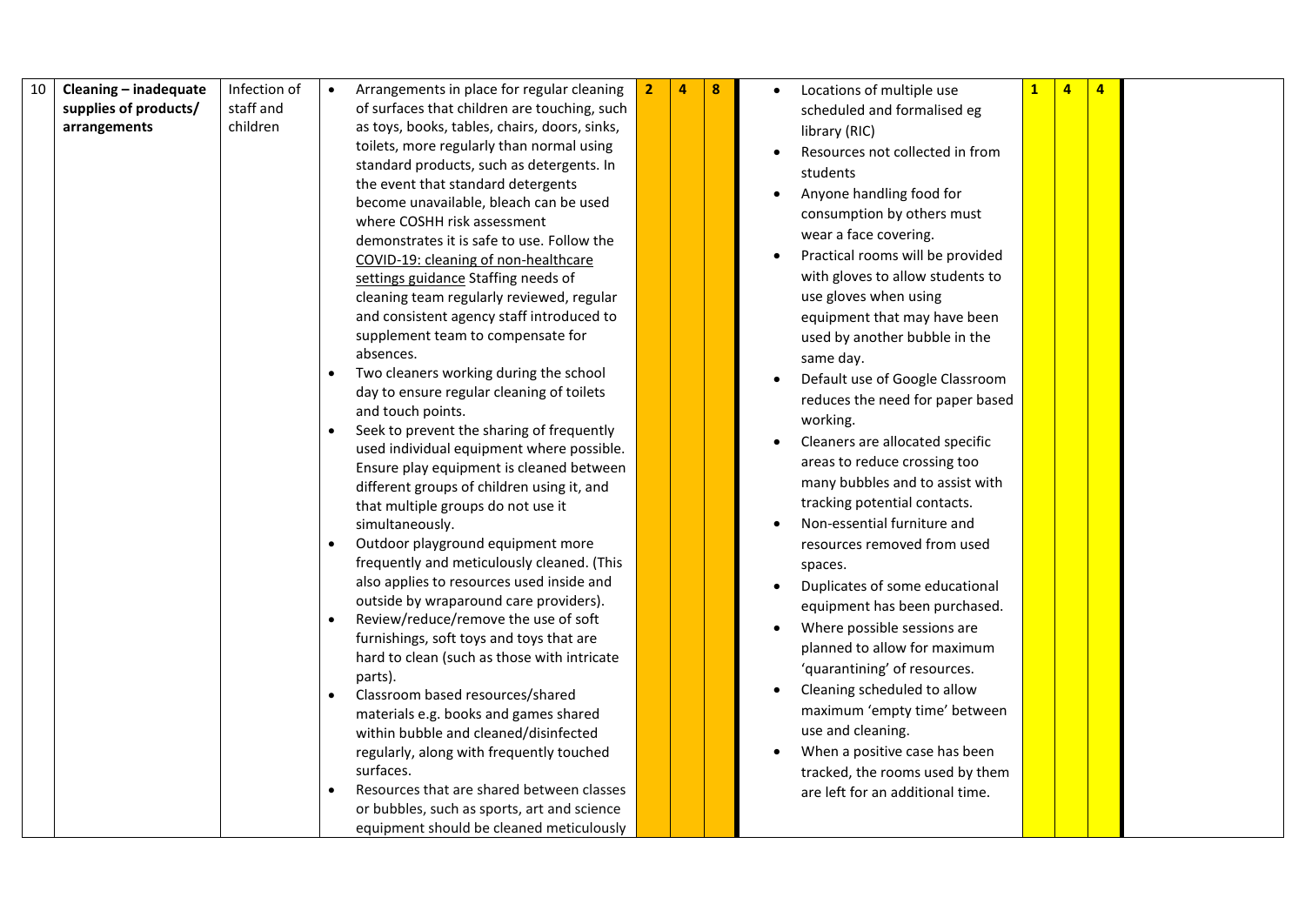| 10 | Cleaning - inadequate | Infection of | Arrangements in place for regular cleaning            | $\mathbf{2}$ | $\overline{4}$ | 8 | Locations of multiple use                | $\mathbf{1}$ | $\overline{4}$ | $\overline{a}$ |  |
|----|-----------------------|--------------|-------------------------------------------------------|--------------|----------------|---|------------------------------------------|--------------|----------------|----------------|--|
|    | supplies of products/ | staff and    | of surfaces that children are touching, such          |              |                |   | scheduled and formalised eg              |              |                |                |  |
|    | arrangements          | children     | as toys, books, tables, chairs, doors, sinks,         |              |                |   | library (RIC)                            |              |                |                |  |
|    |                       |              | toilets, more regularly than normal using             |              |                |   | Resources not collected in from          |              |                |                |  |
|    |                       |              | standard products, such as detergents. In             |              |                |   | students                                 |              |                |                |  |
|    |                       |              | the event that standard detergents                    |              |                |   | Anyone handling food for<br>$\bullet$    |              |                |                |  |
|    |                       |              | become unavailable, bleach can be used                |              |                |   |                                          |              |                |                |  |
|    |                       |              | where COSHH risk assessment                           |              |                |   | consumption by others must               |              |                |                |  |
|    |                       |              | demonstrates it is safe to use. Follow the            |              |                |   | wear a face covering.                    |              |                |                |  |
|    |                       |              | COVID-19: cleaning of non-healthcare                  |              |                |   | Practical rooms will be provided         |              |                |                |  |
|    |                       |              | settings guidance Staffing needs of                   |              |                |   | with gloves to allow students to         |              |                |                |  |
|    |                       |              | cleaning team regularly reviewed, regular             |              |                |   | use gloves when using                    |              |                |                |  |
|    |                       |              | and consistent agency staff introduced to             |              |                |   | equipment that may have been             |              |                |                |  |
|    |                       |              | supplement team to compensate for                     |              |                |   | used by another bubble in the            |              |                |                |  |
|    |                       |              | absences.                                             |              |                |   | same day.                                |              |                |                |  |
|    |                       |              | Two cleaners working during the school                |              |                |   | Default use of Google Classroom          |              |                |                |  |
|    |                       |              | day to ensure regular cleaning of toilets             |              |                |   | reduces the need for paper based         |              |                |                |  |
|    |                       |              | and touch points.                                     |              |                |   | working.                                 |              |                |                |  |
|    |                       |              | Seek to prevent the sharing of frequently             |              |                |   | Cleaners are allocated specific          |              |                |                |  |
|    |                       |              | used individual equipment where possible.             |              |                |   | areas to reduce crossing too             |              |                |                |  |
|    |                       |              | Ensure play equipment is cleaned between              |              |                |   | many bubbles and to assist with          |              |                |                |  |
|    |                       |              | different groups of children using it, and            |              |                |   | tracking potential contacts.             |              |                |                |  |
|    |                       |              | that multiple groups do not use it<br>simultaneously. |              |                |   | Non-essential furniture and              |              |                |                |  |
|    |                       |              | Outdoor playground equipment more                     |              |                |   | resources removed from used              |              |                |                |  |
|    |                       |              | frequently and meticulously cleaned. (This            |              |                |   |                                          |              |                |                |  |
|    |                       |              | also applies to resources used inside and             |              |                |   | spaces.                                  |              |                |                |  |
|    |                       |              | outside by wraparound care providers).                |              |                |   | Duplicates of some educational           |              |                |                |  |
|    |                       |              | Review/reduce/remove the use of soft                  |              |                |   | equipment has been purchased.            |              |                |                |  |
|    |                       |              | furnishings, soft toys and toys that are              |              |                |   | Where possible sessions are              |              |                |                |  |
|    |                       |              | hard to clean (such as those with intricate           |              |                |   | planned to allow for maximum             |              |                |                |  |
|    |                       |              | parts).                                               |              |                |   | 'quarantining' of resources.             |              |                |                |  |
|    |                       |              | Classroom based resources/shared                      |              |                |   | Cleaning scheduled to allow<br>$\bullet$ |              |                |                |  |
|    |                       |              | materials e.g. books and games shared                 |              |                |   | maximum 'empty time' between             |              |                |                |  |
|    |                       |              | within bubble and cleaned/disinfected                 |              |                |   | use and cleaning.                        |              |                |                |  |
|    |                       |              | regularly, along with frequently touched              |              |                |   | When a positive case has been            |              |                |                |  |
|    |                       |              | surfaces.                                             |              |                |   | tracked, the rooms used by them          |              |                |                |  |
|    |                       |              | Resources that are shared between classes             |              |                |   | are left for an additional time.         |              |                |                |  |
|    |                       |              | or bubbles, such as sports, art and science           |              |                |   |                                          |              |                |                |  |
|    |                       |              | equipment should be cleaned meticulously              |              |                |   |                                          |              |                |                |  |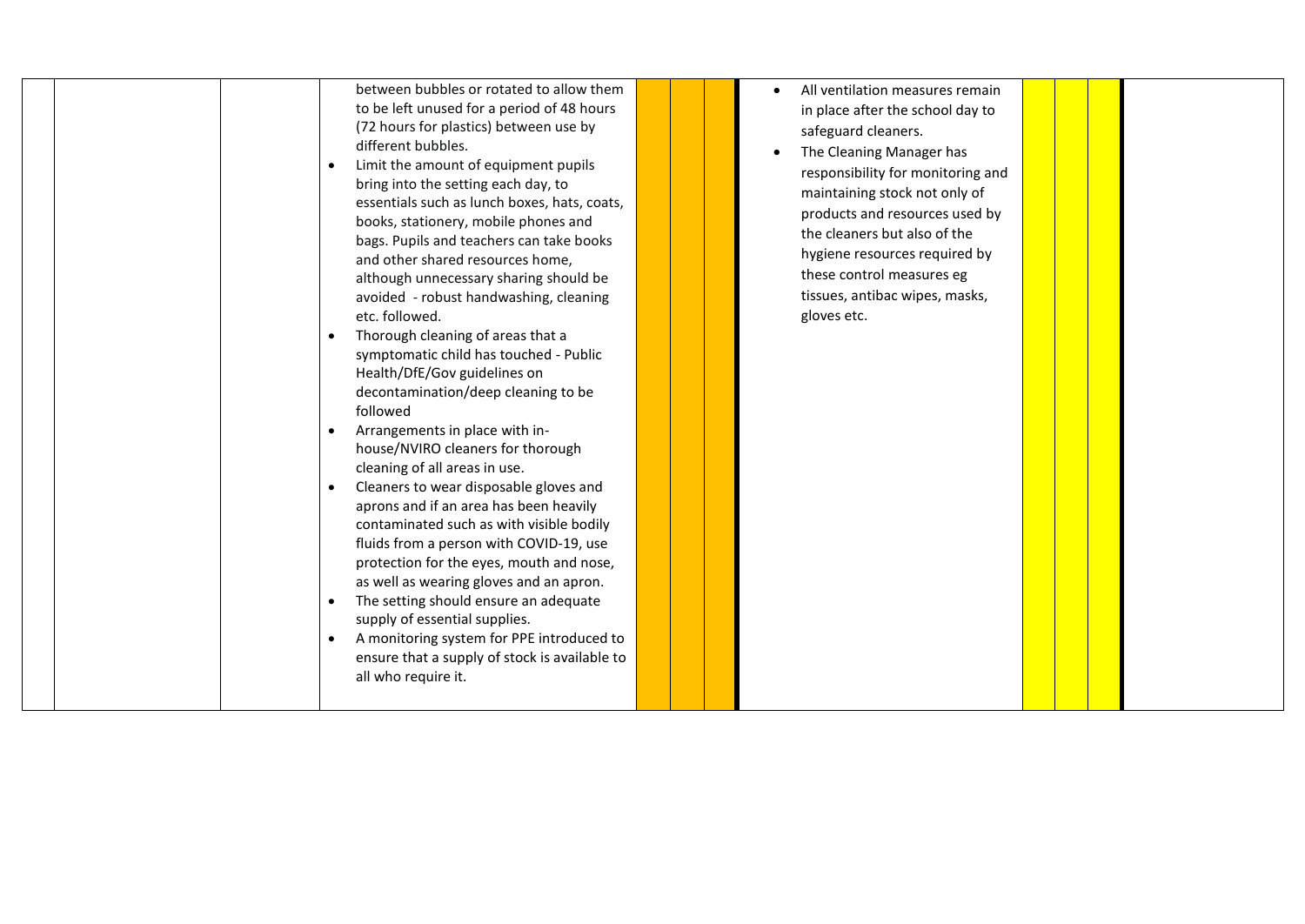|  | between bubbles or rotated to allow them<br>to be left unused for a period of 48 hours<br>(72 hours for plastics) between use by<br>different bubbles.<br>Limit the amount of equipment pupils<br>bring into the setting each day, to<br>essentials such as lunch boxes, hats, coats,<br>books, stationery, mobile phones and<br>bags. Pupils and teachers can take books<br>and other shared resources home,<br>although unnecessary sharing should be<br>avoided - robust handwashing, cleaning<br>etc. followed.<br>Thorough cleaning of areas that a<br>symptomatic child has touched - Public<br>Health/DfE/Gov guidelines on<br>decontamination/deep cleaning to be<br>followed<br>Arrangements in place with in-<br>house/NVIRO cleaners for thorough<br>cleaning of all areas in use.<br>Cleaners to wear disposable gloves and<br>aprons and if an area has been heavily<br>contaminated such as with visible bodily<br>fluids from a person with COVID-19, use<br>protection for the eyes, mouth and nose,<br>as well as wearing gloves and an apron.<br>The setting should ensure an adequate<br>supply of essential supplies.<br>A monitoring system for PPE introduced to<br>ensure that a supply of stock is available to<br>all who require it. |  | All ventilation measures remain<br>in place after the school day to<br>safeguard cleaners.<br>The Cleaning Manager has<br>responsibility for monitoring and<br>maintaining stock not only of<br>products and resources used by<br>the cleaners but also of the<br>hygiene resources required by<br>these control measures eg<br>tissues, antibac wipes, masks,<br>gloves etc. |  |  |
|--|----------------------------------------------------------------------------------------------------------------------------------------------------------------------------------------------------------------------------------------------------------------------------------------------------------------------------------------------------------------------------------------------------------------------------------------------------------------------------------------------------------------------------------------------------------------------------------------------------------------------------------------------------------------------------------------------------------------------------------------------------------------------------------------------------------------------------------------------------------------------------------------------------------------------------------------------------------------------------------------------------------------------------------------------------------------------------------------------------------------------------------------------------------------------------------------------------------------------------------------------------------------|--|-------------------------------------------------------------------------------------------------------------------------------------------------------------------------------------------------------------------------------------------------------------------------------------------------------------------------------------------------------------------------------|--|--|
|--|----------------------------------------------------------------------------------------------------------------------------------------------------------------------------------------------------------------------------------------------------------------------------------------------------------------------------------------------------------------------------------------------------------------------------------------------------------------------------------------------------------------------------------------------------------------------------------------------------------------------------------------------------------------------------------------------------------------------------------------------------------------------------------------------------------------------------------------------------------------------------------------------------------------------------------------------------------------------------------------------------------------------------------------------------------------------------------------------------------------------------------------------------------------------------------------------------------------------------------------------------------------|--|-------------------------------------------------------------------------------------------------------------------------------------------------------------------------------------------------------------------------------------------------------------------------------------------------------------------------------------------------------------------------------|--|--|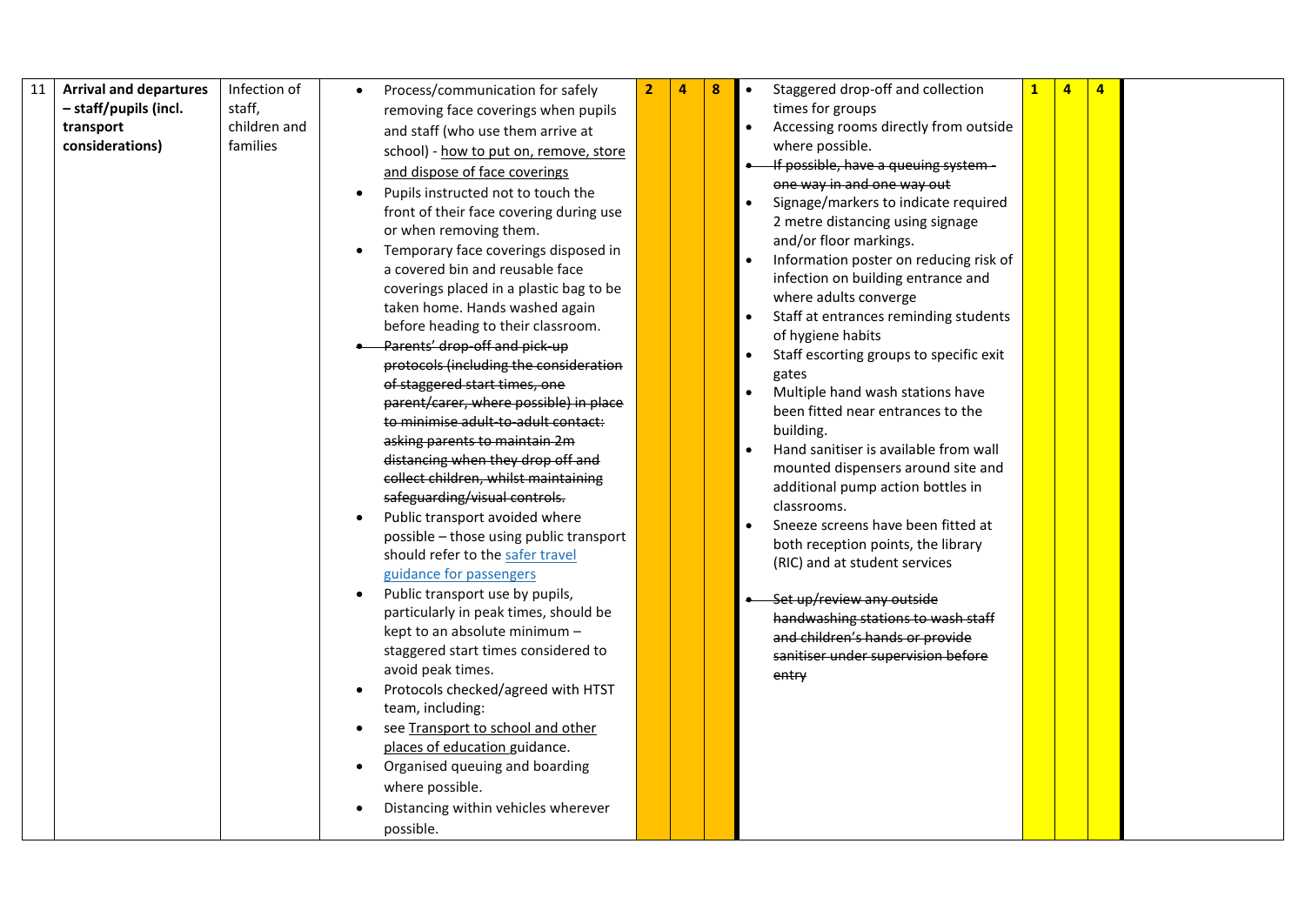| 11 | <b>Arrival and departures</b> | Infection of | Process/communication for safely                         | $\overline{2}$ | 4 | 8 | Staggered drop-off and collection     |                                         | $\mathbf{1}$ | 4 | 4 |  |
|----|-------------------------------|--------------|----------------------------------------------------------|----------------|---|---|---------------------------------------|-----------------------------------------|--------------|---|---|--|
|    | - staff/pupils (incl.         | staff,       | removing face coverings when pupils                      |                |   |   | times for groups                      |                                         |              |   |   |  |
|    | transport                     | children and | and staff (who use them arrive at                        |                |   |   |                                       | Accessing rooms directly from outside   |              |   |   |  |
|    | considerations)               | families     | school) - how to put on, remove, store                   |                |   |   | where possible.                       |                                         |              |   |   |  |
|    |                               |              | and dispose of face coverings                            |                |   |   | If possible, have a queuing system -  |                                         |              |   |   |  |
|    |                               |              | Pupils instructed not to touch the                       |                |   |   | one way in and one way out            |                                         |              |   |   |  |
|    |                               |              | front of their face covering during use                  |                |   |   |                                       | Signage/markers to indicate required    |              |   |   |  |
|    |                               |              | or when removing them.                                   |                |   |   | 2 metre distancing using signage      |                                         |              |   |   |  |
|    |                               |              | Temporary face coverings disposed in                     |                |   |   | and/or floor markings.                |                                         |              |   |   |  |
|    |                               |              | a covered bin and reusable face                          |                |   |   |                                       | Information poster on reducing risk of  |              |   |   |  |
|    |                               |              | coverings placed in a plastic bag to be                  |                |   |   | infection on building entrance and    |                                         |              |   |   |  |
|    |                               |              | taken home. Hands washed again                           |                |   |   | where adults converge                 |                                         |              |   |   |  |
|    |                               |              | before heading to their classroom.                       |                |   |   | of hygiene habits                     | Staff at entrances reminding students   |              |   |   |  |
|    |                               |              | Parents' drop-off and pick-up                            |                |   |   |                                       | Staff escorting groups to specific exit |              |   |   |  |
|    |                               |              | protocols (including the consideration                   |                |   |   | gates                                 |                                         |              |   |   |  |
|    |                               |              | of staggered start times, one                            |                |   |   | Multiple hand wash stations have      |                                         |              |   |   |  |
|    |                               |              | parent/carer, where possible) in place                   |                |   |   | been fitted near entrances to the     |                                         |              |   |   |  |
|    |                               |              | to minimise adult-to-adult contact:                      |                |   |   | building.                             |                                         |              |   |   |  |
|    |                               |              | asking parents to maintain 2m                            |                |   |   | Hand sanitiser is available from wall |                                         |              |   |   |  |
|    |                               |              | distancing when they drop off and                        |                |   |   |                                       | mounted dispensers around site and      |              |   |   |  |
|    |                               |              | collect children, whilst maintaining                     |                |   |   | additional pump action bottles in     |                                         |              |   |   |  |
|    |                               |              | safeguarding/visual controls.                            |                |   |   | classrooms.                           |                                         |              |   |   |  |
|    |                               |              | Public transport avoided where                           |                |   |   | Sneeze screens have been fitted at    |                                         |              |   |   |  |
|    |                               |              | possible - those using public transport                  |                |   |   | both reception points, the library    |                                         |              |   |   |  |
|    |                               |              | should refer to the safer travel                         |                |   |   | (RIC) and at student services         |                                         |              |   |   |  |
|    |                               |              | guidance for passengers                                  |                |   |   |                                       |                                         |              |   |   |  |
|    |                               |              | Public transport use by pupils,                          |                |   |   | Set up/review any outside             |                                         |              |   |   |  |
|    |                               |              | particularly in peak times, should be                    |                |   |   | handwashing stations to wash staff    |                                         |              |   |   |  |
|    |                               |              | kept to an absolute minimum -                            |                |   |   | and children's hands or provide       |                                         |              |   |   |  |
|    |                               |              | staggered start times considered to<br>avoid peak times. |                |   |   | sanitiser under supervision before    |                                         |              |   |   |  |
|    |                               |              | Protocols checked/agreed with HTST                       |                |   |   | entry                                 |                                         |              |   |   |  |
|    |                               |              | team, including:                                         |                |   |   |                                       |                                         |              |   |   |  |
|    |                               |              | see Transport to school and other                        |                |   |   |                                       |                                         |              |   |   |  |
|    |                               |              | places of education guidance.                            |                |   |   |                                       |                                         |              |   |   |  |
|    |                               |              | Organised queuing and boarding                           |                |   |   |                                       |                                         |              |   |   |  |
|    |                               |              | where possible.                                          |                |   |   |                                       |                                         |              |   |   |  |
|    |                               |              |                                                          |                |   |   |                                       |                                         |              |   |   |  |
|    |                               |              | Distancing within vehicles wherever                      |                |   |   |                                       |                                         |              |   |   |  |
|    |                               |              | possible.                                                |                |   |   |                                       |                                         |              |   |   |  |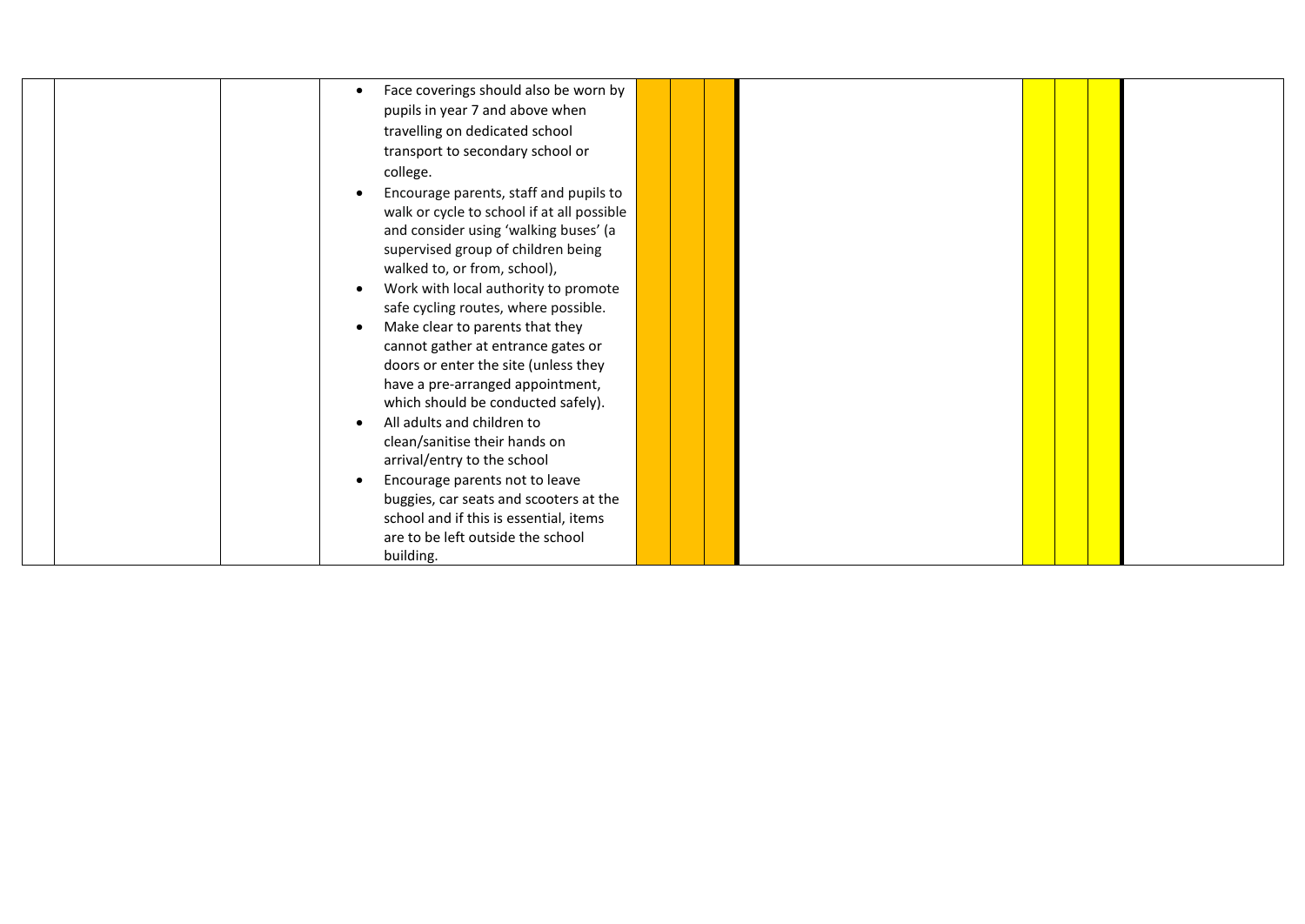|  |  | Face coverings should also be worn by      |  |  |  |  |
|--|--|--------------------------------------------|--|--|--|--|
|  |  | pupils in year 7 and above when            |  |  |  |  |
|  |  | travelling on dedicated school             |  |  |  |  |
|  |  | transport to secondary school or           |  |  |  |  |
|  |  | college.                                   |  |  |  |  |
|  |  | Encourage parents, staff and pupils to     |  |  |  |  |
|  |  | walk or cycle to school if at all possible |  |  |  |  |
|  |  | and consider using 'walking buses' (a      |  |  |  |  |
|  |  | supervised group of children being         |  |  |  |  |
|  |  | walked to, or from, school),               |  |  |  |  |
|  |  | Work with local authority to promote       |  |  |  |  |
|  |  | safe cycling routes, where possible.       |  |  |  |  |
|  |  | Make clear to parents that they            |  |  |  |  |
|  |  | cannot gather at entrance gates or         |  |  |  |  |
|  |  | doors or enter the site (unless they       |  |  |  |  |
|  |  | have a pre-arranged appointment,           |  |  |  |  |
|  |  | which should be conducted safely).         |  |  |  |  |
|  |  | All adults and children to                 |  |  |  |  |
|  |  | clean/sanitise their hands on              |  |  |  |  |
|  |  | arrival/entry to the school                |  |  |  |  |
|  |  | Encourage parents not to leave             |  |  |  |  |
|  |  | buggies, car seats and scooters at the     |  |  |  |  |
|  |  | school and if this is essential, items     |  |  |  |  |
|  |  | are to be left outside the school          |  |  |  |  |
|  |  | building.                                  |  |  |  |  |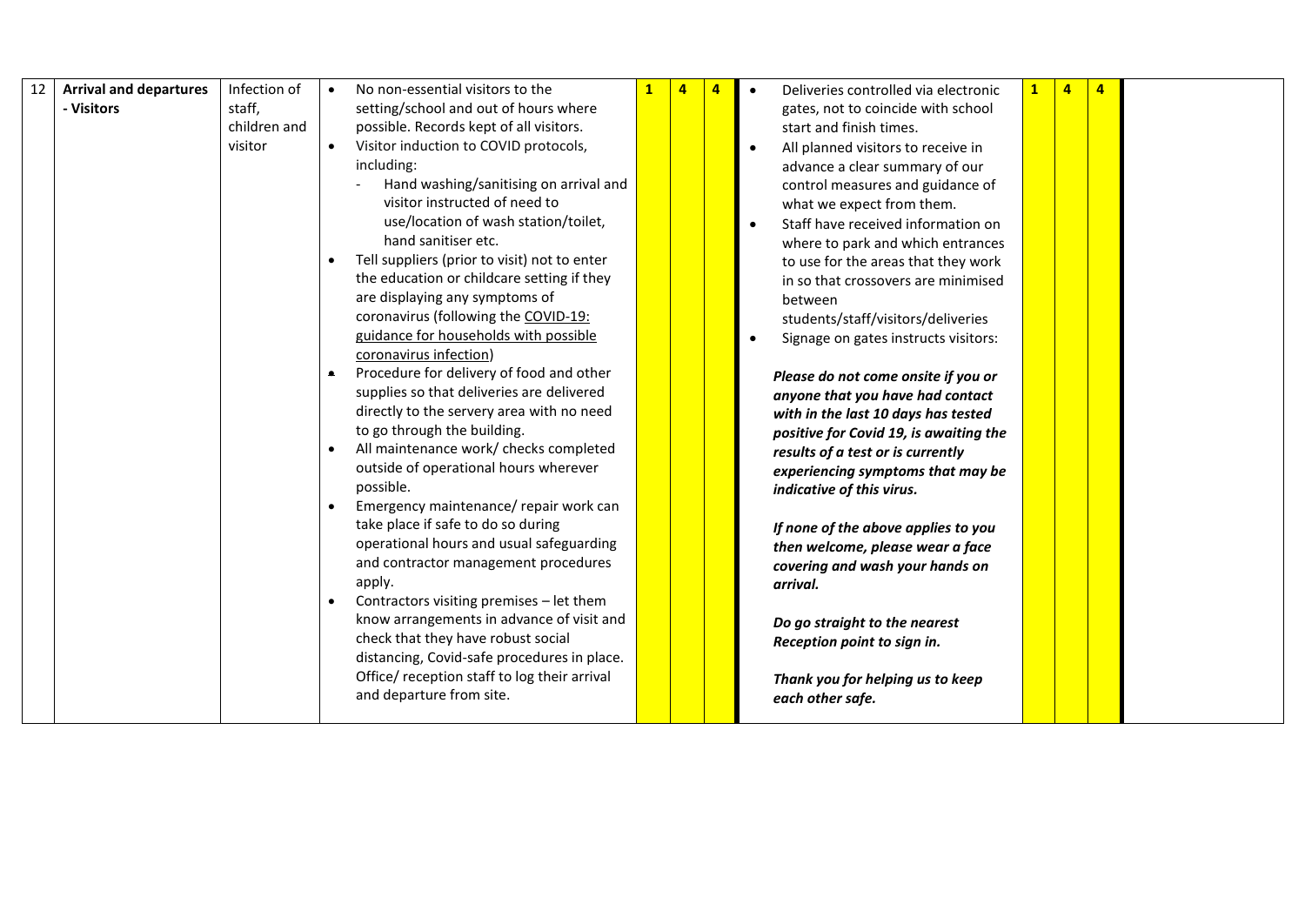| 12 | <b>Arrival and departures</b> | Infection of | No non-essential visitors to the                   | 4 | $\overline{a}$ | Deliveries controlled via electronic<br>$\bullet$              |  | $\overline{a}$ |  |
|----|-------------------------------|--------------|----------------------------------------------------|---|----------------|----------------------------------------------------------------|--|----------------|--|
|    | - Visitors                    | staff,       | setting/school and out of hours where              |   |                | gates, not to coincide with school                             |  |                |  |
|    |                               | children and | possible. Records kept of all visitors.            |   |                | start and finish times.                                        |  |                |  |
|    |                               | visitor      | Visitor induction to COVID protocols,              |   |                | All planned visitors to receive in                             |  |                |  |
|    |                               |              | including:                                         |   |                | advance a clear summary of our                                 |  |                |  |
|    |                               |              | Hand washing/sanitising on arrival and             |   |                | control measures and guidance of                               |  |                |  |
|    |                               |              | visitor instructed of need to                      |   |                | what we expect from them.                                      |  |                |  |
|    |                               |              | use/location of wash station/toilet,               |   |                | Staff have received information on                             |  |                |  |
|    |                               |              | hand sanitiser etc.                                |   |                | where to park and which entrances                              |  |                |  |
|    |                               |              | Tell suppliers (prior to visit) not to enter       |   |                | to use for the areas that they work                            |  |                |  |
|    |                               |              | the education or childcare setting if they         |   |                | in so that crossovers are minimised                            |  |                |  |
|    |                               |              | are displaying any symptoms of                     |   |                | between                                                        |  |                |  |
|    |                               |              | coronavirus (following the COVID-19:               |   |                | students/staff/visitors/deliveries                             |  |                |  |
|    |                               |              | guidance for households with possible              |   |                | Signage on gates instructs visitors:                           |  |                |  |
|    |                               |              | coronavirus infection)                             |   |                |                                                                |  |                |  |
|    |                               |              | Procedure for delivery of food and other           |   |                | Please do not come onsite if you or                            |  |                |  |
|    |                               |              | supplies so that deliveries are delivered          |   |                | anyone that you have had contact                               |  |                |  |
|    |                               |              | directly to the servery area with no need          |   |                | with in the last 10 days has tested                            |  |                |  |
|    |                               |              | to go through the building.                        |   |                | positive for Covid 19, is awaiting the                         |  |                |  |
|    |                               |              | All maintenance work/ checks completed             |   |                | results of a test or is currently                              |  |                |  |
|    |                               |              | outside of operational hours wherever<br>possible. |   |                | experiencing symptoms that may be<br>indicative of this virus. |  |                |  |
|    |                               |              | Emergency maintenance/ repair work can             |   |                |                                                                |  |                |  |
|    |                               |              | take place if safe to do so during                 |   |                | If none of the above applies to you                            |  |                |  |
|    |                               |              | operational hours and usual safeguarding           |   |                | then welcome, please wear a face                               |  |                |  |
|    |                               |              | and contractor management procedures               |   |                | covering and wash your hands on                                |  |                |  |
|    |                               |              | apply.                                             |   |                | arrival.                                                       |  |                |  |
|    |                               |              | Contractors visiting premises - let them           |   |                |                                                                |  |                |  |
|    |                               |              | know arrangements in advance of visit and          |   |                | Do go straight to the nearest                                  |  |                |  |
|    |                               |              | check that they have robust social                 |   |                | Reception point to sign in.                                    |  |                |  |
|    |                               |              | distancing, Covid-safe procedures in place.        |   |                |                                                                |  |                |  |
|    |                               |              | Office/ reception staff to log their arrival       |   |                | Thank you for helping us to keep                               |  |                |  |
|    |                               |              | and departure from site.                           |   |                | each other safe.                                               |  |                |  |
|    |                               |              |                                                    |   |                |                                                                |  |                |  |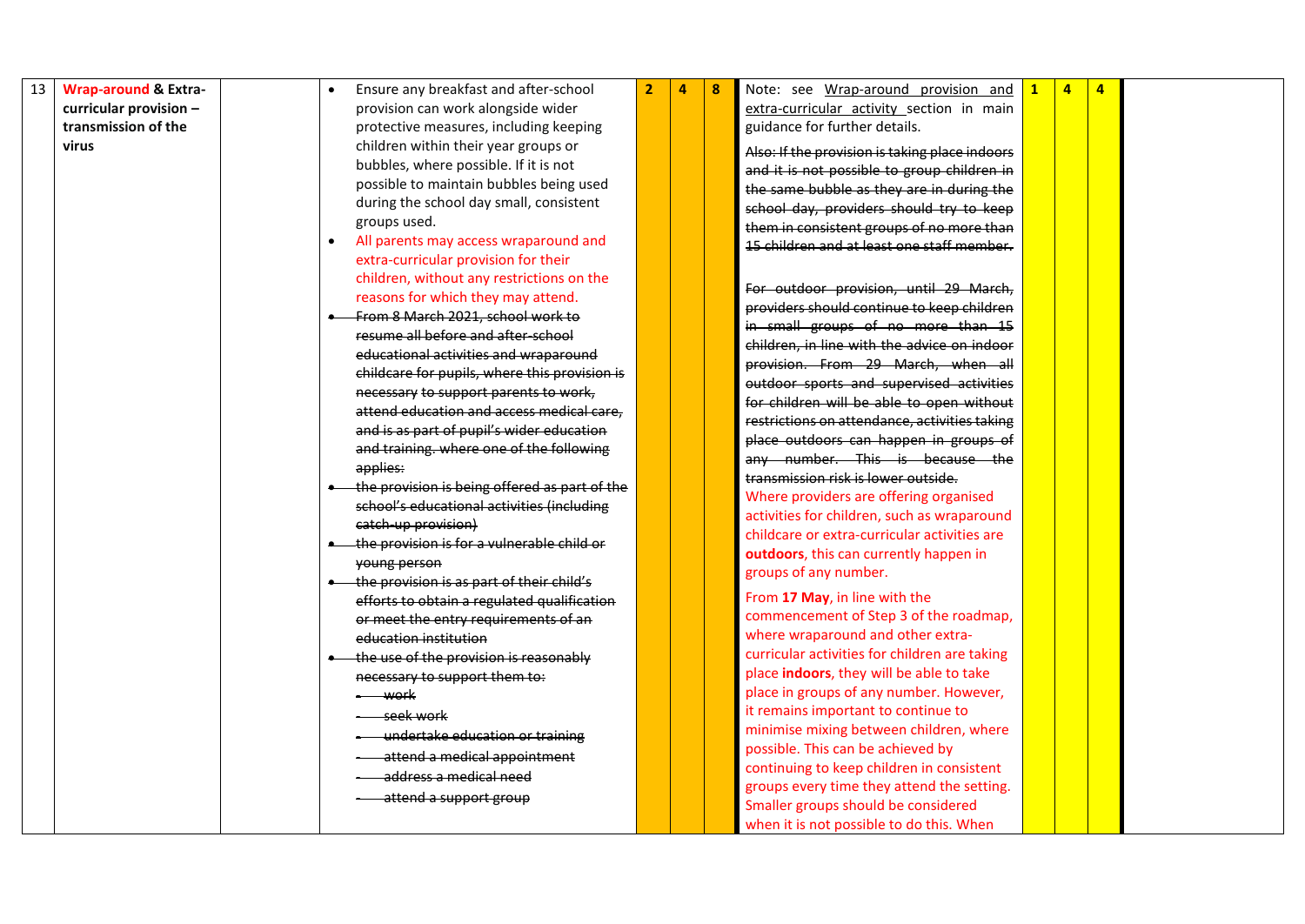| 13 | <b>Wrap-around &amp; Extra-</b> | Ensure any breakfast and after-school                                                  | $\overline{2}$ | 4 | 8 | Note: see Wrap-around provision and            | $\overline{a}$ | $\overline{4}$ |  |
|----|---------------------------------|----------------------------------------------------------------------------------------|----------------|---|---|------------------------------------------------|----------------|----------------|--|
|    | curricular provision -          | provision can work alongside wider                                                     |                |   |   | extra-curricular activity section in main      |                |                |  |
|    | transmission of the             | protective measures, including keeping                                                 |                |   |   | guidance for further details.                  |                |                |  |
|    | virus                           | children within their year groups or                                                   |                |   |   | Also: If the provision is taking place indoors |                |                |  |
|    |                                 | bubbles, where possible. If it is not                                                  |                |   |   | and it is not possible to group children in    |                |                |  |
|    |                                 | possible to maintain bubbles being used                                                |                |   |   | the same bubble as they are in during the      |                |                |  |
|    |                                 | during the school day small, consistent                                                |                |   |   | school day, providers should try to keep       |                |                |  |
|    |                                 | groups used.                                                                           |                |   |   | them in consistent groups of no more than      |                |                |  |
|    |                                 | All parents may access wraparound and                                                  |                |   |   | 15 children and at least one staff member.     |                |                |  |
|    |                                 | extra-curricular provision for their                                                   |                |   |   |                                                |                |                |  |
|    |                                 | children, without any restrictions on the                                              |                |   |   | For outdoor provision, until 29 March,         |                |                |  |
|    |                                 | reasons for which they may attend.                                                     |                |   |   | providers should continue to keep children     |                |                |  |
|    |                                 | From 8 March 2021, school work to                                                      |                |   |   | in small groups of no more than 15             |                |                |  |
|    |                                 | resume all before and after-school                                                     |                |   |   | children, in line with the advice on indoor    |                |                |  |
|    |                                 | educational activities and wraparound                                                  |                |   |   | provision. From 29 March, when all             |                |                |  |
|    |                                 | childcare for pupils, where this provision is<br>necessary to support parents to work, |                |   |   | outdoor sports and supervised activities       |                |                |  |
|    |                                 | attend education and access medical care,                                              |                |   |   | for children will be able to open without      |                |                |  |
|    |                                 | and is as part of pupil's wider education                                              |                |   |   | restrictions on attendance, activities taking  |                |                |  |
|    |                                 | and training. where one of the following                                               |                |   |   | place outdoors can happen in groups of         |                |                |  |
|    |                                 | applies:                                                                               |                |   |   | any number. This is because the                |                |                |  |
|    |                                 | the provision is being offered as part of the                                          |                |   |   | transmission risk is lower outside.            |                |                |  |
|    |                                 | school's educational activities (including                                             |                |   |   | Where providers are offering organised         |                |                |  |
|    |                                 | catch-up provision)                                                                    |                |   |   | activities for children, such as wraparound    |                |                |  |
|    |                                 | the provision is for a vulnerable child or                                             |                |   |   | childcare or extra-curricular activities are   |                |                |  |
|    |                                 | young person                                                                           |                |   |   | outdoors, this can currently happen in         |                |                |  |
|    |                                 | the provision is as part of their child's                                              |                |   |   | groups of any number.                          |                |                |  |
|    |                                 | efforts to obtain a regulated qualification                                            |                |   |   | From 17 May, in line with the                  |                |                |  |
|    |                                 | or meet the entry requirements of an                                                   |                |   |   | commencement of Step 3 of the roadmap,         |                |                |  |
|    |                                 | education institution                                                                  |                |   |   | where wraparound and other extra-              |                |                |  |
|    |                                 | the use of the provision is reasonably                                                 |                |   |   | curricular activities for children are taking  |                |                |  |
|    |                                 | necessary to support them to:                                                          |                |   |   | place indoors, they will be able to take       |                |                |  |
|    |                                 | ----- work                                                                             |                |   |   | place in groups of any number. However,        |                |                |  |
|    |                                 | seek work                                                                              |                |   |   | it remains important to continue to            |                |                |  |
|    |                                 | undertake education or training                                                        |                |   |   | minimise mixing between children, where        |                |                |  |
|    |                                 | attend a medical appointment                                                           |                |   |   | possible. This can be achieved by              |                |                |  |
|    |                                 | address a medical need                                                                 |                |   |   | continuing to keep children in consistent      |                |                |  |
|    |                                 | attend a support group                                                                 |                |   |   | groups every time they attend the setting.     |                |                |  |
|    |                                 |                                                                                        |                |   |   | Smaller groups should be considered            |                |                |  |
|    |                                 |                                                                                        |                |   |   | when it is not possible to do this. When       |                |                |  |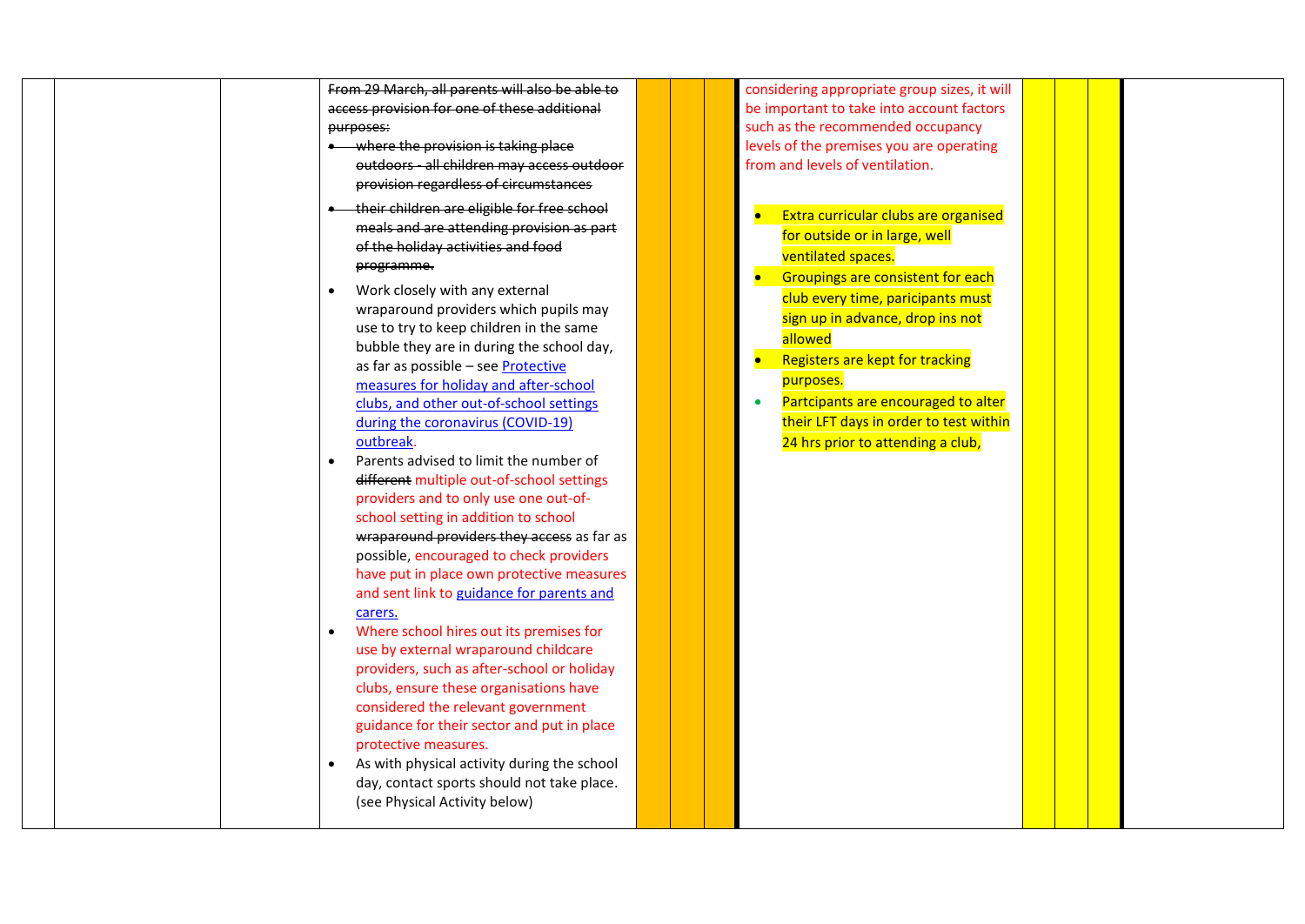|           | From 29 March, all parents will also be able to |  | considering appropriate group sizes, it will     |  |  |
|-----------|-------------------------------------------------|--|--------------------------------------------------|--|--|
|           | access provision for one of these additional    |  | be important to take into account factors        |  |  |
| purposes: |                                                 |  | such as the recommended occupancy                |  |  |
|           | • where the provision is taking place           |  | levels of the premises you are operating         |  |  |
|           | outdoors - all children may access outdoor      |  | from and levels of ventilation.                  |  |  |
|           | provision regardless of circumstances           |  |                                                  |  |  |
|           | their children are eligible for free school     |  | Extra curricular clubs are organised             |  |  |
|           | meals and are attending provision as part       |  | for outside or in large, well                    |  |  |
|           | of the holiday activities and food              |  | ventilated spaces.                               |  |  |
|           | programme.                                      |  | Groupings are consistent for each<br>$\bullet$   |  |  |
| $\bullet$ | Work closely with any external                  |  |                                                  |  |  |
|           | wraparound providers which pupils may           |  | club every time, paricipants must                |  |  |
|           | use to try to keep children in the same         |  | sign up in advance, drop ins not                 |  |  |
|           | bubble they are in during the school day,       |  | allowed                                          |  |  |
|           | as far as possible - see Protective             |  | Registers are kept for tracking                  |  |  |
|           | measures for holiday and after-school           |  | purposes.                                        |  |  |
|           | clubs, and other out-of-school settings         |  | Partcipants are encouraged to alter<br>$\bullet$ |  |  |
|           | during the coronavirus (COVID-19)               |  | their LFT days in order to test within           |  |  |
|           | outbreak.                                       |  | 24 hrs prior to attending a club,                |  |  |
| $\bullet$ | Parents advised to limit the number of          |  |                                                  |  |  |
|           | different multiple out-of-school settings       |  |                                                  |  |  |
|           | providers and to only use one out-of-           |  |                                                  |  |  |
|           | school setting in addition to school            |  |                                                  |  |  |
|           | wraparound providers they access as far as      |  |                                                  |  |  |
|           | possible, encouraged to check providers         |  |                                                  |  |  |
|           | have put in place own protective measures       |  |                                                  |  |  |
|           | and sent link to guidance for parents and       |  |                                                  |  |  |
|           | carers.                                         |  |                                                  |  |  |
| $\bullet$ | Where school hires out its premises for         |  |                                                  |  |  |
|           | use by external wraparound childcare            |  |                                                  |  |  |
|           | providers, such as after-school or holiday      |  |                                                  |  |  |
|           | clubs, ensure these organisations have          |  |                                                  |  |  |
|           | considered the relevant government              |  |                                                  |  |  |
|           | guidance for their sector and put in place      |  |                                                  |  |  |
|           | protective measures.                            |  |                                                  |  |  |
| $\bullet$ | As with physical activity during the school     |  |                                                  |  |  |
|           | day, contact sports should not take place.      |  |                                                  |  |  |
|           | (see Physical Activity below)                   |  |                                                  |  |  |
|           |                                                 |  |                                                  |  |  |
|           |                                                 |  |                                                  |  |  |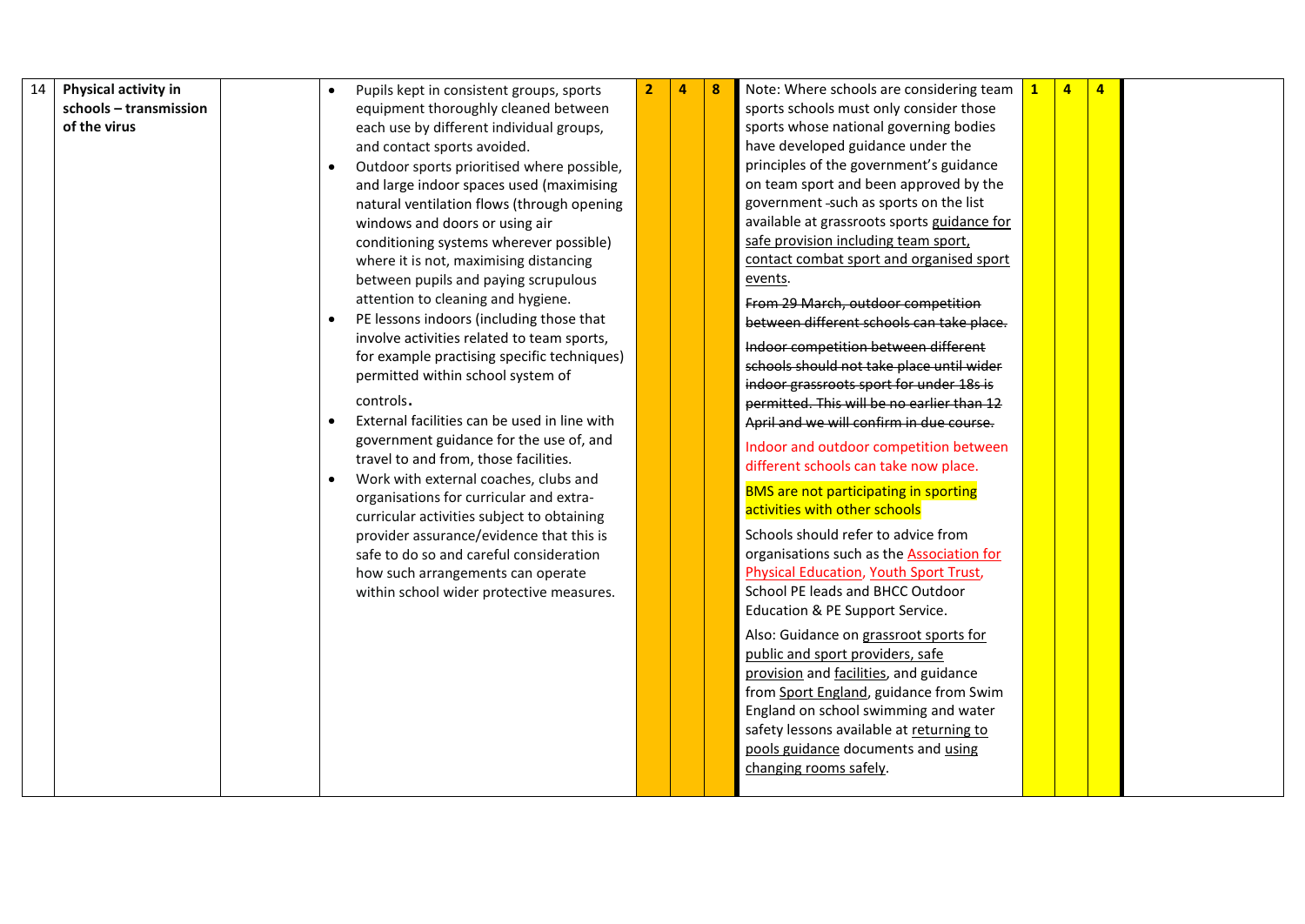| 14 | Physical activity in   |  | Pupils kept in consistent groups, sports     | $\overline{2}$ | $\overline{a}$ | 8 | Note: Where schools are considering team                                          | $\mathbf{1}$ | $\overline{4}$ | $\overline{4}$ |  |
|----|------------------------|--|----------------------------------------------|----------------|----------------|---|-----------------------------------------------------------------------------------|--------------|----------------|----------------|--|
|    | schools - transmission |  | equipment thoroughly cleaned between         |                |                |   | sports schools must only consider those                                           |              |                |                |  |
|    | of the virus           |  | each use by different individual groups,     |                |                |   | sports whose national governing bodies                                            |              |                |                |  |
|    |                        |  | and contact sports avoided.                  |                |                |   | have developed guidance under the                                                 |              |                |                |  |
|    |                        |  | Outdoor sports prioritised where possible,   |                |                |   | principles of the government's guidance                                           |              |                |                |  |
|    |                        |  | and large indoor spaces used (maximising     |                |                |   | on team sport and been approved by the                                            |              |                |                |  |
|    |                        |  | natural ventilation flows (through opening   |                |                |   | government -such as sports on the list                                            |              |                |                |  |
|    |                        |  | windows and doors or using air               |                |                |   | available at grassroots sports guidance for                                       |              |                |                |  |
|    |                        |  | conditioning systems wherever possible)      |                |                |   | safe provision including team sport,                                              |              |                |                |  |
|    |                        |  | where it is not, maximising distancing       |                |                |   | contact combat sport and organised sport                                          |              |                |                |  |
|    |                        |  | between pupils and paying scrupulous         |                |                |   | events.                                                                           |              |                |                |  |
|    |                        |  | attention to cleaning and hygiene.           |                |                |   | From 29 March, outdoor competition                                                |              |                |                |  |
|    |                        |  | PE lessons indoors (including those that     |                |                |   | between different schools can take place.                                         |              |                |                |  |
|    |                        |  | involve activities related to team sports,   |                |                |   | Indoor competition between different                                              |              |                |                |  |
|    |                        |  | for example practising specific techniques)  |                |                |   | schools should not take place until wider                                         |              |                |                |  |
|    |                        |  | permitted within school system of            |                |                |   | indoor grassroots sport for under 18s is                                          |              |                |                |  |
|    |                        |  | controls.                                    |                |                |   | permitted. This will be no earlier than 12                                        |              |                |                |  |
|    |                        |  | External facilities can be used in line with |                |                |   | April and we will confirm in due course.                                          |              |                |                |  |
|    |                        |  | government guidance for the use of, and      |                |                |   | Indoor and outdoor competition between                                            |              |                |                |  |
|    |                        |  | travel to and from, those facilities.        |                |                |   | different schools can take now place.                                             |              |                |                |  |
|    |                        |  | Work with external coaches, clubs and        |                |                |   | <b>BMS</b> are not participating in sporting                                      |              |                |                |  |
|    |                        |  | organisations for curricular and extra-      |                |                |   | activities with other schools                                                     |              |                |                |  |
|    |                        |  | curricular activities subject to obtaining   |                |                |   |                                                                                   |              |                |                |  |
|    |                        |  | provider assurance/evidence that this is     |                |                |   | Schools should refer to advice from                                               |              |                |                |  |
|    |                        |  | safe to do so and careful consideration      |                |                |   | organisations such as the Association for                                         |              |                |                |  |
|    |                        |  | how such arrangements can operate            |                |                |   | <b>Physical Education, Youth Sport Trust,</b><br>School PE leads and BHCC Outdoor |              |                |                |  |
|    |                        |  | within school wider protective measures.     |                |                |   | Education & PE Support Service.                                                   |              |                |                |  |
|    |                        |  |                                              |                |                |   |                                                                                   |              |                |                |  |
|    |                        |  |                                              |                |                |   | Also: Guidance on grassroot sports for                                            |              |                |                |  |
|    |                        |  |                                              |                |                |   | public and sport providers, safe                                                  |              |                |                |  |
|    |                        |  |                                              |                |                |   | provision and facilities, and guidance                                            |              |                |                |  |
|    |                        |  |                                              |                |                |   | from Sport England, guidance from Swim                                            |              |                |                |  |
|    |                        |  |                                              |                |                |   | England on school swimming and water                                              |              |                |                |  |
|    |                        |  |                                              |                |                |   | safety lessons available at returning to                                          |              |                |                |  |
|    |                        |  |                                              |                |                |   | pools guidance documents and using                                                |              |                |                |  |
|    |                        |  |                                              |                |                |   | changing rooms safely.                                                            |              |                |                |  |
|    |                        |  |                                              |                |                |   |                                                                                   |              |                |                |  |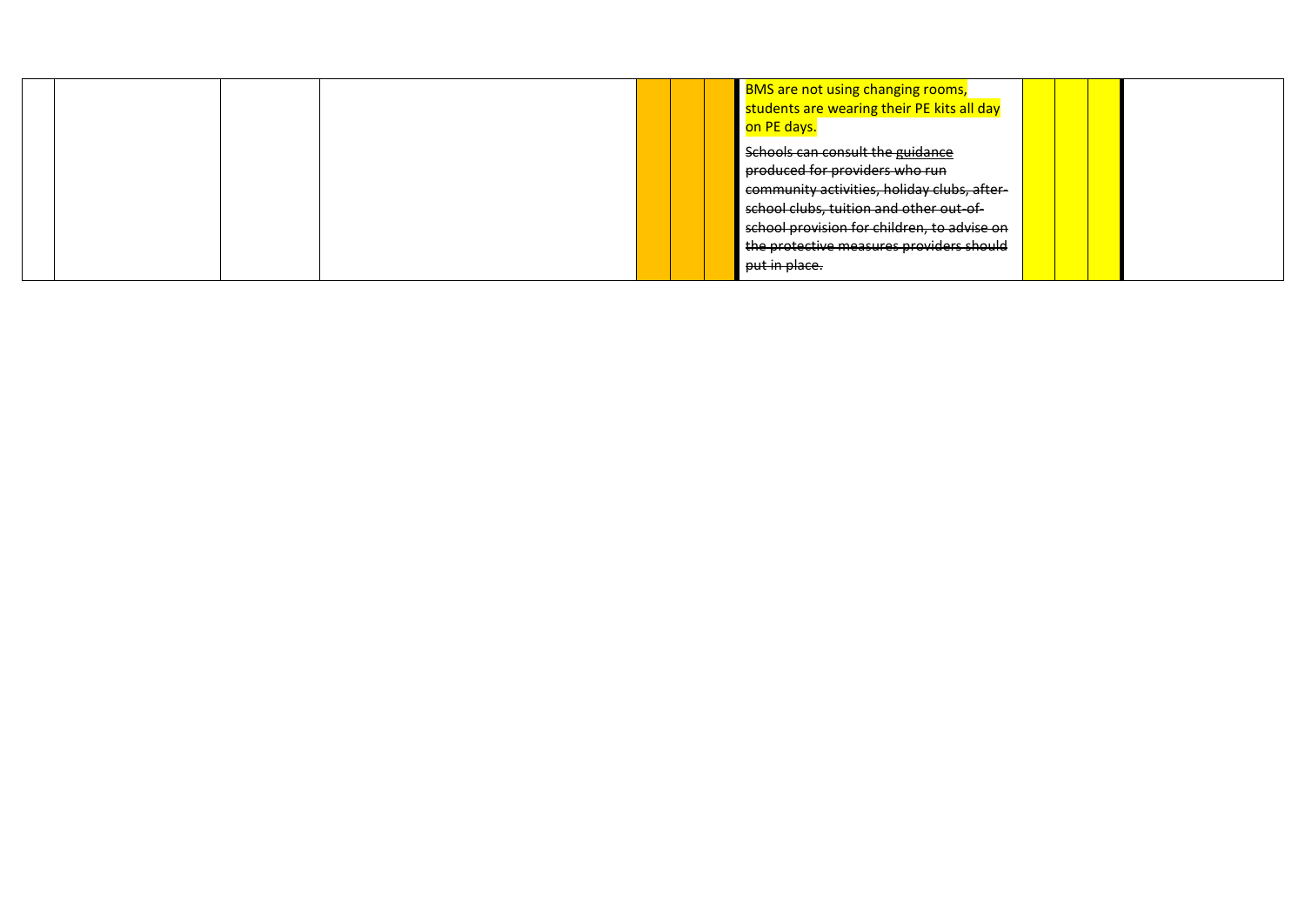|  | <b>BMS</b> are not using changing rooms,<br>students are wearing their PE kits all day<br>on PE days.                                                                                                                                                                    |  |  |
|--|--------------------------------------------------------------------------------------------------------------------------------------------------------------------------------------------------------------------------------------------------------------------------|--|--|
|  | Schools can consult the guidance<br>produced for providers who run<br>community activities, holiday clubs, after-<br>school clubs, tuition and other out-of-<br>school provision for children, to advise on<br>the protective measures providers should<br>put in place. |  |  |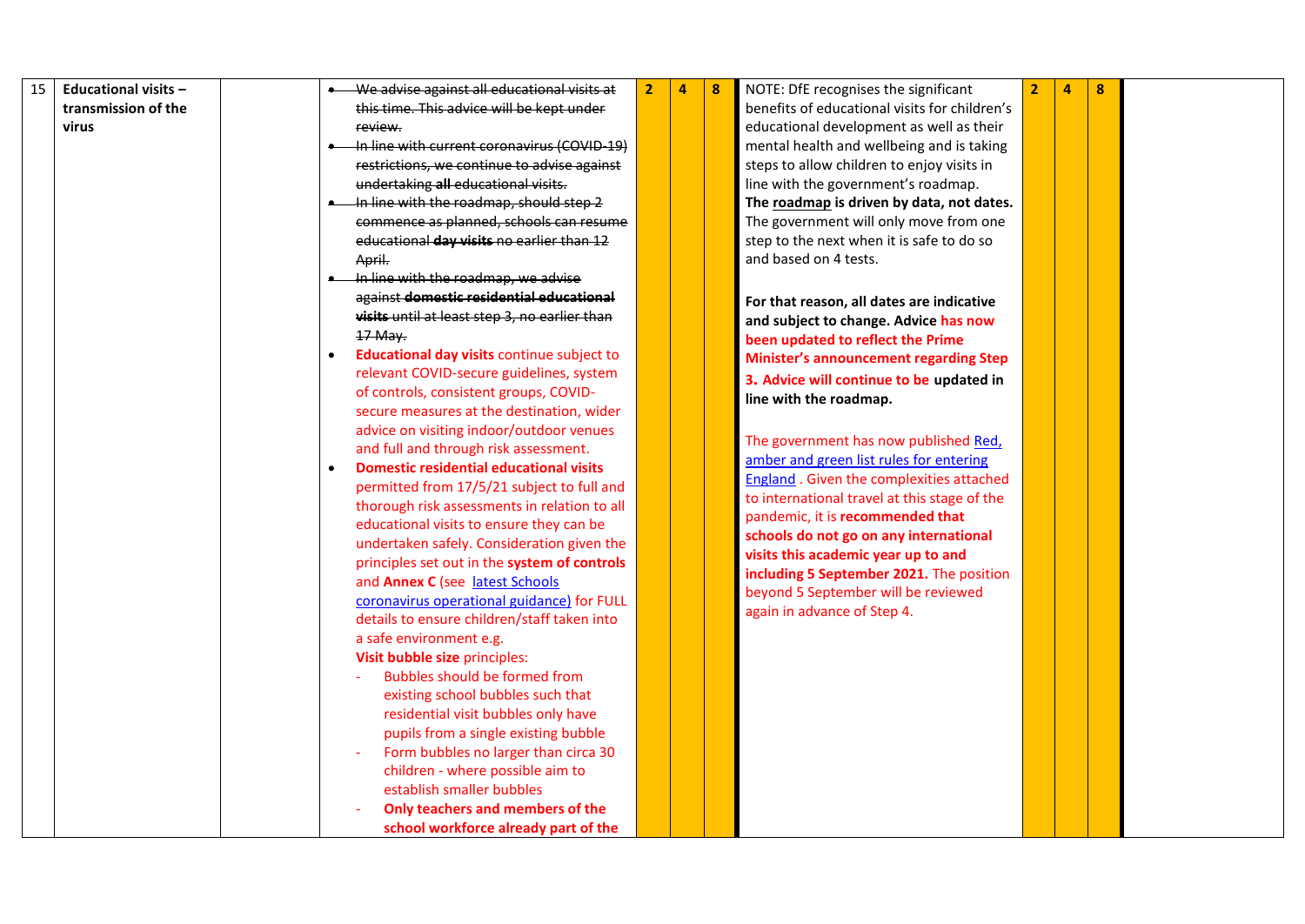| 15 | <b>Educational visits -</b> |           | We advise against all educational visits at    | $\overline{2}$ | 4 | 8 | NOTE: DfE recognises the significant             | $\overline{2}$ | 4 | 8 |  |
|----|-----------------------------|-----------|------------------------------------------------|----------------|---|---|--------------------------------------------------|----------------|---|---|--|
|    | transmission of the         |           | this time. This advice will be kept under      |                |   |   | benefits of educational visits for children's    |                |   |   |  |
|    | virus                       |           | review.                                        |                |   |   | educational development as well as their         |                |   |   |  |
|    |                             |           | In line with current coronavirus (COVID-19)    |                |   |   | mental health and wellbeing and is taking        |                |   |   |  |
|    |                             |           | restrictions, we continue to advise against    |                |   |   | steps to allow children to enjoy visits in       |                |   |   |  |
|    |                             |           | undertaking all educational visits.            |                |   |   | line with the government's roadmap.              |                |   |   |  |
|    |                             |           | In line with the roadmap, should step 2        |                |   |   | The roadmap is driven by data, not dates.        |                |   |   |  |
|    |                             |           | commence as planned, schools can resume        |                |   |   | The government will only move from one           |                |   |   |  |
|    |                             |           | educational day visits no earlier than 12      |                |   |   | step to the next when it is safe to do so        |                |   |   |  |
|    |                             |           | April.                                         |                |   |   | and based on 4 tests.                            |                |   |   |  |
|    |                             |           | In line with the roadmap, we advise            |                |   |   |                                                  |                |   |   |  |
|    |                             |           | against domestic residential educational       |                |   |   |                                                  |                |   |   |  |
|    |                             |           | visits until at least step 3, no earlier than  |                |   |   | For that reason, all dates are indicative        |                |   |   |  |
|    |                             |           | 17 May.                                        |                |   |   | and subject to change. Advice has now            |                |   |   |  |
|    |                             | $\bullet$ | Educational day visits continue subject to     |                |   |   | been updated to reflect the Prime                |                |   |   |  |
|    |                             |           | relevant COVID-secure guidelines, system       |                |   |   | <b>Minister's announcement regarding Step</b>    |                |   |   |  |
|    |                             |           | of controls, consistent groups, COVID-         |                |   |   | 3. Advice will continue to be updated in         |                |   |   |  |
|    |                             |           | secure measures at the destination, wider      |                |   |   | line with the roadmap.                           |                |   |   |  |
|    |                             |           | advice on visiting indoor/outdoor venues       |                |   |   |                                                  |                |   |   |  |
|    |                             |           | and full and through risk assessment.          |                |   |   | The government has now published Red,            |                |   |   |  |
|    |                             | $\bullet$ | <b>Domestic residential educational visits</b> |                |   |   | amber and green list rules for entering          |                |   |   |  |
|    |                             |           | permitted from 17/5/21 subject to full and     |                |   |   | <b>England</b> . Given the complexities attached |                |   |   |  |
|    |                             |           | thorough risk assessments in relation to all   |                |   |   | to international travel at this stage of the     |                |   |   |  |
|    |                             |           | educational visits to ensure they can be       |                |   |   | pandemic, it is recommended that                 |                |   |   |  |
|    |                             |           | undertaken safely. Consideration given the     |                |   |   | schools do not go on any international           |                |   |   |  |
|    |                             |           | principles set out in the system of controls   |                |   |   | visits this academic year up to and              |                |   |   |  |
|    |                             |           | and Annex C (see latest Schools                |                |   |   | including 5 September 2021. The position         |                |   |   |  |
|    |                             |           | coronavirus operational guidance) for FULL     |                |   |   | beyond 5 September will be reviewed              |                |   |   |  |
|    |                             |           | details to ensure children/staff taken into    |                |   |   | again in advance of Step 4.                      |                |   |   |  |
|    |                             |           | a safe environment e.g.                        |                |   |   |                                                  |                |   |   |  |
|    |                             |           | Visit bubble size principles:                  |                |   |   |                                                  |                |   |   |  |
|    |                             |           | Bubbles should be formed from                  |                |   |   |                                                  |                |   |   |  |
|    |                             |           | existing school bubbles such that              |                |   |   |                                                  |                |   |   |  |
|    |                             |           | residential visit bubbles only have            |                |   |   |                                                  |                |   |   |  |
|    |                             |           | pupils from a single existing bubble           |                |   |   |                                                  |                |   |   |  |
|    |                             |           | Form bubbles no larger than circa 30           |                |   |   |                                                  |                |   |   |  |
|    |                             |           | children - where possible aim to               |                |   |   |                                                  |                |   |   |  |
|    |                             |           | establish smaller bubbles                      |                |   |   |                                                  |                |   |   |  |
|    |                             |           | Only teachers and members of the               |                |   |   |                                                  |                |   |   |  |
|    |                             |           | school workforce already part of the           |                |   |   |                                                  |                |   |   |  |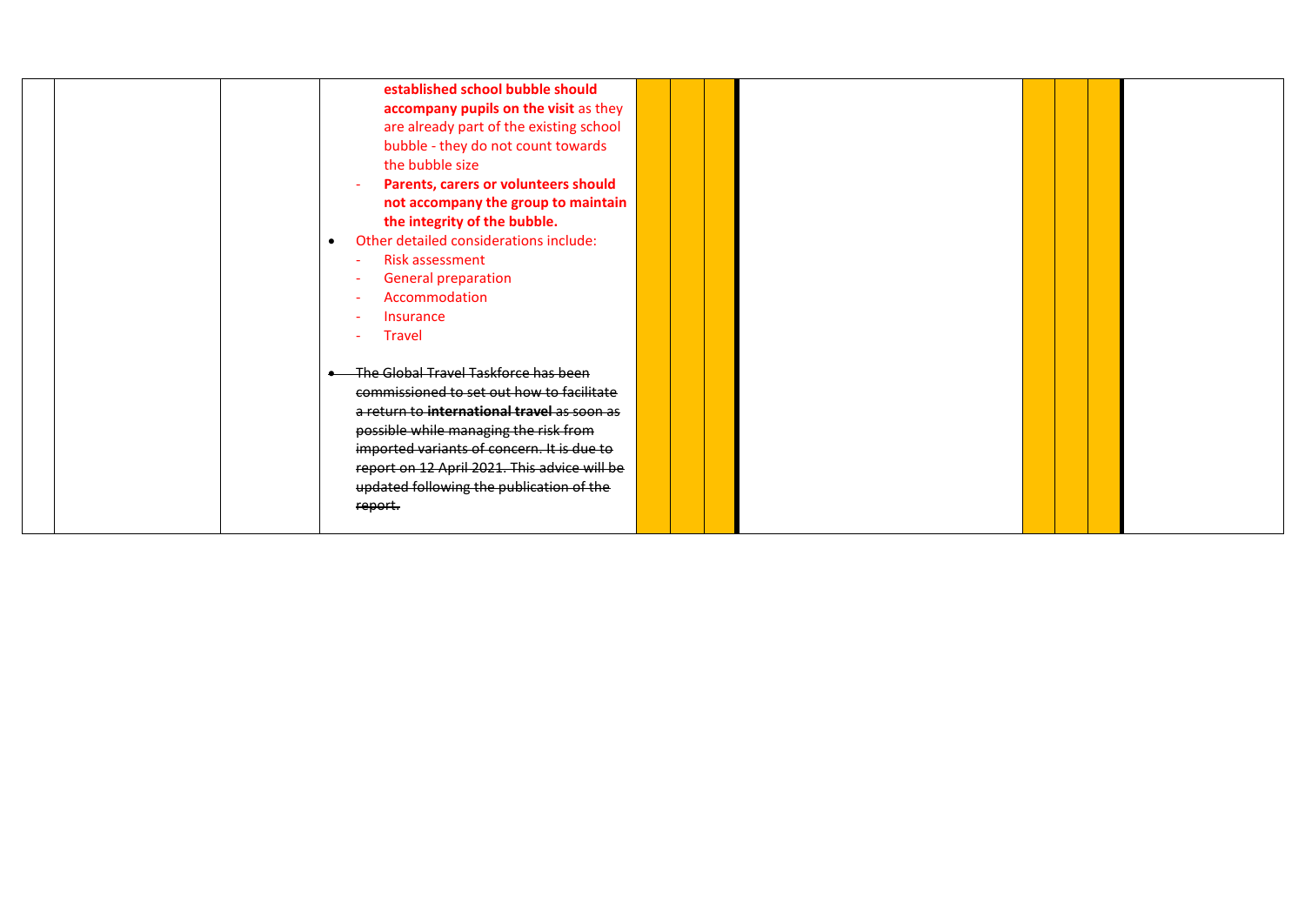|  | established school bubble should<br>accompany pupils on the visit as they<br>are already part of the existing school<br>bubble - they do not count towards<br>the bubble size<br>Parents, carers or volunteers should<br>not accompany the group to maintain<br>the integrity of the bubble.<br>Other detailed considerations include:<br>$\bullet$<br>Risk assessment<br>$\sim$<br>General preparation<br>Accommodation<br><b>Insurance</b><br><b>Travel</b> |  |  |  |
|--|---------------------------------------------------------------------------------------------------------------------------------------------------------------------------------------------------------------------------------------------------------------------------------------------------------------------------------------------------------------------------------------------------------------------------------------------------------------|--|--|--|
|  | The Global Travel Taskforce has been<br>commissioned to set out how to facilitate<br>a return to international travel as soon as<br>possible while managing the risk from<br>imported variants of concern. It is due to<br>report on 12 April 2021. This advice will be<br>updated following the publication of the<br>report.                                                                                                                                |  |  |  |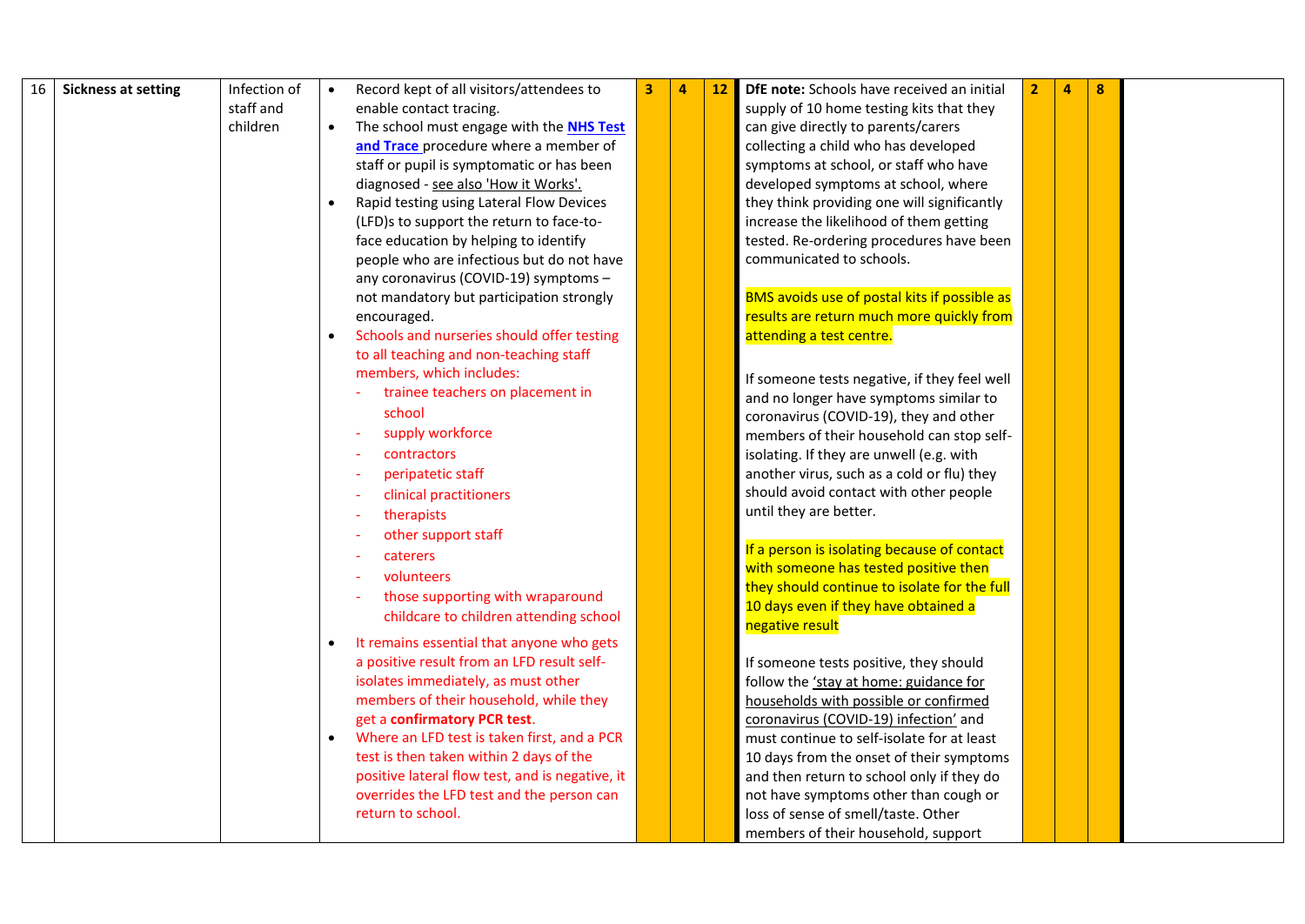| 16 | <b>Sickness at setting</b> | Infection of | $\bullet$ | Record kept of all visitors/attendees to        | 3 | <u>12</u> | DfE note: Schools have received an initial          | $\overline{2}$ | 4 | 8 |  |
|----|----------------------------|--------------|-----------|-------------------------------------------------|---|-----------|-----------------------------------------------------|----------------|---|---|--|
|    |                            | staff and    |           | enable contact tracing.                         |   |           | supply of 10 home testing kits that they            |                |   |   |  |
|    |                            | children     | $\bullet$ | The school must engage with the NHS Test        |   |           | can give directly to parents/carers                 |                |   |   |  |
|    |                            |              |           | and Trace procedure where a member of           |   |           | collecting a child who has developed                |                |   |   |  |
|    |                            |              |           | staff or pupil is symptomatic or has been       |   |           | symptoms at school, or staff who have               |                |   |   |  |
|    |                            |              |           | diagnosed - see also 'How it Works'.            |   |           | developed symptoms at school, where                 |                |   |   |  |
|    |                            |              |           |                                                 |   |           | they think providing one will significantly         |                |   |   |  |
|    |                            |              |           | Rapid testing using Lateral Flow Devices        |   |           |                                                     |                |   |   |  |
|    |                            |              |           | (LFD)s to support the return to face-to-        |   |           | increase the likelihood of them getting             |                |   |   |  |
|    |                            |              |           | face education by helping to identify           |   |           | tested. Re-ordering procedures have been            |                |   |   |  |
|    |                            |              |           | people who are infectious but do not have       |   |           | communicated to schools.                            |                |   |   |  |
|    |                            |              |           | any coronavirus (COVID-19) symptoms -           |   |           |                                                     |                |   |   |  |
|    |                            |              |           | not mandatory but participation strongly        |   |           | <b>BMS</b> avoids use of postal kits if possible as |                |   |   |  |
|    |                            |              |           | encouraged.                                     |   |           | results are return much more quickly from           |                |   |   |  |
|    |                            |              | $\bullet$ | Schools and nurseries should offer testing      |   |           | attending a test centre.                            |                |   |   |  |
|    |                            |              |           | to all teaching and non-teaching staff          |   |           |                                                     |                |   |   |  |
|    |                            |              |           | members, which includes:                        |   |           | If someone tests negative, if they feel well        |                |   |   |  |
|    |                            |              |           | trainee teachers on placement in                |   |           | and no longer have symptoms similar to              |                |   |   |  |
|    |                            |              |           | school                                          |   |           | coronavirus (COVID-19), they and other              |                |   |   |  |
|    |                            |              |           | supply workforce                                |   |           | members of their household can stop self-           |                |   |   |  |
|    |                            |              |           | contractors                                     |   |           | isolating. If they are unwell (e.g. with            |                |   |   |  |
|    |                            |              |           | peripatetic staff                               |   |           | another virus, such as a cold or flu) they          |                |   |   |  |
|    |                            |              |           | clinical practitioners                          |   |           | should avoid contact with other people              |                |   |   |  |
|    |                            |              |           | therapists                                      |   |           | until they are better.                              |                |   |   |  |
|    |                            |              |           | other support staff                             |   |           |                                                     |                |   |   |  |
|    |                            |              |           | caterers                                        |   |           | If a person is isolating because of contact         |                |   |   |  |
|    |                            |              |           | volunteers                                      |   |           | with someone has tested positive then               |                |   |   |  |
|    |                            |              |           | those supporting with wraparound                |   |           | they should continue to isolate for the full        |                |   |   |  |
|    |                            |              |           |                                                 |   |           | 10 days even if they have obtained a                |                |   |   |  |
|    |                            |              |           | childcare to children attending school          |   |           | negative result                                     |                |   |   |  |
|    |                            |              | $\bullet$ | It remains essential that anyone who gets       |   |           |                                                     |                |   |   |  |
|    |                            |              |           | a positive result from an LFD result self-      |   |           | If someone tests positive, they should              |                |   |   |  |
|    |                            |              |           | isolates immediately, as must other             |   |           | follow the 'stay at home: guidance for              |                |   |   |  |
|    |                            |              |           | members of their household, while they          |   |           | households with possible or confirmed               |                |   |   |  |
|    |                            |              |           | get a confirmatory PCR test.                    |   |           | coronavirus (COVID-19) infection' and               |                |   |   |  |
|    |                            |              |           | Where an LFD test is taken first, and a PCR     |   |           | must continue to self-isolate for at least          |                |   |   |  |
|    |                            |              |           | test is then taken within 2 days of the         |   |           | 10 days from the onset of their symptoms            |                |   |   |  |
|    |                            |              |           | positive lateral flow test, and is negative, it |   |           | and then return to school only if they do           |                |   |   |  |
|    |                            |              |           | overrides the LFD test and the person can       |   |           | not have symptoms other than cough or               |                |   |   |  |
|    |                            |              |           | return to school.                               |   |           | loss of sense of smell/taste. Other                 |                |   |   |  |
|    |                            |              |           |                                                 |   |           | members of their household, support                 |                |   |   |  |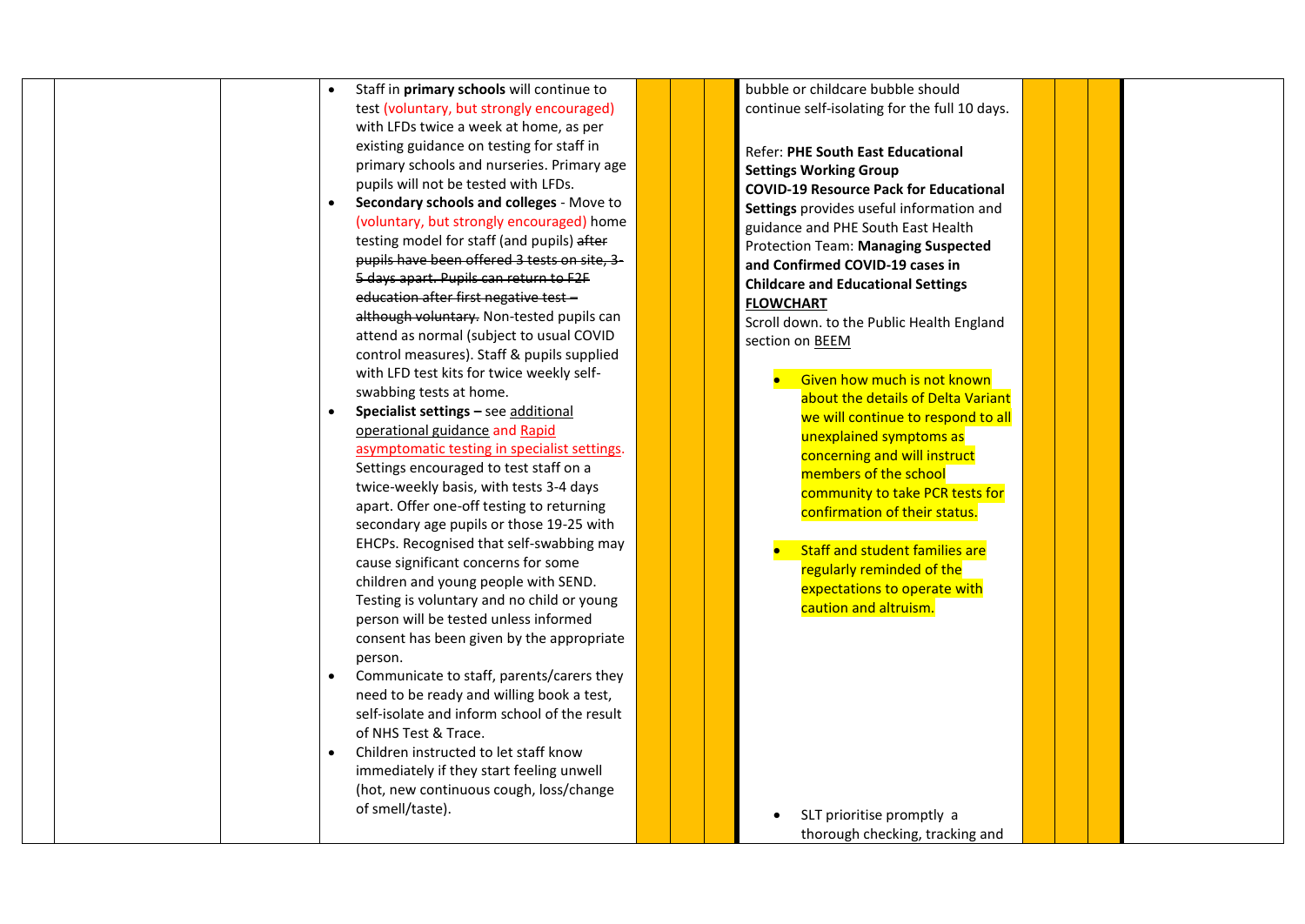| Staff in primary schools will continue to    | bubble or childcare bubble should             |  |
|----------------------------------------------|-----------------------------------------------|--|
| test (voluntary, but strongly encouraged)    | continue self-isolating for the full 10 days. |  |
| with LFDs twice a week at home, as per       |                                               |  |
| existing guidance on testing for staff in    | Refer: PHE South East Educational             |  |
| primary schools and nurseries. Primary age   | <b>Settings Working Group</b>                 |  |
| pupils will not be tested with LFDs.         | <b>COVID-19 Resource Pack for Educational</b> |  |
| Secondary schools and colleges - Move to     |                                               |  |
| (voluntary, but strongly encouraged) home    | Settings provides useful information and      |  |
| testing model for staff (and pupils) after   | guidance and PHE South East Health            |  |
| pupils have been offered 3 tests on site, 3- | <b>Protection Team: Managing Suspected</b>    |  |
| 5 days apart. Pupils can return to F2F       | and Confirmed COVID-19 cases in               |  |
| education after first negative test -        | <b>Childcare and Educational Settings</b>     |  |
|                                              | <b>FLOWCHART</b>                              |  |
| although voluntary. Non-tested pupils can    | Scroll down. to the Public Health England     |  |
| attend as normal (subject to usual COVID     | section on BEEM                               |  |
| control measures). Staff & pupils supplied   |                                               |  |
| with LFD test kits for twice weekly self-    | Given how much is not known                   |  |
| swabbing tests at home.                      | about the details of Delta Variant            |  |
| Specialist settings - see additional         | we will continue to respond to all            |  |
| operational guidance and Rapid               | unexplained symptoms as                       |  |
| asymptomatic testing in specialist settings. | concerning and will instruct                  |  |
| Settings encouraged to test staff on a       | members of the school                         |  |
| twice-weekly basis, with tests 3-4 days      | community to take PCR tests for               |  |
| apart. Offer one-off testing to returning    | confirmation of their status.                 |  |
| secondary age pupils or those 19-25 with     |                                               |  |
| EHCPs. Recognised that self-swabbing may     | <b>Staff and student families are</b>         |  |
| cause significant concerns for some          |                                               |  |
| children and young people with SEND.         | regularly reminded of the                     |  |
| Testing is voluntary and no child or young   | expectations to operate with                  |  |
| person will be tested unless informed        | caution and altruism.                         |  |
| consent has been given by the appropriate    |                                               |  |
| person.                                      |                                               |  |
| Communicate to staff, parents/carers they    |                                               |  |
| need to be ready and willing book a test,    |                                               |  |
|                                              |                                               |  |
| self-isolate and inform school of the result |                                               |  |
| of NHS Test & Trace.                         |                                               |  |
| Children instructed to let staff know        |                                               |  |
| immediately if they start feeling unwell     |                                               |  |
| (hot, new continuous cough, loss/change      |                                               |  |
| of smell/taste).                             | SLT prioritise promptly a                     |  |
|                                              | thorough checking, tracking and               |  |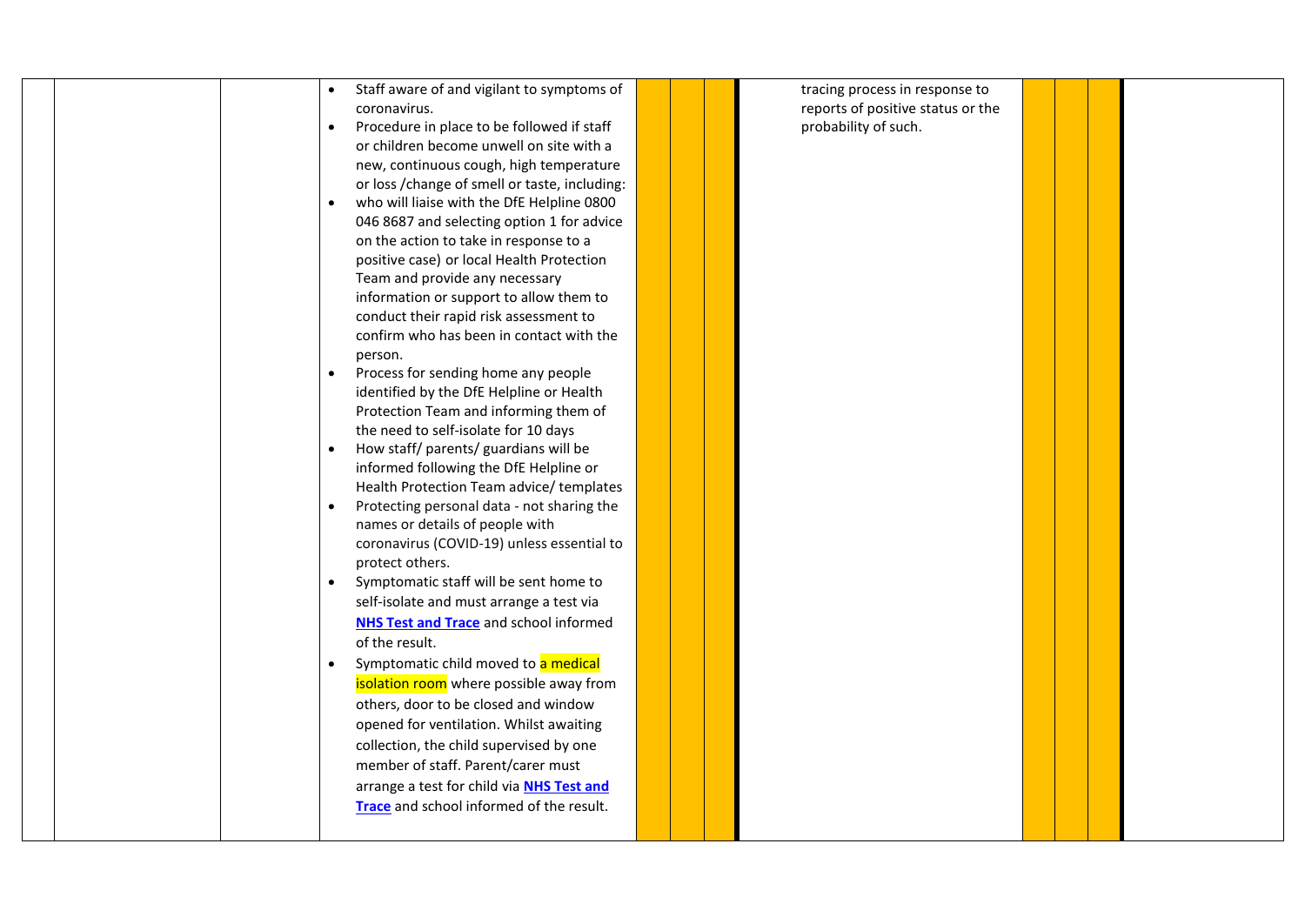| Staff aware of and vigilant to symptoms of<br>$\bullet$ | tracing process in response to    |  |
|---------------------------------------------------------|-----------------------------------|--|
| coronavirus.                                            | reports of positive status or the |  |
| Procedure in place to be followed if staff<br>$\bullet$ | probability of such.              |  |
| or children become unwell on site with a                |                                   |  |
| new, continuous cough, high temperature                 |                                   |  |
| or loss / change of smell or taste, including:          |                                   |  |
| who will liaise with the DfE Helpline 0800              |                                   |  |
| 046 8687 and selecting option 1 for advice              |                                   |  |
| on the action to take in response to a                  |                                   |  |
| positive case) or local Health Protection               |                                   |  |
| Team and provide any necessary                          |                                   |  |
| information or support to allow them to                 |                                   |  |
| conduct their rapid risk assessment to                  |                                   |  |
| confirm who has been in contact with the                |                                   |  |
| person.                                                 |                                   |  |
| Process for sending home any people<br>$\bullet$        |                                   |  |
| identified by the DfE Helpline or Health                |                                   |  |
| Protection Team and informing them of                   |                                   |  |
|                                                         |                                   |  |
| the need to self-isolate for 10 days                    |                                   |  |
| How staff/ parents/ guardians will be                   |                                   |  |
| informed following the DfE Helpline or                  |                                   |  |
| Health Protection Team advice/templates                 |                                   |  |
| Protecting personal data - not sharing the              |                                   |  |
| names or details of people with                         |                                   |  |
| coronavirus (COVID-19) unless essential to              |                                   |  |
| protect others.                                         |                                   |  |
| Symptomatic staff will be sent home to<br>$\bullet$     |                                   |  |
| self-isolate and must arrange a test via                |                                   |  |
| <b>NHS Test and Trace</b> and school informed           |                                   |  |
| of the result.                                          |                                   |  |
| Symptomatic child moved to a medical<br>$\bullet$       |                                   |  |
| isolation room where possible away from                 |                                   |  |
|                                                         |                                   |  |
| others, door to be closed and window                    |                                   |  |
| opened for ventilation. Whilst awaiting                 |                                   |  |
| collection, the child supervised by one                 |                                   |  |
| member of staff. Parent/carer must                      |                                   |  |
| arrange a test for child via NHS Test and               |                                   |  |
| Trace and school informed of the result.                |                                   |  |
|                                                         |                                   |  |
|                                                         |                                   |  |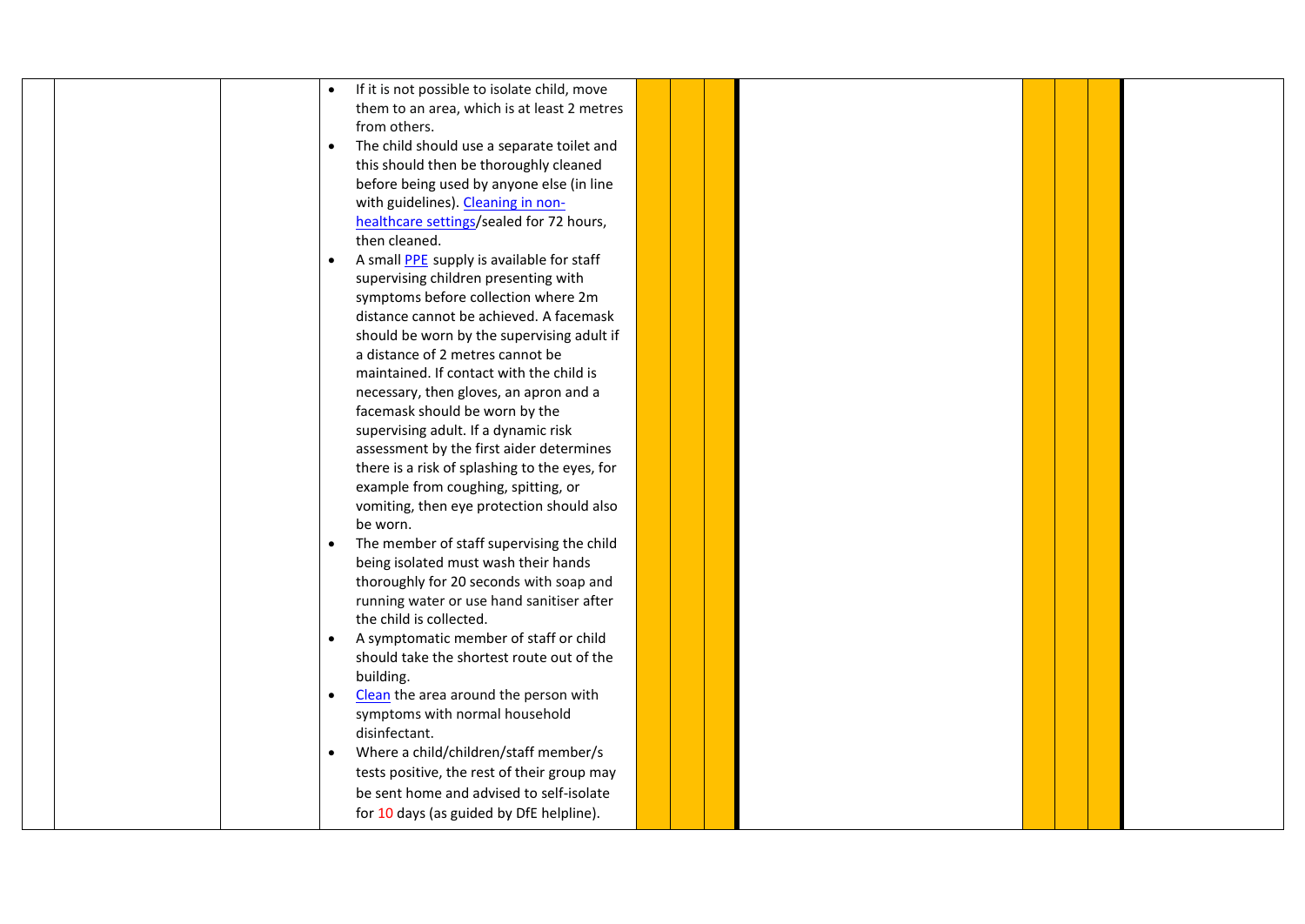|  | If it is not possible to isolate child, move<br>$\bullet$     |  |  |  |  |
|--|---------------------------------------------------------------|--|--|--|--|
|  | them to an area, which is at least 2 metres                   |  |  |  |  |
|  | from others.                                                  |  |  |  |  |
|  | The child should use a separate toilet and<br>$\bullet$       |  |  |  |  |
|  | this should then be thoroughly cleaned                        |  |  |  |  |
|  | before being used by anyone else (in line                     |  |  |  |  |
|  | with guidelines). Cleaning in non-                            |  |  |  |  |
|  | healthcare settings/sealed for 72 hours,                      |  |  |  |  |
|  | then cleaned.                                                 |  |  |  |  |
|  | A small <b>PPE</b> supply is available for staff<br>$\bullet$ |  |  |  |  |
|  | supervising children presenting with                          |  |  |  |  |
|  | symptoms before collection where 2m                           |  |  |  |  |
|  | distance cannot be achieved. A facemask                       |  |  |  |  |
|  | should be worn by the supervising adult if                    |  |  |  |  |
|  | a distance of 2 metres cannot be                              |  |  |  |  |
|  | maintained. If contact with the child is                      |  |  |  |  |
|  | necessary, then gloves, an apron and a                        |  |  |  |  |
|  | facemask should be worn by the                                |  |  |  |  |
|  | supervising adult. If a dynamic risk                          |  |  |  |  |
|  | assessment by the first aider determines                      |  |  |  |  |
|  | there is a risk of splashing to the eyes, for                 |  |  |  |  |
|  | example from coughing, spitting, or                           |  |  |  |  |
|  | vomiting, then eye protection should also                     |  |  |  |  |
|  | be worn.                                                      |  |  |  |  |
|  | The member of staff supervising the child<br>$\bullet$        |  |  |  |  |
|  | being isolated must wash their hands                          |  |  |  |  |
|  | thoroughly for 20 seconds with soap and                       |  |  |  |  |
|  | running water or use hand sanitiser after                     |  |  |  |  |
|  | the child is collected.                                       |  |  |  |  |
|  | A symptomatic member of staff or child<br>$\bullet$           |  |  |  |  |
|  | should take the shortest route out of the                     |  |  |  |  |
|  | building.                                                     |  |  |  |  |
|  | Clean the area around the person with<br>$\bullet$            |  |  |  |  |
|  | symptoms with normal household                                |  |  |  |  |
|  | disinfectant.                                                 |  |  |  |  |
|  | Where a child/children/staff member/s<br>$\bullet$            |  |  |  |  |
|  | tests positive, the rest of their group may                   |  |  |  |  |
|  | be sent home and advised to self-isolate                      |  |  |  |  |
|  | for 10 days (as guided by DfE helpline).                      |  |  |  |  |
|  |                                                               |  |  |  |  |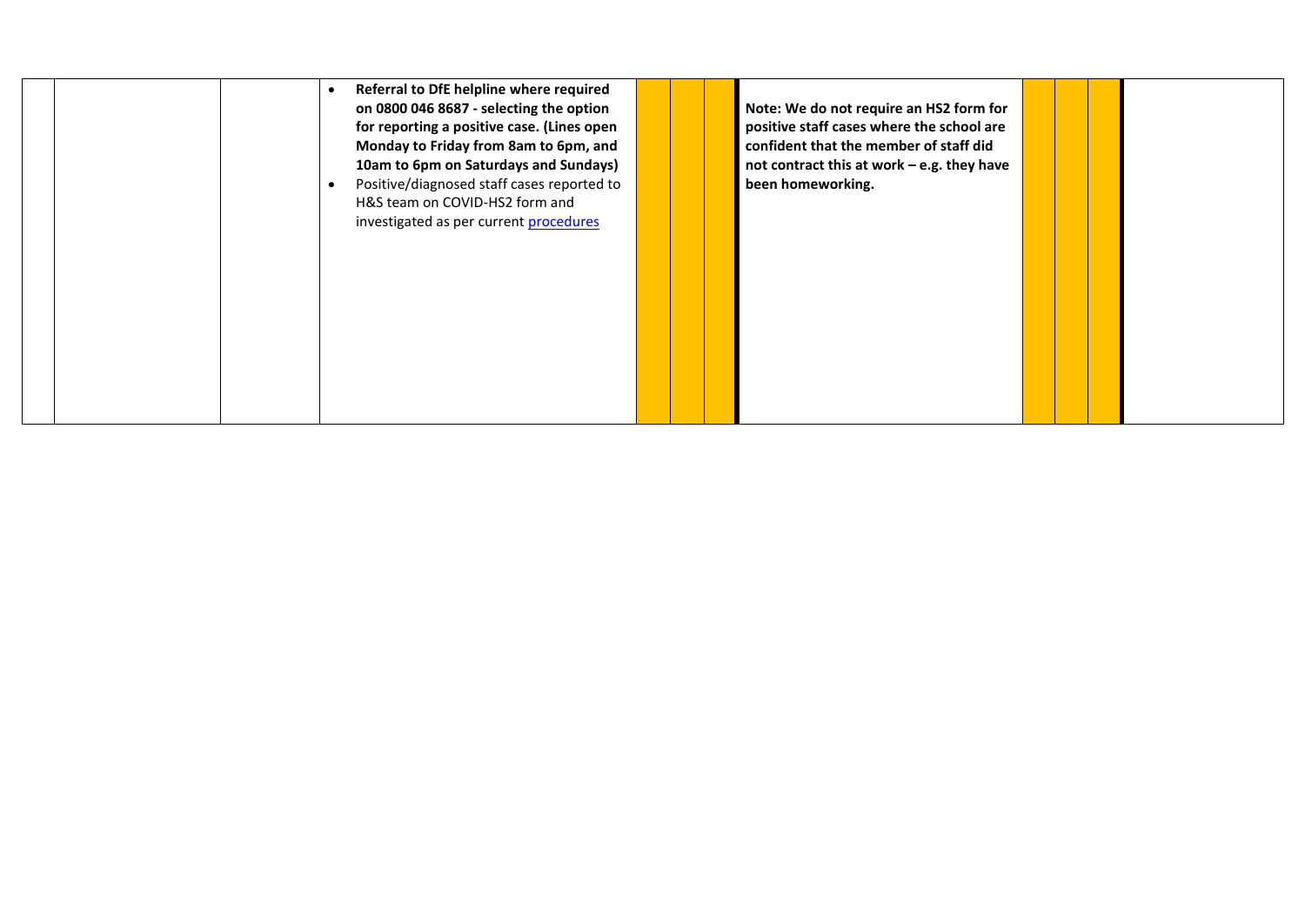| Referral to DfE helpline where required<br>on 0800 046 8687 - selecting the option<br>for reporting a positive case. (Lines open<br>Monday to Friday from 8am to 6pm, and<br>10am to 6pm on Saturdays and Sundays)<br>Positive/diagnosed staff cases reported to<br>H&S team on COVID-HS2 form and<br>investigated as per current procedures | Note: We do not require an HS2 form for<br>positive staff cases where the school are<br>confident that the member of staff did<br>not contract this at work - e.g. they have<br>been homeworking. |
|----------------------------------------------------------------------------------------------------------------------------------------------------------------------------------------------------------------------------------------------------------------------------------------------------------------------------------------------|---------------------------------------------------------------------------------------------------------------------------------------------------------------------------------------------------|
|----------------------------------------------------------------------------------------------------------------------------------------------------------------------------------------------------------------------------------------------------------------------------------------------------------------------------------------------|---------------------------------------------------------------------------------------------------------------------------------------------------------------------------------------------------|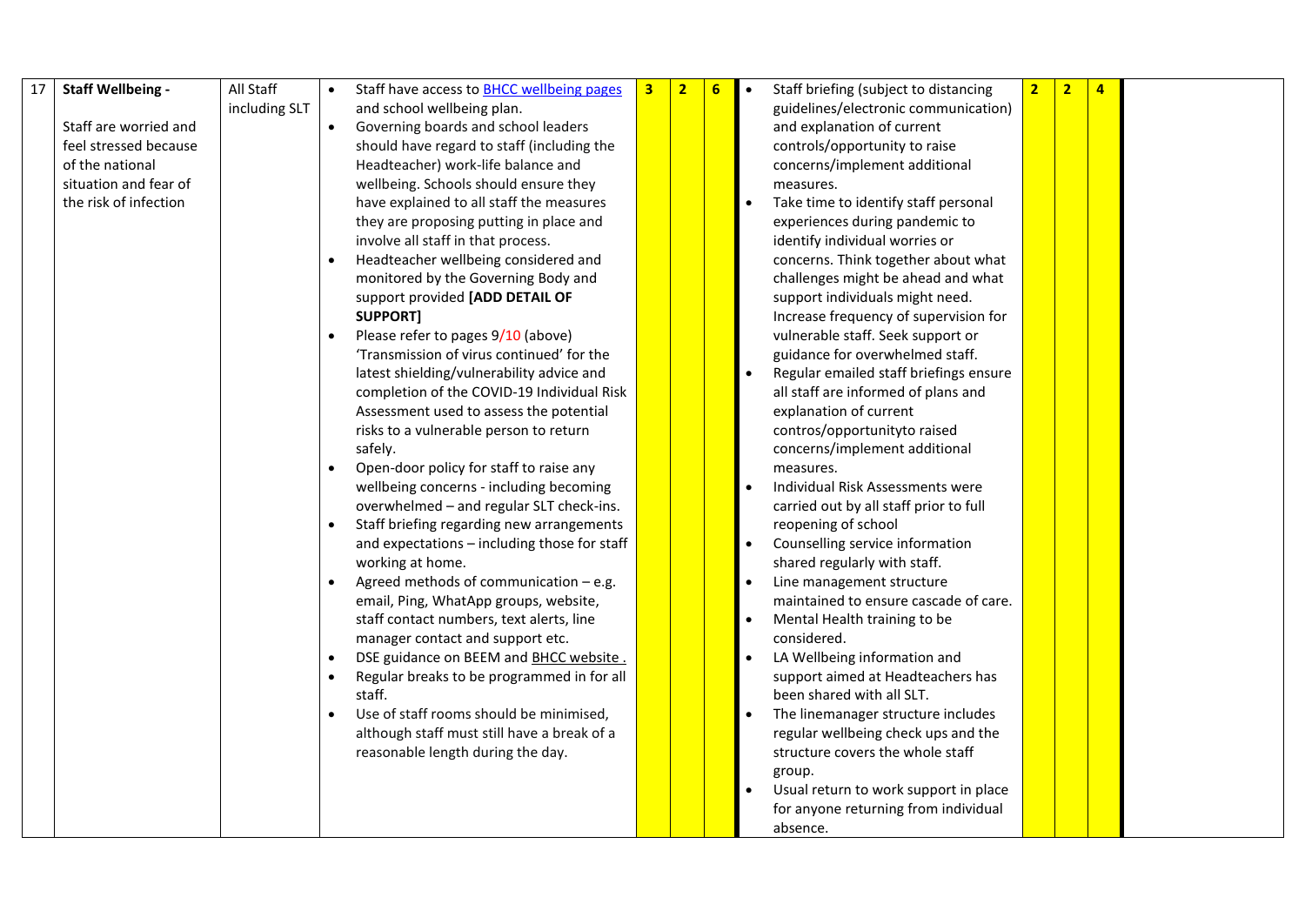| 17 | <b>Staff Wellbeing -</b> | All Staff     | $\bullet$ | Staff have access to BHCC wellbeing pages    | $\overline{\mathbf{2}}$ | 6 | Staff briefing (subject to distancing  | $\overline{\mathbf{2}}$ | $\overline{2}$ | $\overline{4}$ |  |
|----|--------------------------|---------------|-----------|----------------------------------------------|-------------------------|---|----------------------------------------|-------------------------|----------------|----------------|--|
|    |                          | including SLT |           | and school wellbeing plan.                   |                         |   | guidelines/electronic communication)   |                         |                |                |  |
|    | Staff are worried and    |               | $\bullet$ | Governing boards and school leaders          |                         |   | and explanation of current             |                         |                |                |  |
|    | feel stressed because    |               |           | should have regard to staff (including the   |                         |   | controls/opportunity to raise          |                         |                |                |  |
|    | of the national          |               |           | Headteacher) work-life balance and           |                         |   | concerns/implement additional          |                         |                |                |  |
|    | situation and fear of    |               |           | wellbeing. Schools should ensure they        |                         |   | measures.                              |                         |                |                |  |
|    | the risk of infection    |               |           | have explained to all staff the measures     |                         |   | Take time to identify staff personal   |                         |                |                |  |
|    |                          |               |           | they are proposing putting in place and      |                         |   | experiences during pandemic to         |                         |                |                |  |
|    |                          |               |           | involve all staff in that process.           |                         |   | identify individual worries or         |                         |                |                |  |
|    |                          |               |           | Headteacher wellbeing considered and         |                         |   | concerns. Think together about what    |                         |                |                |  |
|    |                          |               |           | monitored by the Governing Body and          |                         |   | challenges might be ahead and what     |                         |                |                |  |
|    |                          |               |           | support provided [ADD DETAIL OF              |                         |   | support individuals might need.        |                         |                |                |  |
|    |                          |               |           | <b>SUPPORT]</b>                              |                         |   | Increase frequency of supervision for  |                         |                |                |  |
|    |                          |               | $\bullet$ | Please refer to pages 9/10 (above)           |                         |   | vulnerable staff. Seek support or      |                         |                |                |  |
|    |                          |               |           | 'Transmission of virus continued' for the    |                         |   | guidance for overwhelmed staff.        |                         |                |                |  |
|    |                          |               |           | latest shielding/vulnerability advice and    |                         |   | Regular emailed staff briefings ensure |                         |                |                |  |
|    |                          |               |           | completion of the COVID-19 Individual Risk   |                         |   | all staff are informed of plans and    |                         |                |                |  |
|    |                          |               |           | Assessment used to assess the potential      |                         |   | explanation of current                 |                         |                |                |  |
|    |                          |               |           | risks to a vulnerable person to return       |                         |   | contros/opportunityto raised           |                         |                |                |  |
|    |                          |               |           | safely.                                      |                         |   | concerns/implement additional          |                         |                |                |  |
|    |                          |               |           | Open-door policy for staff to raise any      |                         |   | measures.                              |                         |                |                |  |
|    |                          |               |           | wellbeing concerns - including becoming      |                         |   | Individual Risk Assessments were       |                         |                |                |  |
|    |                          |               |           | overwhelmed - and regular SLT check-ins.     |                         |   | carried out by all staff prior to full |                         |                |                |  |
|    |                          |               |           | Staff briefing regarding new arrangements    |                         |   | reopening of school                    |                         |                |                |  |
|    |                          |               |           | and expectations - including those for staff |                         |   | Counselling service information        |                         |                |                |  |
|    |                          |               |           | working at home.                             |                         |   | shared regularly with staff.           |                         |                |                |  |
|    |                          |               |           | Agreed methods of communication $-$ e.g.     |                         |   | Line management structure              |                         |                |                |  |
|    |                          |               |           | email, Ping, WhatApp groups, website,        |                         |   | maintained to ensure cascade of care.  |                         |                |                |  |
|    |                          |               |           | staff contact numbers, text alerts, line     |                         |   | Mental Health training to be           |                         |                |                |  |
|    |                          |               |           | manager contact and support etc.             |                         |   | considered.                            |                         |                |                |  |
|    |                          |               |           | DSE guidance on BEEM and BHCC website.       |                         |   | LA Wellbeing information and           |                         |                |                |  |
|    |                          |               |           | Regular breaks to be programmed in for all   |                         |   | support aimed at Headteachers has      |                         |                |                |  |
|    |                          |               |           | staff.                                       |                         |   | been shared with all SLT.              |                         |                |                |  |
|    |                          |               |           | Use of staff rooms should be minimised,      |                         |   | The linemanager structure includes     |                         |                |                |  |
|    |                          |               |           | although staff must still have a break of a  |                         |   | regular wellbeing check ups and the    |                         |                |                |  |
|    |                          |               |           | reasonable length during the day.            |                         |   | structure covers the whole staff       |                         |                |                |  |
|    |                          |               |           |                                              |                         |   | group.                                 |                         |                |                |  |
|    |                          |               |           |                                              |                         |   | Usual return to work support in place  |                         |                |                |  |
|    |                          |               |           |                                              |                         |   | for anyone returning from individual   |                         |                |                |  |
|    |                          |               |           |                                              |                         |   | absence.                               |                         |                |                |  |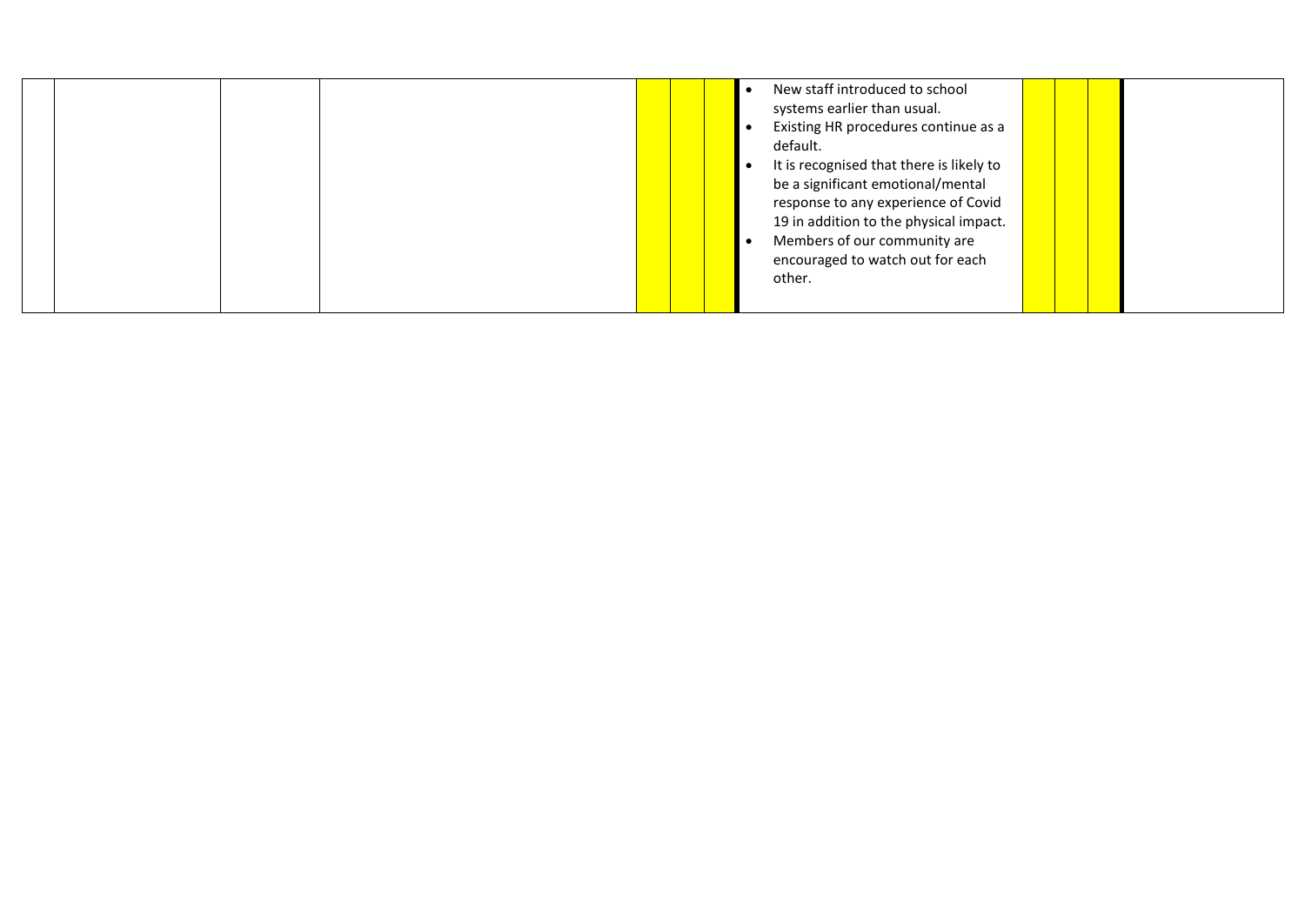|  |  | New staff introduced to school           |  |  |
|--|--|------------------------------------------|--|--|
|  |  | systems earlier than usual.              |  |  |
|  |  | Existing HR procedures continue as a     |  |  |
|  |  | default.                                 |  |  |
|  |  | It is recognised that there is likely to |  |  |
|  |  | be a significant emotional/mental        |  |  |
|  |  | response to any experience of Covid      |  |  |
|  |  | 19 in addition to the physical impact.   |  |  |
|  |  | Members of our community are             |  |  |
|  |  | encouraged to watch out for each         |  |  |
|  |  | other.                                   |  |  |
|  |  |                                          |  |  |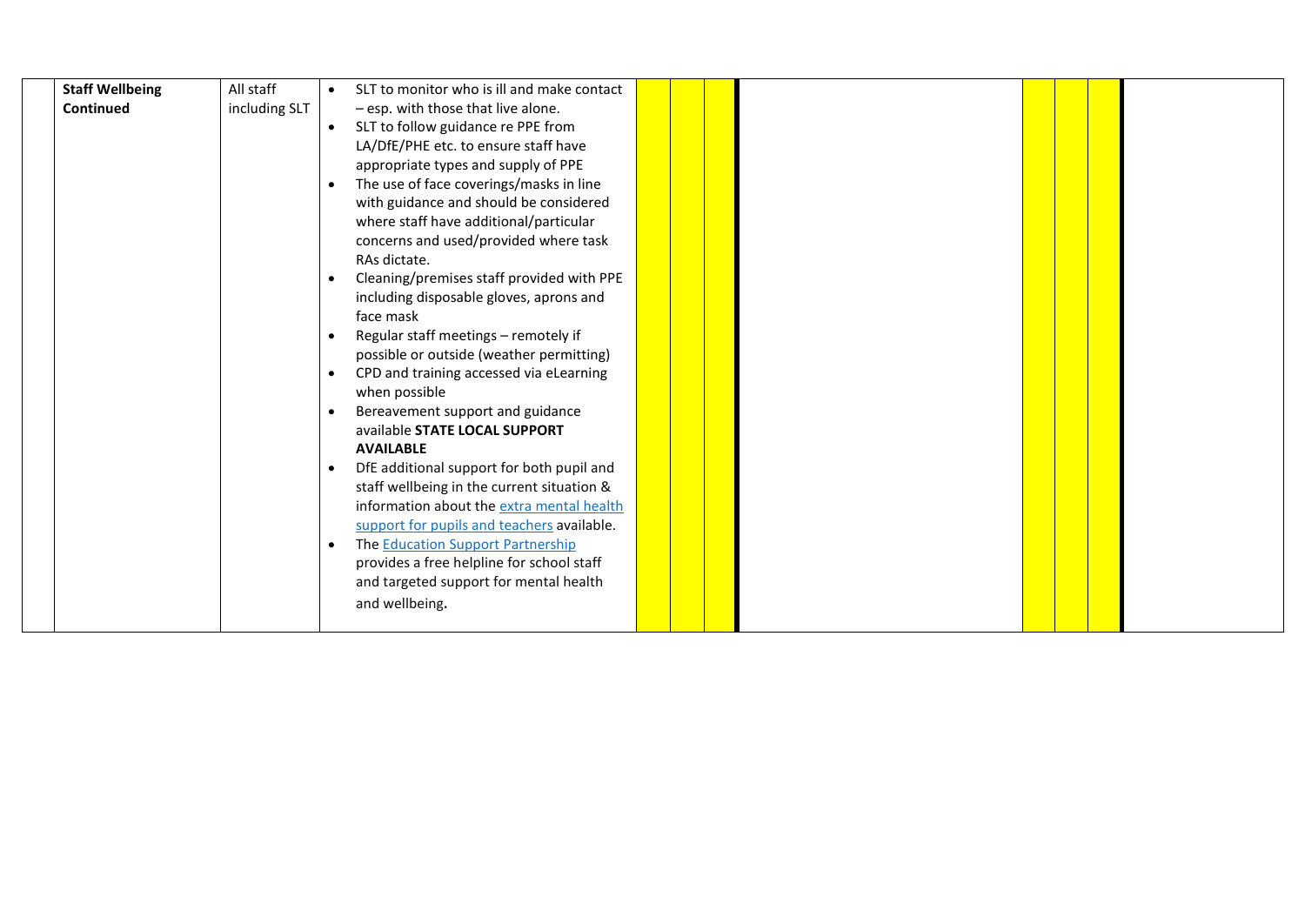| <b>Staff Wellbeing</b> | All staff     |           | SLT to monitor who is ill and make contact |  |  |  |  |
|------------------------|---------------|-----------|--------------------------------------------|--|--|--|--|
| Continued              | including SLT |           | - esp. with those that live alone.         |  |  |  |  |
|                        |               | $\bullet$ | SLT to follow guidance re PPE from         |  |  |  |  |
|                        |               |           | LA/DfE/PHE etc. to ensure staff have       |  |  |  |  |
|                        |               |           | appropriate types and supply of PPE        |  |  |  |  |
|                        |               | $\bullet$ | The use of face coverings/masks in line    |  |  |  |  |
|                        |               |           | with guidance and should be considered     |  |  |  |  |
|                        |               |           | where staff have additional/particular     |  |  |  |  |
|                        |               |           | concerns and used/provided where task      |  |  |  |  |
|                        |               |           | RAs dictate.                               |  |  |  |  |
|                        |               | $\bullet$ | Cleaning/premises staff provided with PPE  |  |  |  |  |
|                        |               |           | including disposable gloves, aprons and    |  |  |  |  |
|                        |               |           | face mask                                  |  |  |  |  |
|                        |               | $\bullet$ | Regular staff meetings - remotely if       |  |  |  |  |
|                        |               |           | possible or outside (weather permitting)   |  |  |  |  |
|                        |               | $\bullet$ | CPD and training accessed via eLearning    |  |  |  |  |
|                        |               |           | when possible                              |  |  |  |  |
|                        |               | $\bullet$ | Bereavement support and guidance           |  |  |  |  |
|                        |               |           | available STATE LOCAL SUPPORT              |  |  |  |  |
|                        |               |           | <b>AVAILABLE</b>                           |  |  |  |  |
|                        |               | $\bullet$ | DfE additional support for both pupil and  |  |  |  |  |
|                        |               |           | staff wellbeing in the current situation & |  |  |  |  |
|                        |               |           | information about the extra mental health  |  |  |  |  |
|                        |               |           | support for pupils and teachers available. |  |  |  |  |
|                        |               | $\bullet$ | The Education Support Partnership          |  |  |  |  |
|                        |               |           | provides a free helpline for school staff  |  |  |  |  |
|                        |               |           | and targeted support for mental health     |  |  |  |  |
|                        |               |           | and wellbeing.                             |  |  |  |  |
|                        |               |           |                                            |  |  |  |  |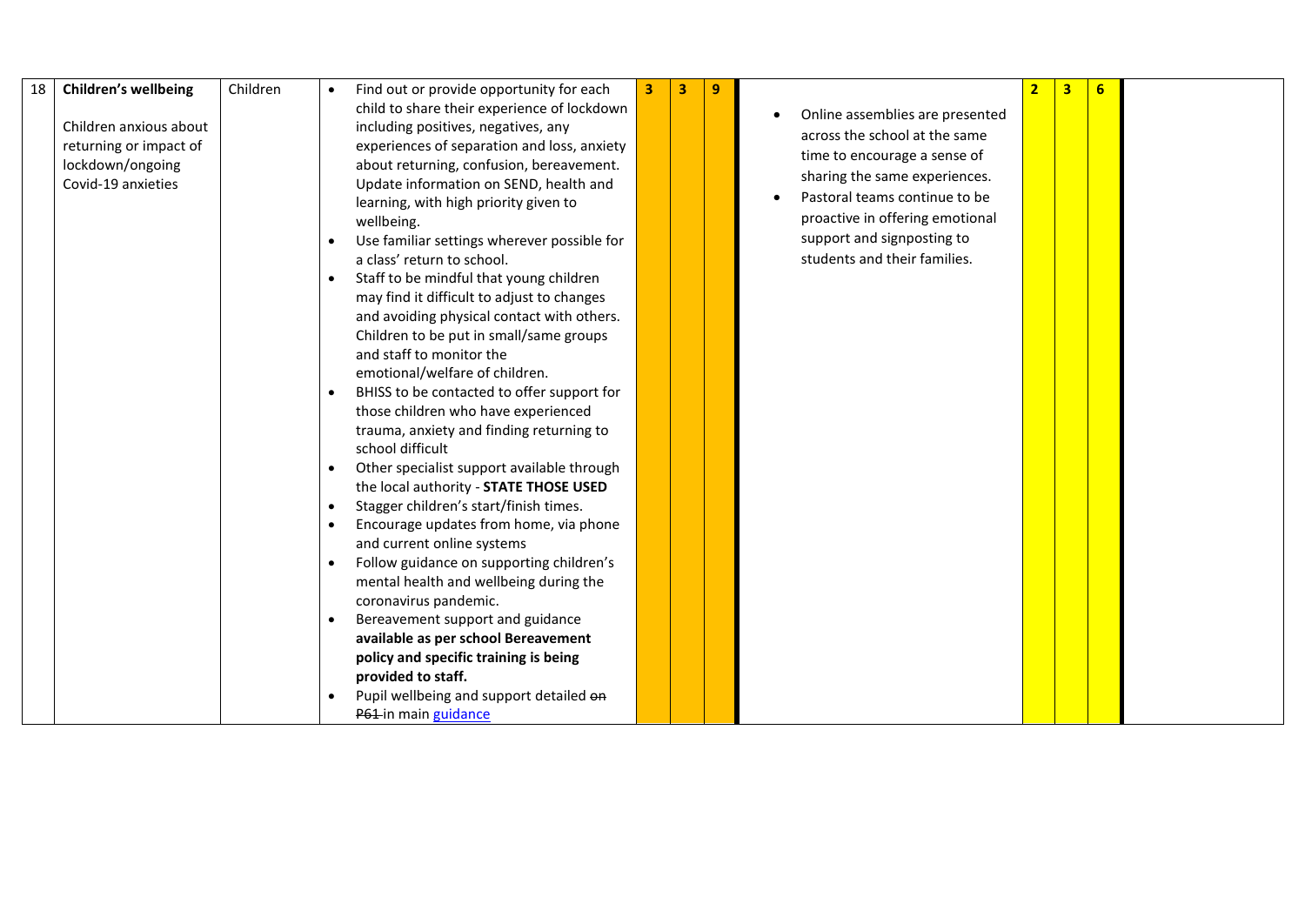| 18 | <b>Children's wellbeing</b> | Children | $\bullet$ | Find out or provide opportunity for each    | 3 | 3 | 9 |                                 | 3 <sup>1</sup> | 6 |  |
|----|-----------------------------|----------|-----------|---------------------------------------------|---|---|---|---------------------------------|----------------|---|--|
|    |                             |          |           | child to share their experience of lockdown |   |   |   | Online assemblies are presented |                |   |  |
|    | Children anxious about      |          |           | including positives, negatives, any         |   |   |   | across the school at the same   |                |   |  |
|    | returning or impact of      |          |           | experiences of separation and loss, anxiety |   |   |   | time to encourage a sense of    |                |   |  |
|    | lockdown/ongoing            |          |           | about returning, confusion, bereavement.    |   |   |   |                                 |                |   |  |
|    | Covid-19 anxieties          |          |           | Update information on SEND, health and      |   |   |   | sharing the same experiences.   |                |   |  |
|    |                             |          |           | learning, with high priority given to       |   |   |   | Pastoral teams continue to be   |                |   |  |
|    |                             |          |           | wellbeing.                                  |   |   |   | proactive in offering emotional |                |   |  |
|    |                             |          |           | Use familiar settings wherever possible for |   |   |   | support and signposting to      |                |   |  |
|    |                             |          |           | a class' return to school.                  |   |   |   | students and their families.    |                |   |  |
|    |                             |          | $\bullet$ | Staff to be mindful that young children     |   |   |   |                                 |                |   |  |
|    |                             |          |           | may find it difficult to adjust to changes  |   |   |   |                                 |                |   |  |
|    |                             |          |           | and avoiding physical contact with others.  |   |   |   |                                 |                |   |  |
|    |                             |          |           | Children to be put in small/same groups     |   |   |   |                                 |                |   |  |
|    |                             |          |           | and staff to monitor the                    |   |   |   |                                 |                |   |  |
|    |                             |          |           | emotional/welfare of children.              |   |   |   |                                 |                |   |  |
|    |                             |          | $\bullet$ | BHISS to be contacted to offer support for  |   |   |   |                                 |                |   |  |
|    |                             |          |           | those children who have experienced         |   |   |   |                                 |                |   |  |
|    |                             |          |           | trauma, anxiety and finding returning to    |   |   |   |                                 |                |   |  |
|    |                             |          |           | school difficult                            |   |   |   |                                 |                |   |  |
|    |                             |          | $\bullet$ | Other specialist support available through  |   |   |   |                                 |                |   |  |
|    |                             |          |           | the local authority - STATE THOSE USED      |   |   |   |                                 |                |   |  |
|    |                             |          | $\bullet$ | Stagger children's start/finish times.      |   |   |   |                                 |                |   |  |
|    |                             |          | $\bullet$ | Encourage updates from home, via phone      |   |   |   |                                 |                |   |  |
|    |                             |          |           | and current online systems                  |   |   |   |                                 |                |   |  |
|    |                             |          | $\bullet$ | Follow guidance on supporting children's    |   |   |   |                                 |                |   |  |
|    |                             |          |           | mental health and wellbeing during the      |   |   |   |                                 |                |   |  |
|    |                             |          |           | coronavirus pandemic.                       |   |   |   |                                 |                |   |  |
|    |                             |          |           | Bereavement support and guidance            |   |   |   |                                 |                |   |  |
|    |                             |          |           | available as per school Bereavement         |   |   |   |                                 |                |   |  |
|    |                             |          |           | policy and specific training is being       |   |   |   |                                 |                |   |  |
|    |                             |          |           | provided to staff.                          |   |   |   |                                 |                |   |  |
|    |                             |          |           | Pupil wellbeing and support detailed on     |   |   |   |                                 |                |   |  |
|    |                             |          |           | P61-in main guidance                        |   |   |   |                                 |                |   |  |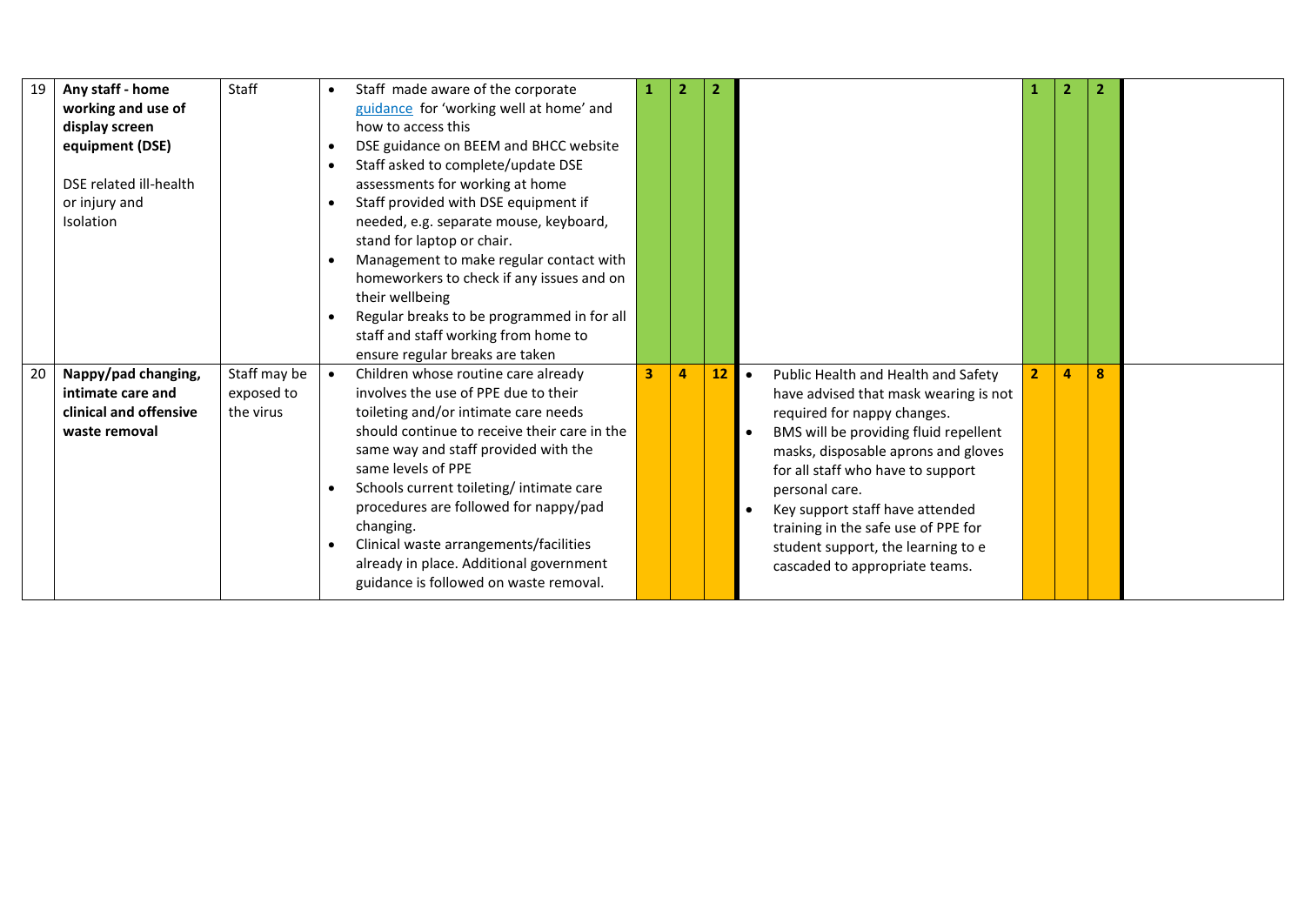| 19 | Any staff - home<br>working and use of<br>display screen<br>equipment (DSE)<br>DSE related ill-health<br>or injury and<br>Isolation | Staff                                   | $\bullet$<br>$\bullet$<br>$\bullet$<br>$\bullet$<br>$\bullet$<br>$\bullet$ | Staff made aware of the corporate<br>guidance for 'working well at home' and<br>how to access this<br>DSE guidance on BEEM and BHCC website<br>Staff asked to complete/update DSE<br>assessments for working at home<br>Staff provided with DSE equipment if<br>needed, e.g. separate mouse, keyboard,<br>stand for laptop or chair.<br>Management to make regular contact with<br>homeworkers to check if any issues and on<br>their wellbeing<br>Regular breaks to be programmed in for all<br>staff and staff working from home to<br>ensure regular breaks are taken |                         | $\overline{2}$ | $\overline{2}$ |                                                                                                                                                                                                                                                                                                                                                                                                                   |                | $\overline{2}$ | $\overline{2}$ |  |
|----|-------------------------------------------------------------------------------------------------------------------------------------|-----------------------------------------|----------------------------------------------------------------------------|--------------------------------------------------------------------------------------------------------------------------------------------------------------------------------------------------------------------------------------------------------------------------------------------------------------------------------------------------------------------------------------------------------------------------------------------------------------------------------------------------------------------------------------------------------------------------|-------------------------|----------------|----------------|-------------------------------------------------------------------------------------------------------------------------------------------------------------------------------------------------------------------------------------------------------------------------------------------------------------------------------------------------------------------------------------------------------------------|----------------|----------------|----------------|--|
| 20 | Nappy/pad changing,<br>intimate care and<br>clinical and offensive<br>waste removal                                                 | Staff may be<br>exposed to<br>the virus | $\bullet$<br>$\bullet$<br>$\bullet$                                        | Children whose routine care already<br>involves the use of PPE due to their<br>toileting and/or intimate care needs<br>should continue to receive their care in the<br>same way and staff provided with the<br>same levels of PPE<br>Schools current toileting/intimate care<br>procedures are followed for nappy/pad<br>changing.<br>Clinical waste arrangements/facilities<br>already in place. Additional government<br>guidance is followed on waste removal.                                                                                                        | $\overline{\mathbf{3}}$ | 4              | 12             | Public Health and Health and Safety<br>$\bullet$<br>have advised that mask wearing is not<br>required for nappy changes.<br>BMS will be providing fluid repellent<br>masks, disposable aprons and gloves<br>for all staff who have to support<br>personal care.<br>Key support staff have attended<br>training in the safe use of PPE for<br>student support, the learning to e<br>cascaded to appropriate teams. | $\overline{2}$ | 4              | 8              |  |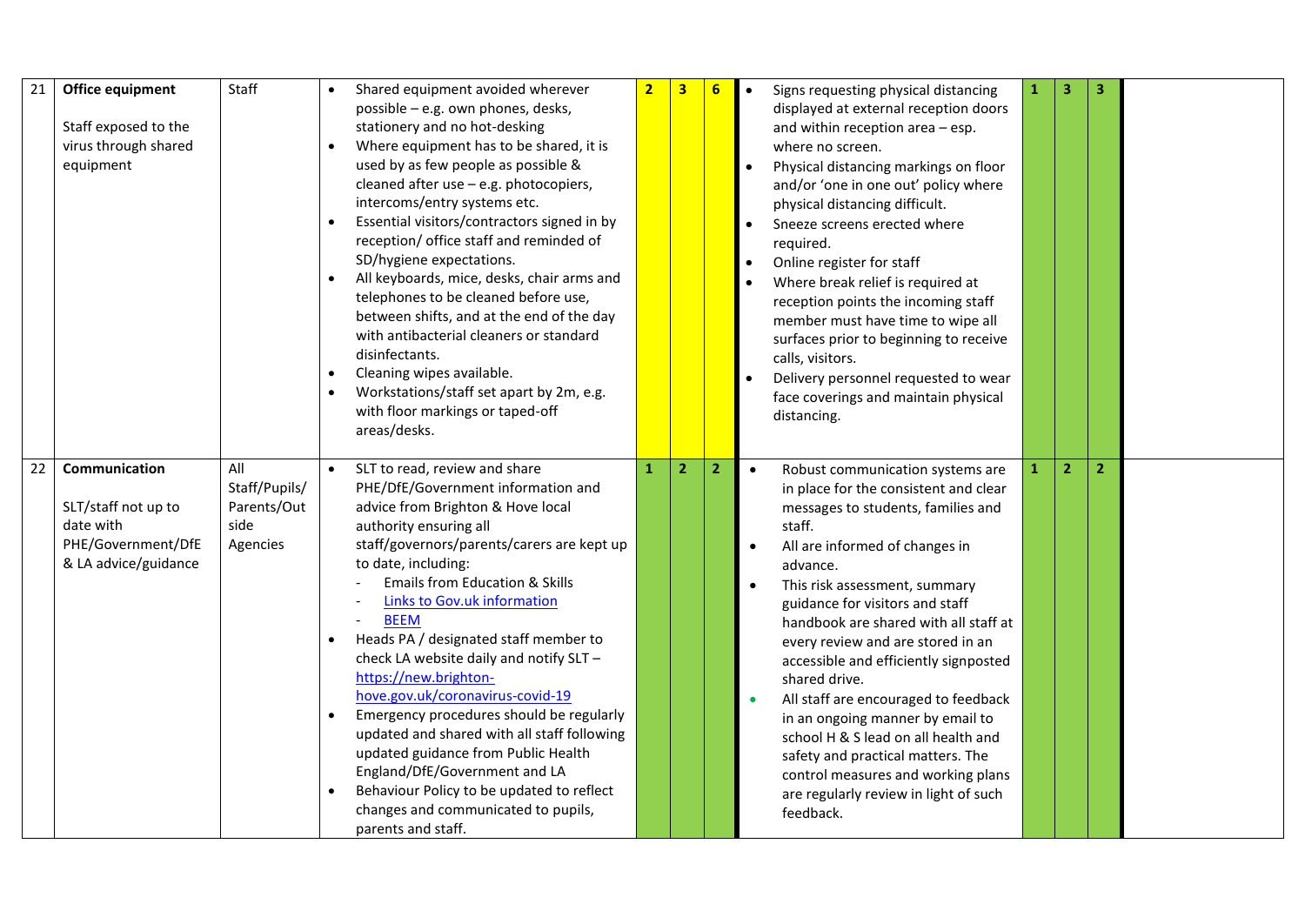| 21 | Office equipment<br>Staff exposed to the<br>virus through shared<br>equipment                          | Staff                                                   | $\bullet$              | Shared equipment avoided wherever<br>possible - e.g. own phones, desks,<br>stationery and no hot-desking<br>Where equipment has to be shared, it is<br>used by as few people as possible &<br>cleaned after use - e.g. photocopiers,<br>intercoms/entry systems etc.<br>Essential visitors/contractors signed in by<br>reception/ office staff and reminded of<br>SD/hygiene expectations.<br>All keyboards, mice, desks, chair arms and<br>telephones to be cleaned before use,<br>between shifts, and at the end of the day<br>with antibacterial cleaners or standard<br>disinfectants.<br>Cleaning wipes available.<br>Workstations/staff set apart by 2m, e.g.<br>with floor markings or taped-off<br>areas/desks.                 | $\overline{2}$ | $\overline{\mathbf{3}}$ | 6              | $\bullet$<br>$\bullet$ | Signs requesting physical distancing<br>displayed at external reception doors<br>and within reception area - esp.<br>where no screen.<br>Physical distancing markings on floor<br>and/or 'one in one out' policy where<br>physical distancing difficult.<br>Sneeze screens erected where<br>required.<br>Online register for staff<br>Where break relief is required at<br>reception points the incoming staff<br>member must have time to wipe all<br>surfaces prior to beginning to receive<br>calls, visitors.<br>Delivery personnel requested to wear<br>face coverings and maintain physical<br>distancing.                                                  | $\mathbf{1}$ | 3              | 3              |  |
|----|--------------------------------------------------------------------------------------------------------|---------------------------------------------------------|------------------------|-----------------------------------------------------------------------------------------------------------------------------------------------------------------------------------------------------------------------------------------------------------------------------------------------------------------------------------------------------------------------------------------------------------------------------------------------------------------------------------------------------------------------------------------------------------------------------------------------------------------------------------------------------------------------------------------------------------------------------------------|----------------|-------------------------|----------------|------------------------|-------------------------------------------------------------------------------------------------------------------------------------------------------------------------------------------------------------------------------------------------------------------------------------------------------------------------------------------------------------------------------------------------------------------------------------------------------------------------------------------------------------------------------------------------------------------------------------------------------------------------------------------------------------------|--------------|----------------|----------------|--|
| 22 | <b>Communication</b><br>SLT/staff not up to<br>date with<br>PHE/Government/DfE<br>& LA advice/guidance | All<br>Staff/Pupils/<br>Parents/Out<br>side<br>Agencies | $\bullet$<br>$\bullet$ | SLT to read, review and share<br>PHE/DfE/Government information and<br>advice from Brighton & Hove local<br>authority ensuring all<br>staff/governors/parents/carers are kept up<br>to date, including:<br><b>Emails from Education &amp; Skills</b><br><b>Links to Gov.uk information</b><br><b>BEEM</b><br>Heads PA / designated staff member to<br>check LA website daily and notify SLT -<br>https://new.brighton-<br>hove.gov.uk/coronavirus-covid-19<br>Emergency procedures should be regularly<br>updated and shared with all staff following<br>updated guidance from Public Health<br>England/DfE/Government and LA<br>Behaviour Policy to be updated to reflect<br>changes and communicated to pupils,<br>parents and staff. | 1              | $\overline{2}$          | $\overline{2}$ |                        | Robust communication systems are<br>$\bullet$<br>in place for the consistent and clear<br>messages to students, families and<br>staff.<br>All are informed of changes in<br>advance.<br>This risk assessment, summary<br>$\bullet$<br>guidance for visitors and staff<br>handbook are shared with all staff at<br>every review and are stored in an<br>accessible and efficiently signposted<br>shared drive.<br>All staff are encouraged to feedback<br>in an ongoing manner by email to<br>school H & S lead on all health and<br>safety and practical matters. The<br>control measures and working plans<br>are regularly review in light of such<br>feedback. | $\mathbf{1}$ | $\overline{2}$ | $\overline{2}$ |  |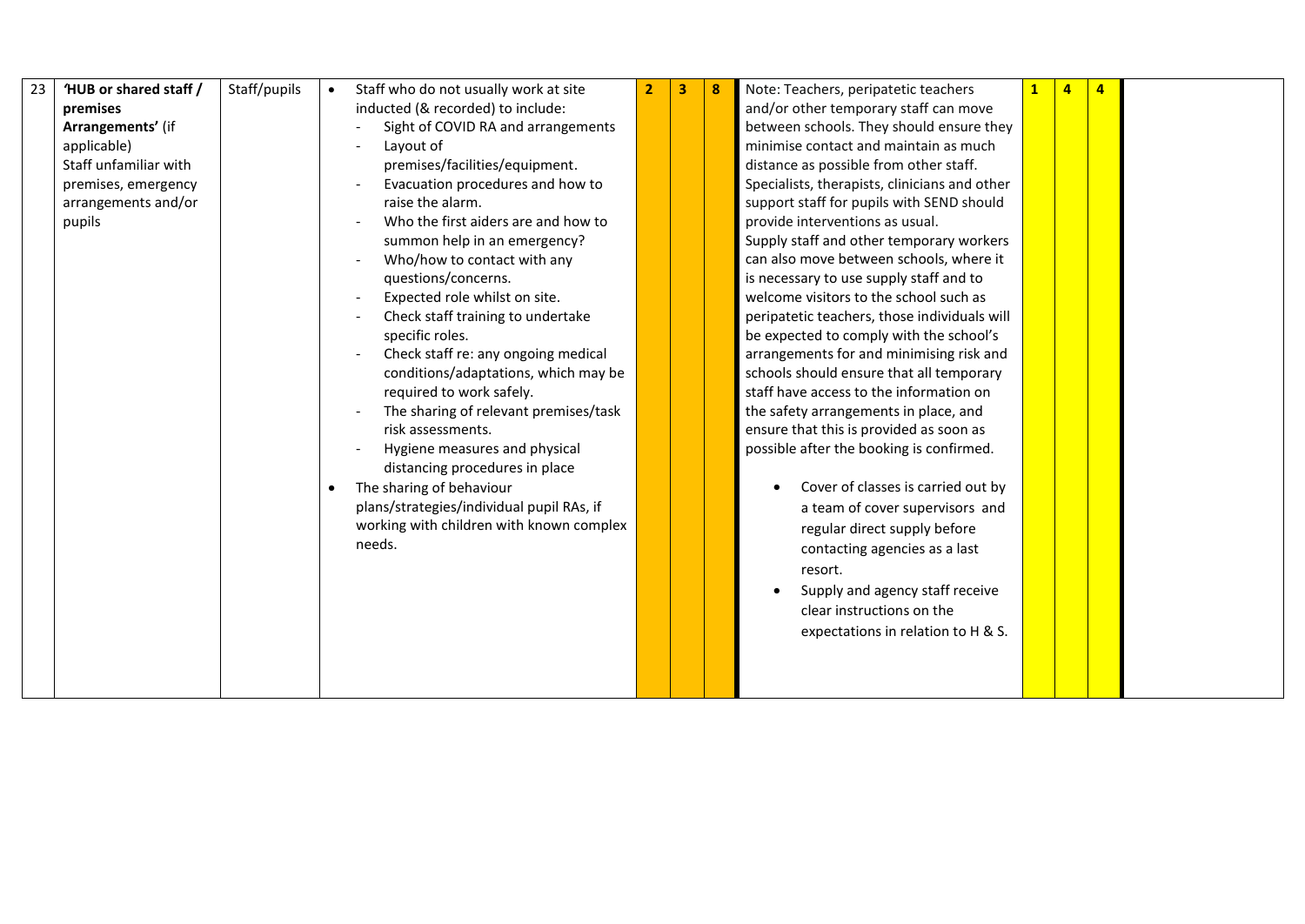| 23 | 'HUB or shared staff / | Staff/pupils | Staff who do not usually work at site     | 3 | 8 | Note: Teachers, peripatetic teachers          | $\mathbf{1}$ | $\overline{a}$ | $\overline{4}$ |  |
|----|------------------------|--------------|-------------------------------------------|---|---|-----------------------------------------------|--------------|----------------|----------------|--|
|    | premises               |              | inducted (& recorded) to include:         |   |   | and/or other temporary staff can move         |              |                |                |  |
|    | Arrangements' (if      |              | Sight of COVID RA and arrangements        |   |   | between schools. They should ensure they      |              |                |                |  |
|    | applicable)            |              | Layout of                                 |   |   | minimise contact and maintain as much         |              |                |                |  |
|    | Staff unfamiliar with  |              | premises/facilities/equipment.            |   |   | distance as possible from other staff.        |              |                |                |  |
|    | premises, emergency    |              | Evacuation procedures and how to          |   |   | Specialists, therapists, clinicians and other |              |                |                |  |
|    | arrangements and/or    |              | raise the alarm.                          |   |   | support staff for pupils with SEND should     |              |                |                |  |
|    | pupils                 |              | Who the first aiders are and how to       |   |   | provide interventions as usual.               |              |                |                |  |
|    |                        |              | summon help in an emergency?              |   |   | Supply staff and other temporary workers      |              |                |                |  |
|    |                        |              | Who/how to contact with any               |   |   | can also move between schools, where it       |              |                |                |  |
|    |                        |              | questions/concerns.                       |   |   | is necessary to use supply staff and to       |              |                |                |  |
|    |                        |              | Expected role whilst on site.             |   |   | welcome visitors to the school such as        |              |                |                |  |
|    |                        |              | Check staff training to undertake         |   |   | peripatetic teachers, those individuals will  |              |                |                |  |
|    |                        |              | specific roles.                           |   |   | be expected to comply with the school's       |              |                |                |  |
|    |                        |              | Check staff re: any ongoing medical       |   |   | arrangements for and minimising risk and      |              |                |                |  |
|    |                        |              | conditions/adaptations, which may be      |   |   | schools should ensure that all temporary      |              |                |                |  |
|    |                        |              | required to work safely.                  |   |   | staff have access to the information on       |              |                |                |  |
|    |                        |              | The sharing of relevant premises/task     |   |   | the safety arrangements in place, and         |              |                |                |  |
|    |                        |              | risk assessments.                         |   |   | ensure that this is provided as soon as       |              |                |                |  |
|    |                        |              | Hygiene measures and physical             |   |   | possible after the booking is confirmed.      |              |                |                |  |
|    |                        |              | distancing procedures in place            |   |   |                                               |              |                |                |  |
|    |                        |              | The sharing of behaviour                  |   |   | Cover of classes is carried out by            |              |                |                |  |
|    |                        |              | plans/strategies/individual pupil RAs, if |   |   | a team of cover supervisors and               |              |                |                |  |
|    |                        |              | working with children with known complex  |   |   | regular direct supply before                  |              |                |                |  |
|    |                        |              | needs.                                    |   |   | contacting agencies as a last                 |              |                |                |  |
|    |                        |              |                                           |   |   | resort.                                       |              |                |                |  |
|    |                        |              |                                           |   |   | Supply and agency staff receive<br>$\bullet$  |              |                |                |  |
|    |                        |              |                                           |   |   | clear instructions on the                     |              |                |                |  |
|    |                        |              |                                           |   |   | expectations in relation to H & S.            |              |                |                |  |
|    |                        |              |                                           |   |   |                                               |              |                |                |  |
|    |                        |              |                                           |   |   |                                               |              |                |                |  |
|    |                        |              |                                           |   |   |                                               |              |                |                |  |
|    |                        |              |                                           |   |   |                                               |              |                |                |  |